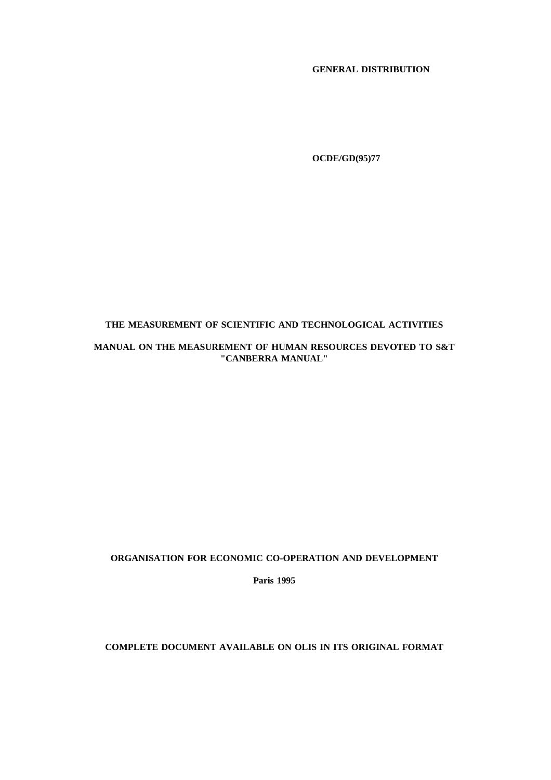# **GENERAL DISTRIBUTION**

**OCDE/GD(95)77**

# **THE MEASUREMENT OF SCIENTIFIC AND TECHNOLOGICAL ACTIVITIES**

# **MANUAL ON THE MEASUREMENT OF HUMAN RESOURCES DEVOTED TO S&T "CANBERRA MANUAL"**

## **ORGANISATION FOR ECONOMIC CO-OPERATION AND DEVELOPMENT**

**Paris 1995**

**COMPLETE DOCUMENT AVAILABLE ON OLIS IN ITS ORIGINAL FORMAT**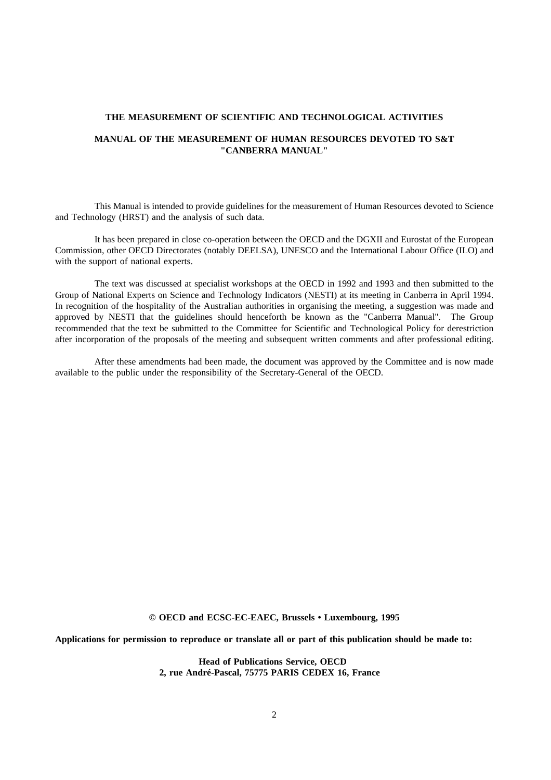#### **THE MEASUREMENT OF SCIENTIFIC AND TECHNOLOGICAL ACTIVITIES**

## **MANUAL OF THE MEASUREMENT OF HUMAN RESOURCES DEVOTED TO S&T "CANBERRA MANUAL"**

This Manual is intended to provide guidelines for the measurement of Human Resources devoted to Science and Technology (HRST) and the analysis of such data.

It has been prepared in close co-operation between the OECD and the DGXII and Eurostat of the European Commission, other OECD Directorates (notably DEELSA), UNESCO and the International Labour Office (ILO) and with the support of national experts.

The text was discussed at specialist workshops at the OECD in 1992 and 1993 and then submitted to the Group of National Experts on Science and Technology Indicators (NESTI) at its meeting in Canberra in April 1994. In recognition of the hospitality of the Australian authorities in organising the meeting, a suggestion was made and approved by NESTI that the guidelines should henceforth be known as the "Canberra Manual". The Group recommended that the text be submitted to the Committee for Scientific and Technological Policy for derestriction after incorporation of the proposals of the meeting and subsequent written comments and after professional editing.

After these amendments had been made, the document was approved by the Committee and is now made available to the public under the responsibility of the Secretary-General of the OECD.

**© OECD and ECSC-EC-EAEC, Brussels • Luxembourg, 1995**

**Applications for permission to reproduce or translate all or part of this publication should be made to:**

**Head of Publications Service, OECD 2, rue André-Pascal, 75775 PARIS CEDEX 16, France**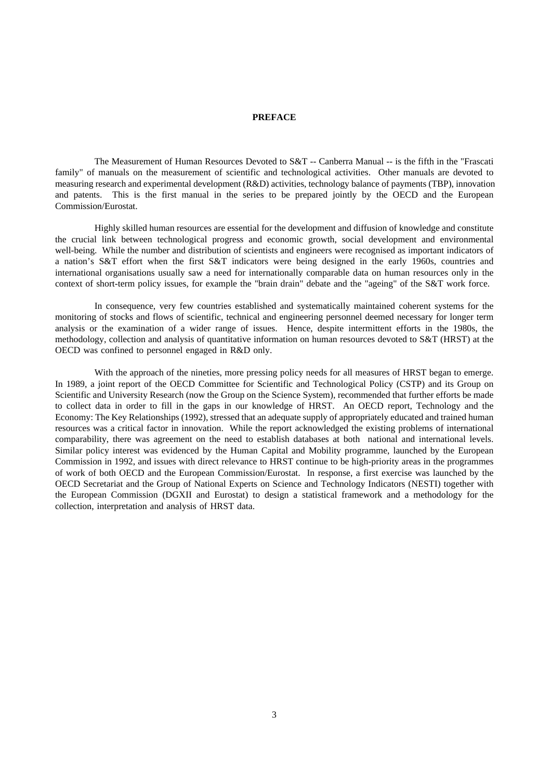## **PREFACE**

The Measurement of Human Resources Devoted to S&T -- Canberra Manual -- is the fifth in the "Frascati family" of manuals on the measurement of scientific and technological activities. Other manuals are devoted to measuring research and experimental development (R&D) activities, technology balance of payments (TBP), innovation and patents. This is the first manual in the series to be prepared jointly by the OECD and the European Commission/Eurostat.

Highly skilled human resources are essential for the development and diffusion of knowledge and constitute the crucial link between technological progress and economic growth, social development and environmental well-being. While the number and distribution of scientists and engineers were recognised as important indicators of a nation's S&T effort when the first S&T indicators were being designed in the early 1960s, countries and international organisations usually saw a need for internationally comparable data on human resources only in the context of short-term policy issues, for example the "brain drain" debate and the "ageing" of the S&T work force.

In consequence, very few countries established and systematically maintained coherent systems for the monitoring of stocks and flows of scientific, technical and engineering personnel deemed necessary for longer term analysis or the examination of a wider range of issues. Hence, despite intermittent efforts in the 1980s, the methodology, collection and analysis of quantitative information on human resources devoted to S&T (HRST) at the OECD was confined to personnel engaged in R&D only.

With the approach of the nineties, more pressing policy needs for all measures of HRST began to emerge. In 1989, a joint report of the OECD Committee for Scientific and Technological Policy (CSTP) and its Group on Scientific and University Research (now the Group on the Science System), recommended that further efforts be made to collect data in order to fill in the gaps in our knowledge of HRST. An OECD report, Technology and the Economy: The Key Relationships (1992), stressed that an adequate supply of appropriately educated and trained human resources was a critical factor in innovation. While the report acknowledged the existing problems of international comparability, there was agreement on the need to establish databases at both national and international levels. Similar policy interest was evidenced by the Human Capital and Mobility programme, launched by the European Commission in 1992, and issues with direct relevance to HRST continue to be high-priority areas in the programmes of work of both OECD and the European Commission/Eurostat. In response, a first exercise was launched by the OECD Secretariat and the Group of National Experts on Science and Technology Indicators (NESTI) together with the European Commission (DGXII and Eurostat) to design a statistical framework and a methodology for the collection, interpretation and analysis of HRST data.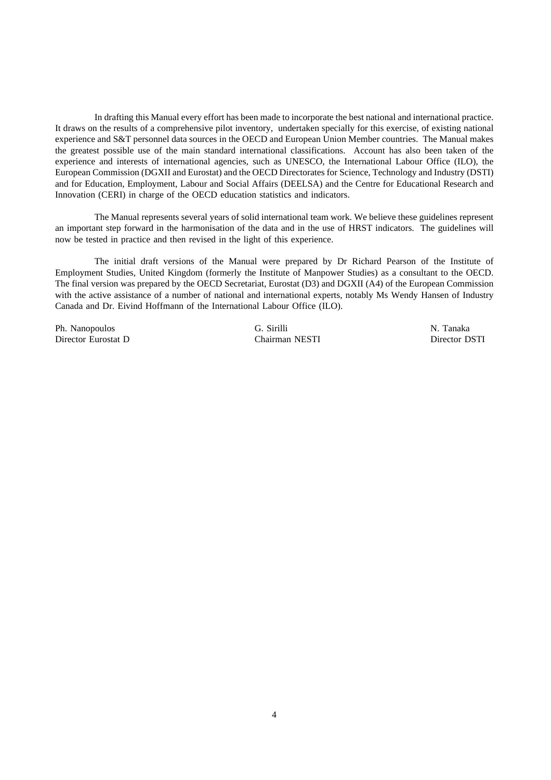In drafting this Manual every effort has been made to incorporate the best national and international practice. It draws on the results of a comprehensive pilot inventory, undertaken specially for this exercise, of existing national experience and S&T personnel data sources in the OECD and European Union Member countries. The Manual makes the greatest possible use of the main standard international classifications. Account has also been taken of the experience and interests of international agencies, such as UNESCO, the International Labour Office (ILO), the European Commission (DGXII and Eurostat) and the OECD Directorates for Science, Technology and Industry (DSTI) and for Education, Employment, Labour and Social Affairs (DEELSA) and the Centre for Educational Research and Innovation (CERI) in charge of the OECD education statistics and indicators.

The Manual represents several years of solid international team work. We believe these guidelines represent an important step forward in the harmonisation of the data and in the use of HRST indicators. The guidelines will now be tested in practice and then revised in the light of this experience.

The initial draft versions of the Manual were prepared by Dr Richard Pearson of the Institute of Employment Studies, United Kingdom (formerly the Institute of Manpower Studies) as a consultant to the OECD. The final version was prepared by the OECD Secretariat, Eurostat (D3) and DGXII (A4) of the European Commission with the active assistance of a number of national and international experts, notably Ms Wendy Hansen of Industry Canada and Dr. Eivind Hoffmann of the International Labour Office (ILO).

Ph. Nanopoulos G. Sirilli N. Tanaka Director Eurostat D Chairman NESTI Director DSTI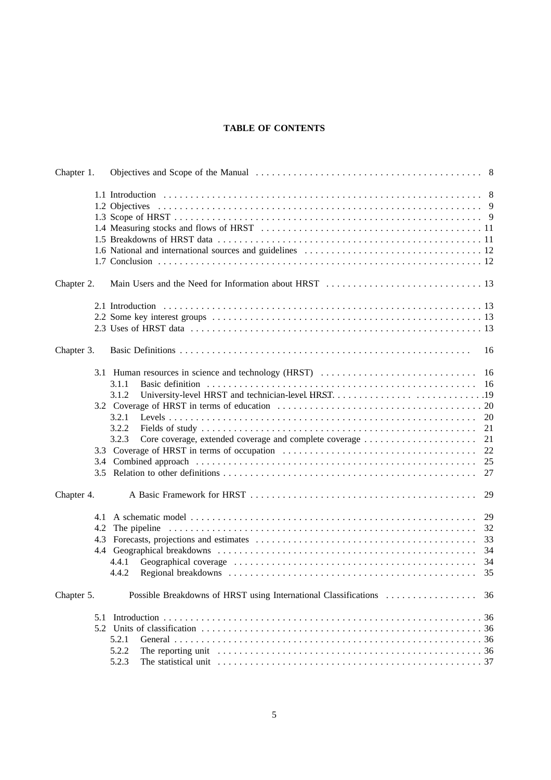# **TABLE OF CONTENTS**

| Chapter 1.        |                                                                       |                |
|-------------------|-----------------------------------------------------------------------|----------------|
|                   |                                                                       |                |
|                   |                                                                       |                |
| Chapter 2.        |                                                                       |                |
|                   |                                                                       |                |
| Chapter 3.        |                                                                       | -16            |
|                   | 3.1.1<br>3.1.2<br>3.2.1<br>3.2.2                                      | 21             |
|                   | 3.2.3<br>Core coverage, extended coverage and complete coverage<br>25 | 21<br>22<br>27 |
| Chapter 4.        |                                                                       | 29             |
| 4.1<br>4.2<br>4.4 | 4.4.1<br>4.4.2                                                        | 32<br>33<br>34 |
| Chapter 5.        |                                                                       |                |
|                   | 5.2.1<br>5.2.2<br>5.2.3                                               |                |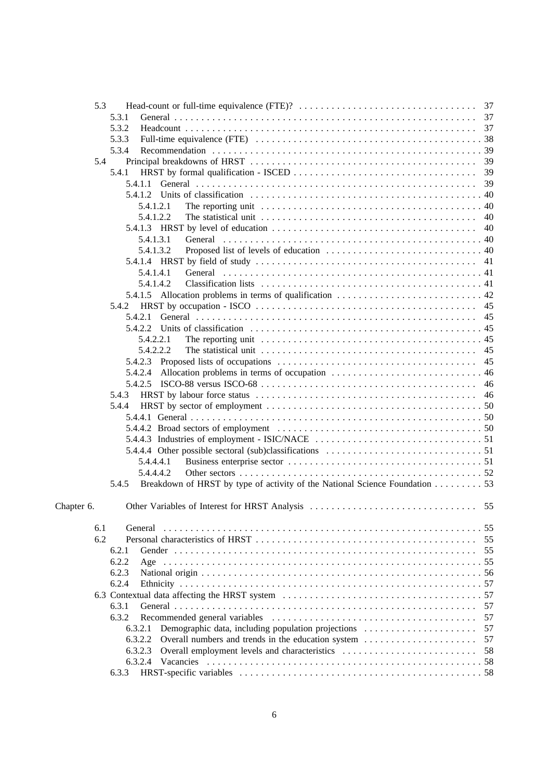| 5.3        |                                                                                                                              |  |
|------------|------------------------------------------------------------------------------------------------------------------------------|--|
|            | 5.3.1                                                                                                                        |  |
|            | 5.3.2                                                                                                                        |  |
|            | 5.3.3                                                                                                                        |  |
|            | 5.3.4                                                                                                                        |  |
| 5.4        |                                                                                                                              |  |
|            | 5.4.1                                                                                                                        |  |
|            |                                                                                                                              |  |
|            |                                                                                                                              |  |
|            | The reporting unit $\ldots \ldots \ldots \ldots \ldots \ldots \ldots \ldots \ldots \ldots \ldots \ldots \ldots$<br>5.4.1.2.1 |  |
|            | 5.4.1.2.2                                                                                                                    |  |
|            |                                                                                                                              |  |
|            | 5.4.1.3.1                                                                                                                    |  |
|            | 5.4.1.3.2                                                                                                                    |  |
|            |                                                                                                                              |  |
|            | 5.4.1.4.1                                                                                                                    |  |
|            | 5.4.1.4.2                                                                                                                    |  |
|            |                                                                                                                              |  |
|            |                                                                                                                              |  |
|            | 5.4.2.1                                                                                                                      |  |
|            |                                                                                                                              |  |
|            | 5.4.2.2.1                                                                                                                    |  |
|            | 5.4.2.2.2<br>The statistical unit $\ldots \ldots \ldots \ldots \ldots \ldots \ldots \ldots \ldots \ldots \ldots \ldots$ 45   |  |
|            |                                                                                                                              |  |
|            | 5.4.2.4                                                                                                                      |  |
|            |                                                                                                                              |  |
|            |                                                                                                                              |  |
|            | 5.4.3                                                                                                                        |  |
|            | 5.4.4                                                                                                                        |  |
|            |                                                                                                                              |  |
|            |                                                                                                                              |  |
|            |                                                                                                                              |  |
|            |                                                                                                                              |  |
|            | 5.4.4.4.1                                                                                                                    |  |
|            | 5.4.4.4.2                                                                                                                    |  |
|            | Breakdown of HRST by type of activity of the National Science Foundation 53<br>5.4.5                                         |  |
|            |                                                                                                                              |  |
| Chapter 6. |                                                                                                                              |  |
|            |                                                                                                                              |  |
| 6.1        |                                                                                                                              |  |
| 6.2        |                                                                                                                              |  |
|            | 6.2.1                                                                                                                        |  |
|            | 6.2.2                                                                                                                        |  |
|            | 6.2.3                                                                                                                        |  |
|            | 6.2.4                                                                                                                        |  |
|            |                                                                                                                              |  |
|            | 6.3.1                                                                                                                        |  |
|            | 6.3.2                                                                                                                        |  |
|            | 6.3.2.1                                                                                                                      |  |
|            | 6.3.2.2                                                                                                                      |  |
|            | 6.3.2.3                                                                                                                      |  |
|            | 6.3.2.4                                                                                                                      |  |
|            | 6.3.3                                                                                                                        |  |
|            |                                                                                                                              |  |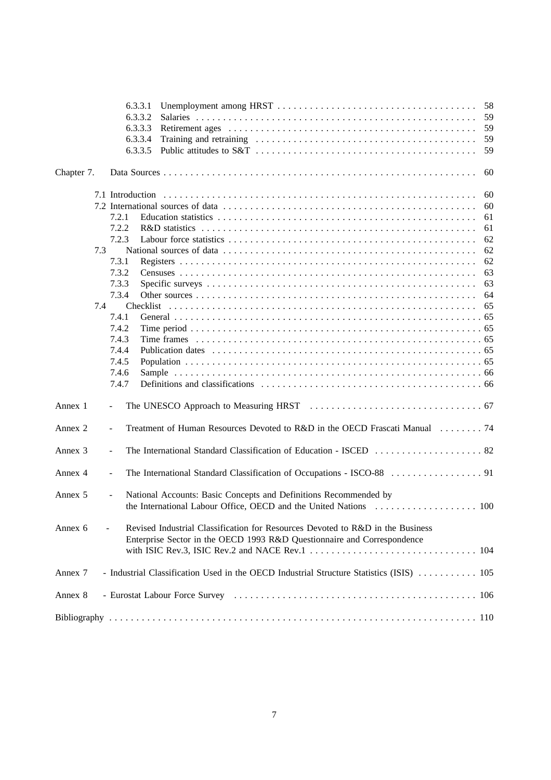|            | 58<br>6.3.3.1                                                                                                                                                                         |
|------------|---------------------------------------------------------------------------------------------------------------------------------------------------------------------------------------|
|            | 59<br>6.3.3.2                                                                                                                                                                         |
|            | 59<br>6.3.3.3                                                                                                                                                                         |
|            | 59<br>6.3.3.4                                                                                                                                                                         |
|            | 6.3.3.5<br>59                                                                                                                                                                         |
|            |                                                                                                                                                                                       |
| Chapter 7. | -60                                                                                                                                                                                   |
|            |                                                                                                                                                                                       |
|            | 60                                                                                                                                                                                    |
|            | 60                                                                                                                                                                                    |
|            | 61<br>7.2.1                                                                                                                                                                           |
|            | 7.2.2<br>61                                                                                                                                                                           |
|            | 62<br>7.2.3                                                                                                                                                                           |
| 7.3        | 62<br>62                                                                                                                                                                              |
|            | 7.3.1<br>63<br>7.3.2                                                                                                                                                                  |
|            | 63<br>7.3.3                                                                                                                                                                           |
|            | 7.3.4<br>64                                                                                                                                                                           |
| 7.4        |                                                                                                                                                                                       |
|            | 7.4.1                                                                                                                                                                                 |
|            | 7.4.2                                                                                                                                                                                 |
|            | 7.4.3                                                                                                                                                                                 |
|            |                                                                                                                                                                                       |
|            | 7.4.4                                                                                                                                                                                 |
|            | 7.4.5                                                                                                                                                                                 |
|            | 7.4.6                                                                                                                                                                                 |
|            | 7.4.7                                                                                                                                                                                 |
| Annex 1    |                                                                                                                                                                                       |
|            |                                                                                                                                                                                       |
| Annex 2    | Treatment of Human Resources Devoted to R&D in the OECD Frascati Manual  74<br>$\blacksquare$                                                                                         |
| Annex 3    | $\blacksquare$                                                                                                                                                                        |
| Annex 4    | $\overline{\phantom{a}}$                                                                                                                                                              |
| Annex 5    | National Accounts: Basic Concepts and Definitions Recommended by                                                                                                                      |
| Annex 6    | Revised Industrial Classification for Resources Devoted to R&D in the Business<br>$\overline{\phantom{a}}$<br>Enterprise Sector in the OECD 1993 R&D Questionnaire and Correspondence |
| Annex 7    | - Industrial Classification Used in the OECD Industrial Structure Statistics (ISIS)  105                                                                                              |
| Annex 8    |                                                                                                                                                                                       |
|            |                                                                                                                                                                                       |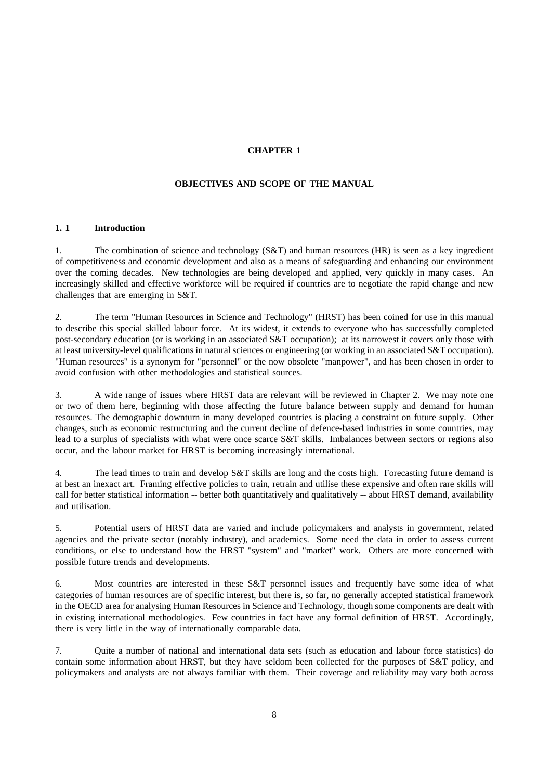## **CHAPTER 1**

## **OBJECTIVES AND SCOPE OF THE MANUAL**

## **1. 1 Introduction**

1. The combination of science and technology (S&T) and human resources (HR) is seen as a key ingredient of competitiveness and economic development and also as a means of safeguarding and enhancing our environment over the coming decades. New technologies are being developed and applied, very quickly in many cases. An increasingly skilled and effective workforce will be required if countries are to negotiate the rapid change and new challenges that are emerging in S&T.

2. The term "Human Resources in Science and Technology" (HRST) has been coined for use in this manual to describe this special skilled labour force. At its widest, it extends to everyone who has successfully completed post-secondary education (or is working in an associated S&T occupation); at its narrowest it covers only those with at least university-level qualifications in natural sciences or engineering (or working in an associated S&T occupation). "Human resources" is a synonym for "personnel" or the now obsolete "manpower", and has been chosen in order to avoid confusion with other methodologies and statistical sources.

3. A wide range of issues where HRST data are relevant will be reviewed in Chapter 2. We may note one or two of them here, beginning with those affecting the future balance between supply and demand for human resources. The demographic downturn in many developed countries is placing a constraint on future supply. Other changes, such as economic restructuring and the current decline of defence-based industries in some countries, may lead to a surplus of specialists with what were once scarce S&T skills. Imbalances between sectors or regions also occur, and the labour market for HRST is becoming increasingly international.

4. The lead times to train and develop S&T skills are long and the costs high. Forecasting future demand is at best an inexact art. Framing effective policies to train, retrain and utilise these expensive and often rare skills will call for better statistical information -- better both quantitatively and qualitatively -- about HRST demand, availability and utilisation.

5. Potential users of HRST data are varied and include policymakers and analysts in government, related agencies and the private sector (notably industry), and academics. Some need the data in order to assess current conditions, or else to understand how the HRST "system" and "market" work. Others are more concerned with possible future trends and developments.

6. Most countries are interested in these S&T personnel issues and frequently have some idea of what categories of human resources are of specific interest, but there is, so far, no generally accepted statistical framework in the OECD area for analysing Human Resources in Science and Technology, though some components are dealt with in existing international methodologies. Few countries in fact have any formal definition of HRST. Accordingly, there is very little in the way of internationally comparable data.

7. Quite a number of national and international data sets (such as education and labour force statistics) do contain some information about HRST, but they have seldom been collected for the purposes of S&T policy, and policymakers and analysts are not always familiar with them. Their coverage and reliability may vary both across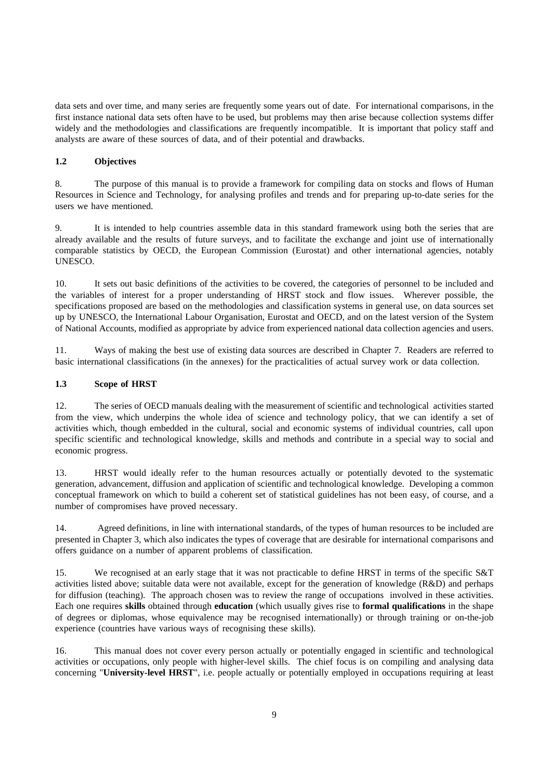data sets and over time, and many series are frequently some years out of date. For international comparisons, in the first instance national data sets often have to be used, but problems may then arise because collection systems differ widely and the methodologies and classifications are frequently incompatible. It is important that policy staff and analysts are aware of these sources of data, and of their potential and drawbacks.

## **1.2 Objectives**

8. The purpose of this manual is to provide a framework for compiling data on stocks and flows of Human Resources in Science and Technology, for analysing profiles and trends and for preparing up-to-date series for the users we have mentioned.

9. It is intended to help countries assemble data in this standard framework using both the series that are already available and the results of future surveys, and to facilitate the exchange and joint use of internationally comparable statistics by OECD, the European Commission (Eurostat) and other international agencies, notably UNESCO.

10. It sets out basic definitions of the activities to be covered, the categories of personnel to be included and the variables of interest for a proper understanding of HRST stock and flow issues. Wherever possible, the specifications proposed are based on the methodologies and classification systems in general use, on data sources set up by UNESCO, the International Labour Organisation, Eurostat and OECD, and on the latest version of the System of National Accounts, modified as appropriate by advice from experienced national data collection agencies and users.

11. Ways of making the best use of existing data sources are described in Chapter 7. Readers are referred to basic international classifications (in the annexes) for the practicalities of actual survey work or data collection.

# **1.3 Scope of HRST**

12. The series of OECD manuals dealing with the measurement of scientific and technological activities started from the view, which underpins the whole idea of science and technology policy, that we can identify a set of activities which, though embedded in the cultural, social and economic systems of individual countries, call upon specific scientific and technological knowledge, skills and methods and contribute in a special way to social and economic progress.

13. HRST would ideally refer to the human resources actually or potentially devoted to the systematic generation, advancement, diffusion and application of scientific and technological knowledge. Developing a common conceptual framework on which to build a coherent set of statistical guidelines has not been easy, of course, and a number of compromises have proved necessary.

14. Agreed definitions, in line with international standards, of the types of human resources to be included are presented in Chapter 3, which also indicates the types of coverage that are desirable for international comparisons and offers guidance on a number of apparent problems of classification.

15. We recognised at an early stage that it was not practicable to define HRST in terms of the specific S&T activities listed above; suitable data were not available, except for the generation of knowledge (R&D) and perhaps for diffusion (teaching). The approach chosen was to review the range of occupations involved in these activities. Each one requires **skills** obtained through **education** (which usually gives rise to **formal qualifications** in the shape of degrees or diplomas, whose equivalence may be recognised internationally) or through training or on-the-job experience (countries have various ways of recognising these skills).

16. This manual does not cover every person actually or potentially engaged in scientific and technological activities or occupations, only people with higher-level skills. The chief focus is on compiling and analysing data concerning "**University-level HRST**", i.e. people actually or potentially employed in occupations requiring at least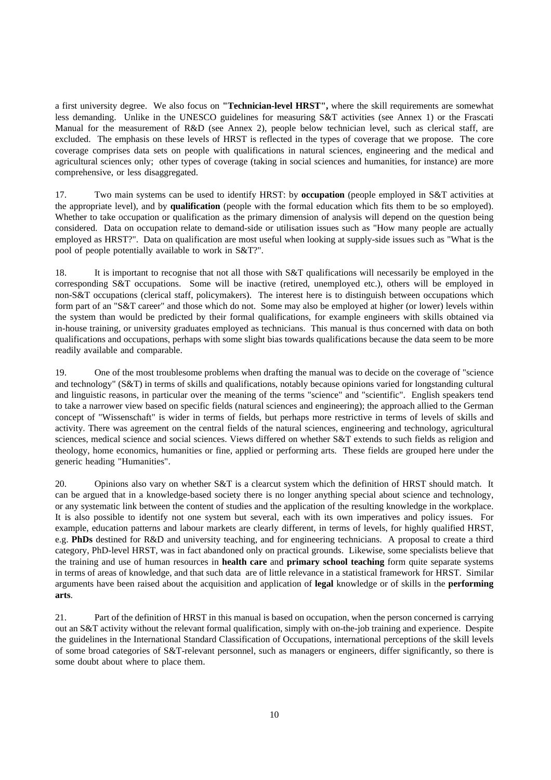a first university degree. We also focus on **"Technician-level HRST",** where the skill requirements are somewhat less demanding. Unlike in the UNESCO guidelines for measuring S&T activities (see Annex 1) or the Frascati Manual for the measurement of R&D (see Annex 2), people below technician level, such as clerical staff, are excluded. The emphasis on these levels of HRST is reflected in the types of coverage that we propose. The core coverage comprises data sets on people with qualifications in natural sciences, engineering and the medical and agricultural sciences only; other types of coverage (taking in social sciences and humanities, for instance) are more comprehensive, or less disaggregated.

17. Two main systems can be used to identify HRST: by **occupation** (people employed in S&T activities at the appropriate level), and by **qualification** (people with the formal education which fits them to be so employed). Whether to take occupation or qualification as the primary dimension of analysis will depend on the question being considered. Data on occupation relate to demand-side or utilisation issues such as "How many people are actually employed as HRST?". Data on qualification are most useful when looking at supply-side issues such as "What is the pool of people potentially available to work in S&T?".

18. It is important to recognise that not all those with S&T qualifications will necessarily be employed in the corresponding S&T occupations. Some will be inactive (retired, unemployed etc.), others will be employed in non-S&T occupations (clerical staff, policymakers). The interest here is to distinguish between occupations which form part of an "S&T career" and those which do not. Some may also be employed at higher (or lower) levels within the system than would be predicted by their formal qualifications, for example engineers with skills obtained via in-house training, or university graduates employed as technicians. This manual is thus concerned with data on both qualifications and occupations, perhaps with some slight bias towards qualifications because the data seem to be more readily available and comparable.

19. One of the most troublesome problems when drafting the manual was to decide on the coverage of "science and technology" (S&T) in terms of skills and qualifications, notably because opinions varied for longstanding cultural and linguistic reasons, in particular over the meaning of the terms "science" and "scientific". English speakers tend to take a narrower view based on specific fields (natural sciences and engineering); the approach allied to the German concept of "Wissenschaft" is wider in terms of fields, but perhaps more restrictive in terms of levels of skills and activity. There was agreement on the central fields of the natural sciences, engineering and technology, agricultural sciences, medical science and social sciences. Views differed on whether S&T extends to such fields as religion and theology, home economics, humanities or fine, applied or performing arts. These fields are grouped here under the generic heading "Humanities".

20. Opinions also vary on whether S&T is a clearcut system which the definition of HRST should match. It can be argued that in a knowledge-based society there is no longer anything special about science and technology, or any systematic link between the content of studies and the application of the resulting knowledge in the workplace. It is also possible to identify not one system but several, each with its own imperatives and policy issues. For example, education patterns and labour markets are clearly different, in terms of levels, for highly qualified HRST, e.g. **PhDs** destined for R&D and university teaching, and for engineering technicians. A proposal to create a third category, PhD-level HRST, was in fact abandoned only on practical grounds. Likewise, some specialists believe that the training and use of human resources in **health care** and **primary school teaching** form quite separate systems in terms of areas of knowledge, and that such data are of little relevance in a statistical framework for HRST. Similar arguments have been raised about the acquisition and application of **legal** knowledge or of skills in the **performing arts**.

21. Part of the definition of HRST in this manual is based on occupation, when the person concerned is carrying out an S&T activity without the relevant formal qualification, simply with on-the-job training and experience. Despite the guidelines in the International Standard Classification of Occupations, international perceptions of the skill levels of some broad categories of S&T-relevant personnel, such as managers or engineers, differ significantly, so there is some doubt about where to place them.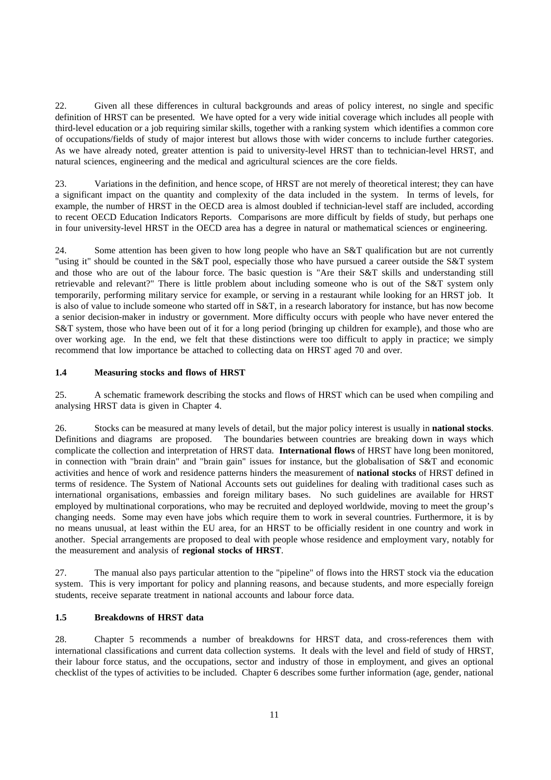22. Given all these differences in cultural backgrounds and areas of policy interest, no single and specific definition of HRST can be presented. We have opted for a very wide initial coverage which includes all people with third-level education or a job requiring similar skills, together with a ranking system which identifies a common core of occupations/fields of study of major interest but allows those with wider concerns to include further categories. As we have already noted, greater attention is paid to university-level HRST than to technician-level HRST, and natural sciences, engineering and the medical and agricultural sciences are the core fields.

23. Variations in the definition, and hence scope, of HRST are not merely of theoretical interest; they can have a significant impact on the quantity and complexity of the data included in the system. In terms of levels, for example, the number of HRST in the OECD area is almost doubled if technician-level staff are included, according to recent OECD Education Indicators Reports. Comparisons are more difficult by fields of study, but perhaps one in four university-level HRST in the OECD area has a degree in natural or mathematical sciences or engineering.

24. Some attention has been given to how long people who have an S&T qualification but are not currently "using it" should be counted in the S&T pool, especially those who have pursued a career outside the S&T system and those who are out of the labour force. The basic question is "Are their S&T skills and understanding still retrievable and relevant?" There is little problem about including someone who is out of the S&T system only temporarily, performing military service for example, or serving in a restaurant while looking for an HRST job. It is also of value to include someone who started off in S&T, in a research laboratory for instance, but has now become a senior decision-maker in industry or government. More difficulty occurs with people who have never entered the S&T system, those who have been out of it for a long period (bringing up children for example), and those who are over working age. In the end, we felt that these distinctions were too difficult to apply in practice; we simply recommend that low importance be attached to collecting data on HRST aged 70 and over.

### **1.4 Measuring stocks and flows of HRST**

25. A schematic framework describing the stocks and flows of HRST which can be used when compiling and analysing HRST data is given in Chapter 4.

26. Stocks can be measured at many levels of detail, but the major policy interest is usually in **national stocks**. Definitions and diagrams are proposed. The boundaries between countries are breaking down in ways which complicate the collection and interpretation of HRST data. **International flows** of HRST have long been monitored, in connection with "brain drain" and "brain gain" issues for instance, but the globalisation of S&T and economic activities and hence of work and residence patterns hinders the measurement of **national stocks** of HRST defined in terms of residence. The System of National Accounts sets out guidelines for dealing with traditional cases such as international organisations, embassies and foreign military bases. No such guidelines are available for HRST employed by multinational corporations, who may be recruited and deployed worldwide, moving to meet the group's changing needs. Some may even have jobs which require them to work in several countries. Furthermore, it is by no means unusual, at least within the EU area, for an HRST to be officially resident in one country and work in another. Special arrangements are proposed to deal with people whose residence and employment vary, notably for the measurement and analysis of **regional stocks of HRST**.

27. The manual also pays particular attention to the "pipeline" of flows into the HRST stock via the education system. This is very important for policy and planning reasons, and because students, and more especially foreign students, receive separate treatment in national accounts and labour force data.

## **1.5 Breakdowns of HRST data**

28. Chapter 5 recommends a number of breakdowns for HRST data, and cross-references them with international classifications and current data collection systems. It deals with the level and field of study of HRST, their labour force status, and the occupations, sector and industry of those in employment, and gives an optional checklist of the types of activities to be included. Chapter 6 describes some further information (age, gender, national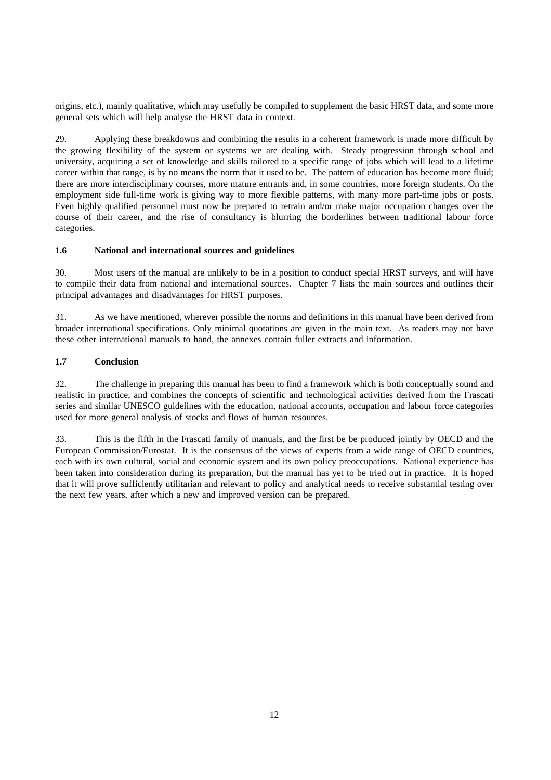origins, etc.), mainly qualitative, which may usefully be compiled to supplement the basic HRST data, and some more general sets which will help analyse the HRST data in context.

29. Applying these breakdowns and combining the results in a coherent framework is made more difficult by the growing flexibility of the system or systems we are dealing with. Steady progression through school and university, acquiring a set of knowledge and skills tailored to a specific range of jobs which will lead to a lifetime career within that range, is by no means the norm that it used to be. The pattern of education has become more fluid; there are more interdisciplinary courses, more mature entrants and, in some countries, more foreign students. On the employment side full-time work is giving way to more flexible patterns, with many more part-time jobs or posts. Even highly qualified personnel must now be prepared to retrain and/or make major occupation changes over the course of their career, and the rise of consultancy is blurring the borderlines between traditional labour force categories.

### **1.6 National and international sources and guidelines**

30. Most users of the manual are unlikely to be in a position to conduct special HRST surveys, and will have to compile their data from national and international sources. Chapter 7 lists the main sources and outlines their principal advantages and disadvantages for HRST purposes.

31. As we have mentioned, wherever possible the norms and definitions in this manual have been derived from broader international specifications. Only minimal quotations are given in the main text. As readers may not have these other international manuals to hand, the annexes contain fuller extracts and information.

### **1.7 Conclusion**

32. The challenge in preparing this manual has been to find a framework which is both conceptually sound and realistic in practice, and combines the concepts of scientific and technological activities derived from the Frascati series and similar UNESCO guidelines with the education, national accounts, occupation and labour force categories used for more general analysis of stocks and flows of human resources.

33. This is the fifth in the Frascati family of manuals, and the first be be produced jointly by OECD and the European Commission/Eurostat. It is the consensus of the views of experts from a wide range of OECD countries, each with its own cultural, social and economic system and its own policy preoccupations. National experience has been taken into consideration during its preparation, but the manual has yet to be tried out in practice. It is hoped that it will prove sufficiently utilitarian and relevant to policy and analytical needs to receive substantial testing over the next few years, after which a new and improved version can be prepared.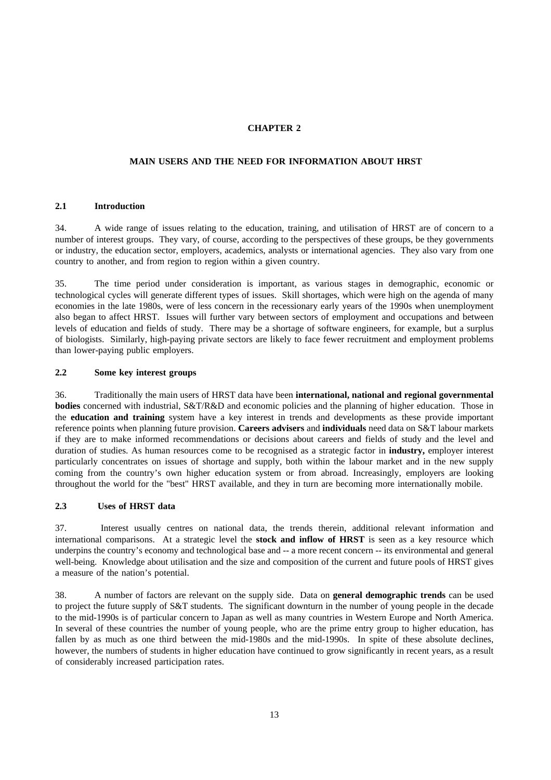## **CHAPTER 2**

#### **MAIN USERS AND THE NEED FOR INFORMATION ABOUT HRST**

#### **2.1 Introduction**

34. A wide range of issues relating to the education, training, and utilisation of HRST are of concern to a number of interest groups. They vary, of course, according to the perspectives of these groups, be they governments or industry, the education sector, employers, academics, analysts or international agencies. They also vary from one country to another, and from region to region within a given country.

35. The time period under consideration is important, as various stages in demographic, economic or technological cycles will generate different types of issues. Skill shortages, which were high on the agenda of many economies in the late 1980s, were of less concern in the recessionary early years of the 1990s when unemployment also began to affect HRST. Issues will further vary between sectors of employment and occupations and between levels of education and fields of study. There may be a shortage of software engineers, for example, but a surplus of biologists. Similarly, high-paying private sectors are likely to face fewer recruitment and employment problems than lower-paying public employers.

### **2.2 Some key interest groups**

36. Traditionally the main users of HRST data have been **international, national and regional governmental bodies** concerned with industrial, S&T/R&D and economic policies and the planning of higher education. Those in the **education and training** system have a key interest in trends and developments as these provide important reference points when planning future provision. **Careers advisers** and **individuals** need data on S&T labour markets if they are to make informed recommendations or decisions about careers and fields of study and the level and duration of studies. As human resources come to be recognised as a strategic factor in **industry,** employer interest particularly concentrates on issues of shortage and supply, both within the labour market and in the new supply coming from the country's own higher education system or from abroad. Increasingly, employers are looking throughout the world for the "best" HRST available, and they in turn are becoming more internationally mobile.

### **2.3 Uses of HRST data**

37. Interest usually centres on national data, the trends therein, additional relevant information and international comparisons. At a strategic level the **stock and inflow of HRST** is seen as a key resource which underpins the country's economy and technological base and -- a more recent concern -- its environmental and general well-being. Knowledge about utilisation and the size and composition of the current and future pools of HRST gives a measure of the nation's potential.

38. A number of factors are relevant on the supply side. Data on **general demographic trends** can be used to project the future supply of S&T students. The significant downturn in the number of young people in the decade to the mid-1990s is of particular concern to Japan as well as many countries in Western Europe and North America. In several of these countries the number of young people, who are the prime entry group to higher education, has fallen by as much as one third between the mid-1980s and the mid-1990s. In spite of these absolute declines, however, the numbers of students in higher education have continued to grow significantly in recent years, as a result of considerably increased participation rates.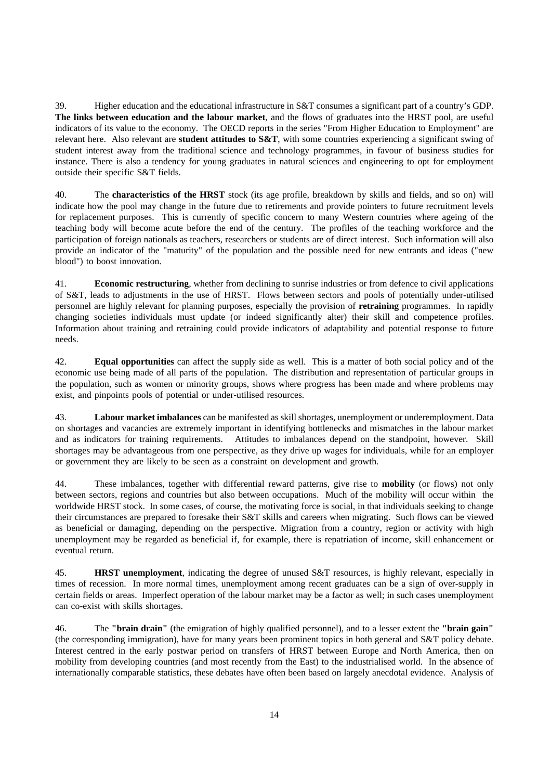39. Higher education and the educational infrastructure in S&T consumes a significant part of a country's GDP. **The links between education and the labour market**, and the flows of graduates into the HRST pool, are useful indicators of its value to the economy. The OECD reports in the series "From Higher Education to Employment" are relevant here. Also relevant are **student attitudes to S&T**, with some countries experiencing a significant swing of student interest away from the traditional science and technology programmes, in favour of business studies for instance. There is also a tendency for young graduates in natural sciences and engineering to opt for employment outside their specific S&T fields.

40. The **characteristics of the HRST** stock (its age profile, breakdown by skills and fields, and so on) will indicate how the pool may change in the future due to retirements and provide pointers to future recruitment levels for replacement purposes. This is currently of specific concern to many Western countries where ageing of the teaching body will become acute before the end of the century. The profiles of the teaching workforce and the participation of foreign nationals as teachers, researchers or students are of direct interest. Such information will also provide an indicator of the "maturity" of the population and the possible need for new entrants and ideas ("new blood") to boost innovation.

41. **Economic restructuring**, whether from declining to sunrise industries or from defence to civil applications of S&T, leads to adjustments in the use of HRST. Flows between sectors and pools of potentially under-utilised personnel are highly relevant for planning purposes, especially the provision of **retraining** programmes. In rapidly changing societies individuals must update (or indeed significantly alter) their skill and competence profiles. Information about training and retraining could provide indicators of adaptability and potential response to future needs.

42. **Equal opportunities** can affect the supply side as well. This is a matter of both social policy and of the economic use being made of all parts of the population. The distribution and representation of particular groups in the population, such as women or minority groups, shows where progress has been made and where problems may exist, and pinpoints pools of potential or under-utilised resources.

43. **Labour market imbalances** can be manifested as skill shortages, unemployment or underemployment. Data on shortages and vacancies are extremely important in identifying bottlenecks and mismatches in the labour market and as indicators for training requirements. Attitudes to imbalances depend on the standpoint, however. Skill shortages may be advantageous from one perspective, as they drive up wages for individuals, while for an employer or government they are likely to be seen as a constraint on development and growth.

44. These imbalances, together with differential reward patterns, give rise to **mobility** (or flows) not only between sectors, regions and countries but also between occupations. Much of the mobility will occur within the worldwide HRST stock. In some cases, of course, the motivating force is social, in that individuals seeking to change their circumstances are prepared to foresake their S&T skills and careers when migrating. Such flows can be viewed as beneficial or damaging, depending on the perspective. Migration from a country, region or activity with high unemployment may be regarded as beneficial if, for example, there is repatriation of income, skill enhancement or eventual return.

45. **HRST unemployment**, indicating the degree of unused S&T resources, is highly relevant, especially in times of recession. In more normal times, unemployment among recent graduates can be a sign of over-supply in certain fields or areas. Imperfect operation of the labour market may be a factor as well; in such cases unemployment can co-exist with skills shortages.

46. The **"brain drain"** (the emigration of highly qualified personnel), and to a lesser extent the **"brain gain"** (the corresponding immigration), have for many years been prominent topics in both general and S&T policy debate. Interest centred in the early postwar period on transfers of HRST between Europe and North America, then on mobility from developing countries (and most recently from the East) to the industrialised world. In the absence of internationally comparable statistics, these debates have often been based on largely anecdotal evidence. Analysis of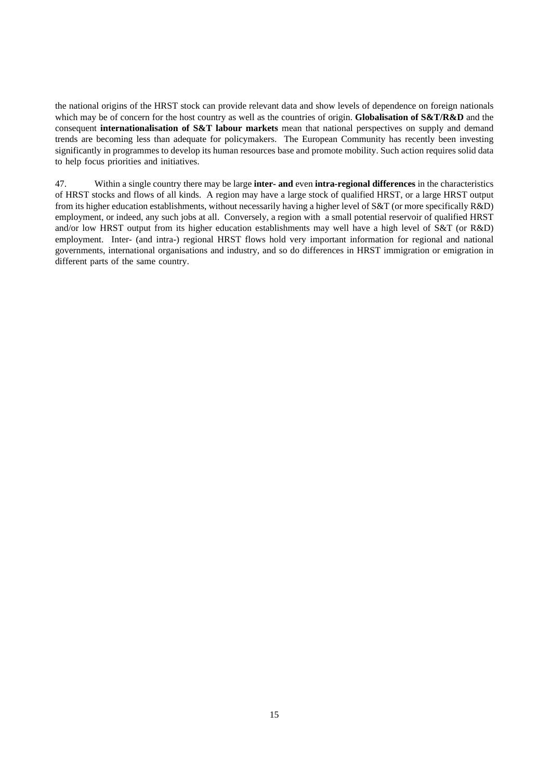the national origins of the HRST stock can provide relevant data and show levels of dependence on foreign nationals which may be of concern for the host country as well as the countries of origin. **Globalisation of S&T/R&D** and the consequent **internationalisation of S&T labour markets** mean that national perspectives on supply and demand trends are becoming less than adequate for policymakers. The European Community has recently been investing significantly in programmes to develop its human resources base and promote mobility. Such action requires solid data to help focus priorities and initiatives.

47. Within a single country there may be large **inter- and** even **intra-regional differences** in the characteristics of HRST stocks and flows of all kinds. A region may have a large stock of qualified HRST, or a large HRST output from its higher education establishments, without necessarily having a higher level of S&T (or more specifically R&D) employment, or indeed, any such jobs at all. Conversely, a region with a small potential reservoir of qualified HRST and/or low HRST output from its higher education establishments may well have a high level of S&T (or R&D) employment. Inter- (and intra-) regional HRST flows hold very important information for regional and national governments, international organisations and industry, and so do differences in HRST immigration or emigration in different parts of the same country.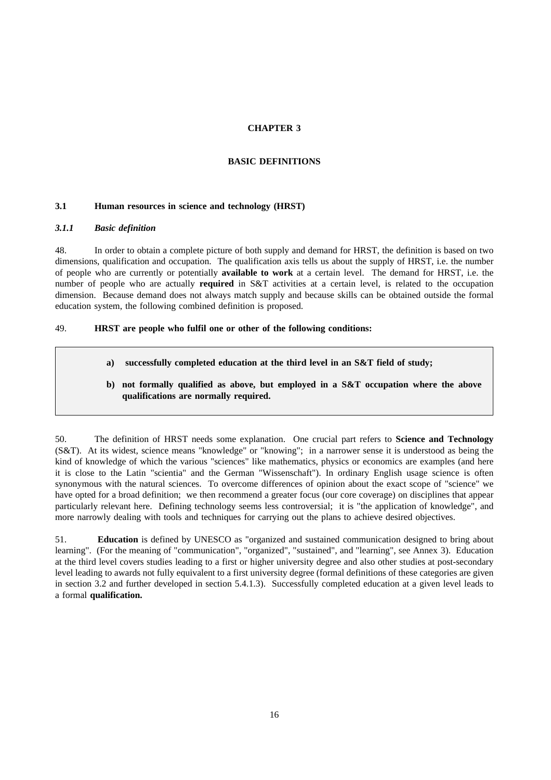## **CHAPTER 3**

#### **BASIC DEFINITIONS**

#### **3.1 Human resources in science and technology (HRST)**

#### *3.1.1 Basic definition*

48. In order to obtain a complete picture of both supply and demand for HRST, the definition is based on two dimensions, qualification and occupation. The qualification axis tells us about the supply of HRST, i.e. the number of people who are currently or potentially **available to work** at a certain level. The demand for HRST, i.e. the number of people who are actually **required** in S&T activities at a certain level, is related to the occupation dimension. Because demand does not always match supply and because skills can be obtained outside the formal education system, the following combined definition is proposed.

#### 49. **HRST are people who fulfil one or other of the following conditions:**

- **a) successfully completed education at the third level in an S&T field of study;**
- **b) not formally qualified as above, but employed in a S&T occupation where the above qualifications are normally required.**

50. The definition of HRST needs some explanation. One crucial part refers to **Science and Technology** (S&T). At its widest, science means "knowledge" or "knowing"; in a narrower sense it is understood as being the kind of knowledge of which the various "sciences" like mathematics, physics or economics are examples (and here it is close to the Latin "scientia" and the German "Wissenschaft"). In ordinary English usage science is often synonymous with the natural sciences. To overcome differences of opinion about the exact scope of "science" we have opted for a broad definition; we then recommend a greater focus (our core coverage) on disciplines that appear particularly relevant here. Defining technology seems less controversial; it is "the application of knowledge", and more narrowly dealing with tools and techniques for carrying out the plans to achieve desired objectives.

51. **Education** is defined by UNESCO as "organized and sustained communication designed to bring about learning". (For the meaning of "communication", "organized", "sustained", and "learning", see Annex 3). Education at the third level covers studies leading to a first or higher university degree and also other studies at post-secondary level leading to awards not fully equivalent to a first university degree (formal definitions of these categories are given in section 3.2 and further developed in section 5.4.1.3). Successfully completed education at a given level leads to a formal **qualification.**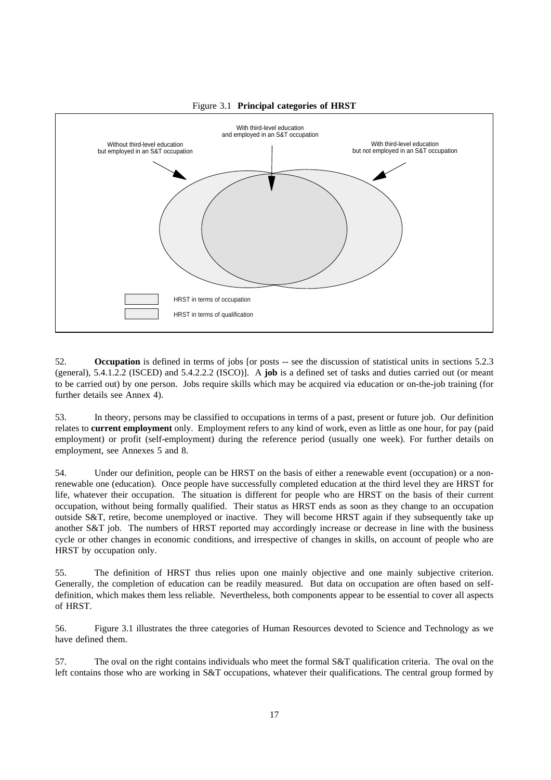

Figure 3.1 **Principal categories of HRST**

52. **Occupation** is defined in terms of jobs [or posts -- see the discussion of statistical units in sections 5.2.3 (general), 5.4.1.2.2 (ISCED) and 5.4.2.2.2 (ISCO)]. A **job** is a defined set of tasks and duties carried out (or meant to be carried out) by one person. Jobs require skills which may be acquired via education or on-the-job training (for further details see Annex 4).

53. In theory, persons may be classified to occupations in terms of a past, present or future job. Our definition relates to **current employment** only. Employment refers to any kind of work, even as little as one hour, for pay (paid employment) or profit (self-employment) during the reference period (usually one week). For further details on employment, see Annexes 5 and 8.

54. Under our definition, people can be HRST on the basis of either a renewable event (occupation) or a nonrenewable one (education). Once people have successfully completed education at the third level they are HRST for life, whatever their occupation. The situation is different for people who are HRST on the basis of their current occupation, without being formally qualified. Their status as HRST ends as soon as they change to an occupation outside S&T, retire, become unemployed or inactive. They will become HRST again if they subsequently take up another S&T job. The numbers of HRST reported may accordingly increase or decrease in line with the business cycle or other changes in economic conditions, and irrespective of changes in skills, on account of people who are HRST by occupation only.

55. The definition of HRST thus relies upon one mainly objective and one mainly subjective criterion. Generally, the completion of education can be readily measured. But data on occupation are often based on selfdefinition, which makes them less reliable. Nevertheless, both components appear to be essential to cover all aspects of HRST.

56. Figure 3.1 illustrates the three categories of Human Resources devoted to Science and Technology as we have defined them.

57. The oval on the right contains individuals who meet the formal S&T qualification criteria. The oval on the left contains those who are working in S&T occupations, whatever their qualifications. The central group formed by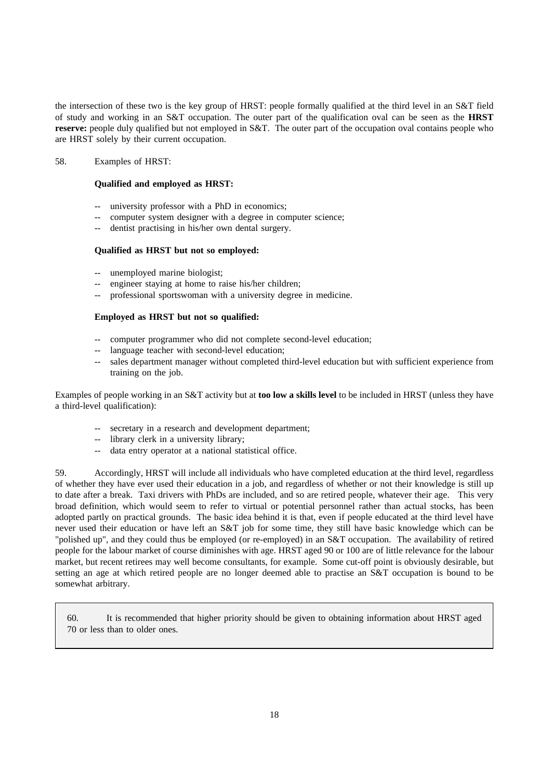the intersection of these two is the key group of HRST: people formally qualified at the third level in an S&T field of study and working in an S&T occupation. The outer part of the qualification oval can be seen as the **HRST reserve:** people duly qualified but not employed in S&T. The outer part of the occupation oval contains people who are HRST solely by their current occupation.

### 58. Examples of HRST:

### **Qualified and employed as HRST:**

- university professor with a PhD in economics;
- computer system designer with a degree in computer science;
- dentist practising in his/her own dental surgery.

### **Qualified as HRST but not so employed:**

- unemployed marine biologist;
- engineer staying at home to raise his/her children;
- -- professional sportswoman with a university degree in medicine.

### **Employed as HRST but not so qualified:**

- computer programmer who did not complete second-level education;
- -- language teacher with second-level education;
- sales department manager without completed third-level education but with sufficient experience from training on the job.

Examples of people working in an S&T activity but at **too low a skills level** to be included in HRST (unless they have a third-level qualification):

- -- secretary in a research and development department;
- -- library clerk in a university library;
- -- data entry operator at a national statistical office.

59. Accordingly, HRST will include all individuals who have completed education at the third level, regardless of whether they have ever used their education in a job, and regardless of whether or not their knowledge is still up to date after a break. Taxi drivers with PhDs are included, and so are retired people, whatever their age. This very broad definition, which would seem to refer to virtual or potential personnel rather than actual stocks, has been adopted partly on practical grounds. The basic idea behind it is that, even if people educated at the third level have never used their education or have left an S&T job for some time, they still have basic knowledge which can be "polished up", and they could thus be employed (or re-employed) in an S&T occupation. The availability of retired people for the labour market of course diminishes with age. HRST aged 90 or 100 are of little relevance for the labour market, but recent retirees may well become consultants, for example. Some cut-off point is obviously desirable, but setting an age at which retired people are no longer deemed able to practise an S&T occupation is bound to be somewhat arbitrary.

60. It is recommended that higher priority should be given to obtaining information about HRST aged 70 or less than to older ones.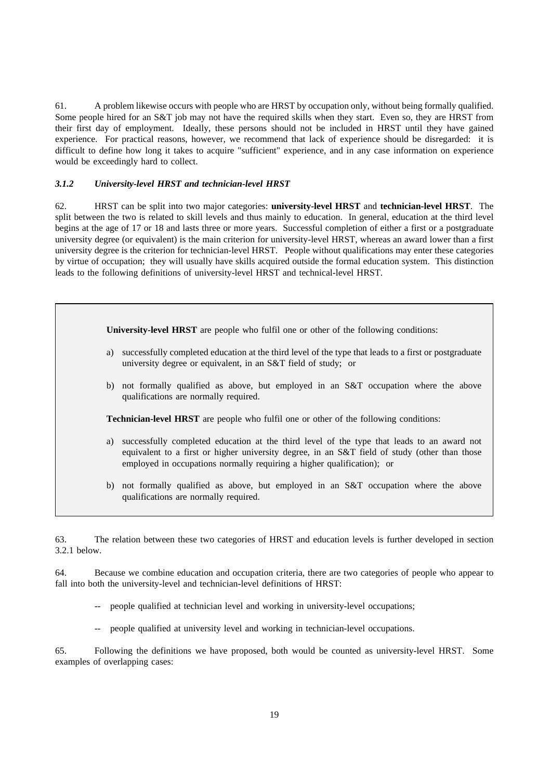61. A problem likewise occurs with people who are HRST by occupation only, without being formally qualified. Some people hired for an S&T job may not have the required skills when they start. Even so, they are HRST from their first day of employment. Ideally, these persons should not be included in HRST until they have gained experience. For practical reasons, however, we recommend that lack of experience should be disregarded: it is difficult to define how long it takes to acquire "sufficient" experience, and in any case information on experience would be exceedingly hard to collect.

### *3.1.2 University-level HRST and technician-level HRST*

62. HRST can be split into two major categories: **university-level HRST** and **technician-level HRST**. The split between the two is related to skill levels and thus mainly to education. In general, education at the third level begins at the age of 17 or 18 and lasts three or more years. Successful completion of either a first or a postgraduate university degree (or equivalent) is the main criterion for university-level HRST, whereas an award lower than a first university degree is the criterion for technician-level HRST. People without qualifications may enter these categories by virtue of occupation; they will usually have skills acquired outside the formal education system. This distinction leads to the following definitions of university-level HRST and technical-level HRST.

**University-level HRST** are people who fulfil one or other of the following conditions:

- a) successfully completed education at the third level of the type that leads to a first or postgraduate university degree or equivalent, in an S&T field of study; or
- b) not formally qualified as above, but employed in an S&T occupation where the above qualifications are normally required.

**Technician-level HRST** are people who fulfil one or other of the following conditions:

- a) successfully completed education at the third level of the type that leads to an award not equivalent to a first or higher university degree, in an S&T field of study (other than those employed in occupations normally requiring a higher qualification); or
- b) not formally qualified as above, but employed in an S&T occupation where the above qualifications are normally required.

63. The relation between these two categories of HRST and education levels is further developed in section 3.2.1 below.

64. Because we combine education and occupation criteria, there are two categories of people who appear to fall into both the university-level and technician-level definitions of HRST:

- people qualified at technician level and working in university-level occupations;
- people qualified at university level and working in technician-level occupations.

65. Following the definitions we have proposed, both would be counted as university-level HRST. Some examples of overlapping cases: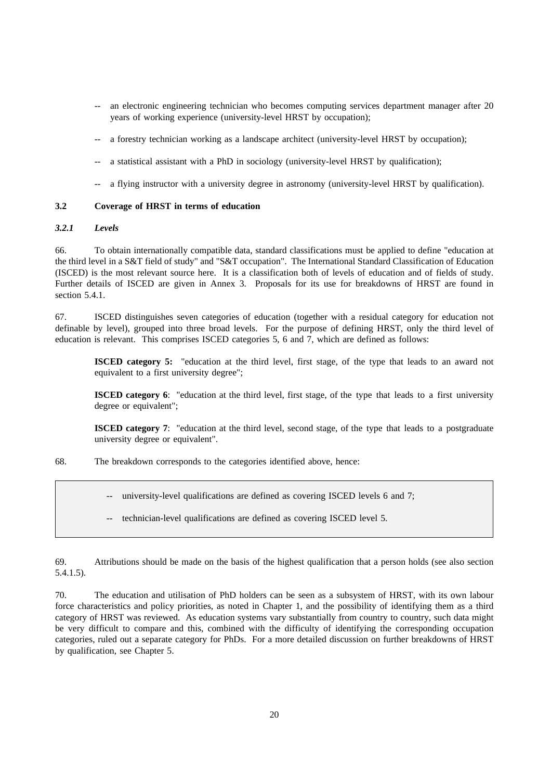- an electronic engineering technician who becomes computing services department manager after 20 years of working experience (university-level HRST by occupation);
- a forestry technician working as a landscape architect (university-level HRST by occupation);
- a statistical assistant with a PhD in sociology (university-level HRST by qualification);
- a flying instructor with a university degree in astronomy (university-level HRST by qualification).

#### **3.2 Coverage of HRST in terms of education**

# *3.2.1 Levels*

66. To obtain internationally compatible data, standard classifications must be applied to define "education at the third level in a S&T field of study" and "S&T occupation". The International Standard Classification of Education (ISCED) is the most relevant source here. It is a classification both of levels of education and of fields of study. Further details of ISCED are given in Annex 3. Proposals for its use for breakdowns of HRST are found in section 5.4.1.

67. ISCED distinguishes seven categories of education (together with a residual category for education not definable by level), grouped into three broad levels. For the purpose of defining HRST, only the third level of education is relevant. This comprises ISCED categories 5, 6 and 7, which are defined as follows:

**ISCED category 5:** "education at the third level, first stage, of the type that leads to an award not equivalent to a first university degree";

**ISCED category 6**: "education at the third level, first stage, of the type that leads to a first university degree or equivalent";

**ISCED category 7**: "education at the third level, second stage, of the type that leads to a postgraduate university degree or equivalent".

68. The breakdown corresponds to the categories identified above, hence:

university-level qualifications are defined as covering ISCED levels  $6$  and  $7$ ;

technician-level qualifications are defined as covering ISCED level 5.

69. Attributions should be made on the basis of the highest qualification that a person holds (see also section 5.4.1.5).

70. The education and utilisation of PhD holders can be seen as a subsystem of HRST, with its own labour force characteristics and policy priorities, as noted in Chapter 1, and the possibility of identifying them as a third category of HRST was reviewed. As education systems vary substantially from country to country, such data might be very difficult to compare and this, combined with the difficulty of identifying the corresponding occupation categories, ruled out a separate category for PhDs. For a more detailed discussion on further breakdowns of HRST by qualification, see Chapter 5.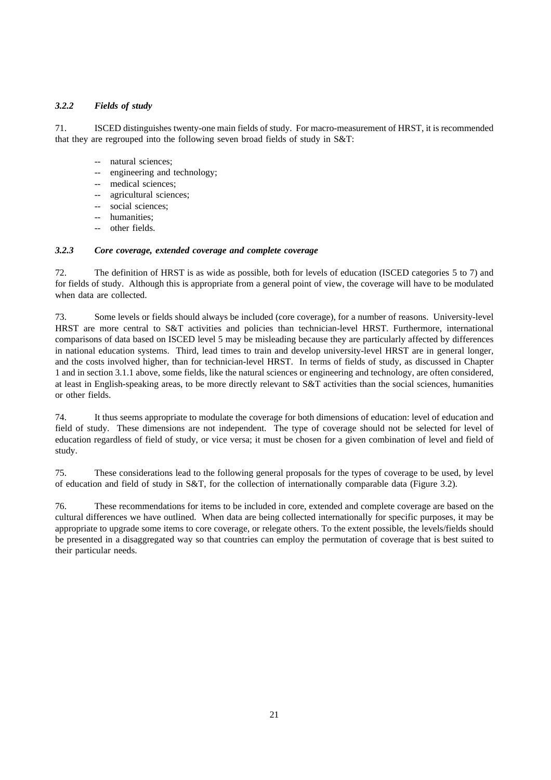## *3.2.2 Fields of study*

71. ISCED distinguishes twenty-one main fields of study. For macro-measurement of HRST, it is recommended that they are regrouped into the following seven broad fields of study in S&T:

- natural sciences;
- -- engineering and technology;
- -- medical sciences;
- agricultural sciences;
- -- social sciences;
- -- humanities;
- other fields.

## *3.2.3 Core coverage, extended coverage and complete coverage*

72. The definition of HRST is as wide as possible, both for levels of education (ISCED categories 5 to 7) and for fields of study. Although this is appropriate from a general point of view, the coverage will have to be modulated when data are collected.

73. Some levels or fields should always be included (core coverage), for a number of reasons. University-level HRST are more central to S&T activities and policies than technician-level HRST. Furthermore, international comparisons of data based on ISCED level 5 may be misleading because they are particularly affected by differences in national education systems. Third, lead times to train and develop university-level HRST are in general longer, and the costs involved higher, than for technician-level HRST. In terms of fields of study, as discussed in Chapter 1 and in section 3.1.1 above, some fields, like the natural sciences or engineering and technology, are often considered, at least in English-speaking areas, to be more directly relevant to S&T activities than the social sciences, humanities or other fields.

74. It thus seems appropriate to modulate the coverage for both dimensions of education: level of education and field of study. These dimensions are not independent. The type of coverage should not be selected for level of education regardless of field of study, or vice versa; it must be chosen for a given combination of level and field of study.

75. These considerations lead to the following general proposals for the types of coverage to be used, by level of education and field of study in S&T, for the collection of internationally comparable data (Figure 3.2).

76. These recommendations for items to be included in core, extended and complete coverage are based on the cultural differences we have outlined. When data are being collected internationally for specific purposes, it may be appropriate to upgrade some items to core coverage, or relegate others. To the extent possible, the levels/fields should be presented in a disaggregated way so that countries can employ the permutation of coverage that is best suited to their particular needs.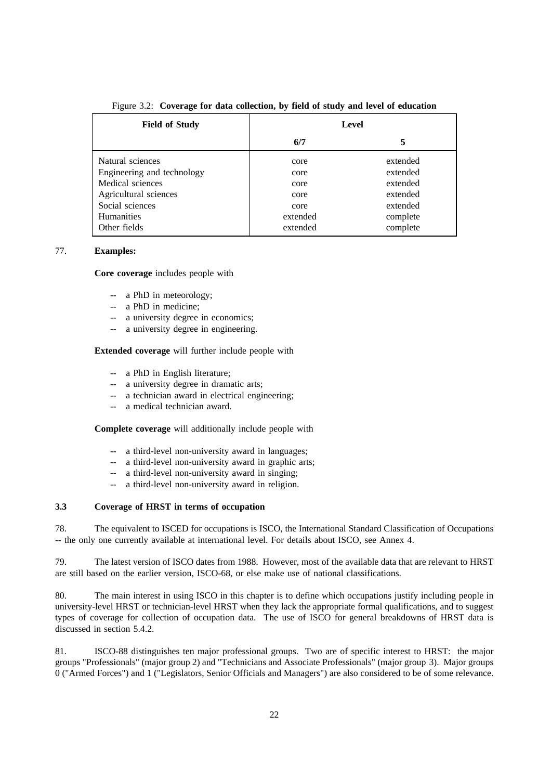# Figure 3.2: **Coverage for data collection, by field of study and level of education**

| <b>Field of Study</b>      | Level    |          |  |
|----------------------------|----------|----------|--|
|                            | 6/7      | 5        |  |
| Natural sciences           | core     | extended |  |
| Engineering and technology | core     | extended |  |
| Medical sciences           | core     | extended |  |
| Agricultural sciences      | core     | extended |  |
| Social sciences            | core     | extended |  |
| <b>Humanities</b>          | extended | complete |  |
| Other fields               | extended | complete |  |

## 77. **Examples:**

**Core coverage** includes people with

- -- a PhD in meteorology;
- -- a PhD in medicine;
- -- a university degree in economics;
- -- a university degree in engineering.

**Extended coverage** will further include people with

- -- a PhD in English literature;
- -- a university degree in dramatic arts;
- -- a technician award in electrical engineering;
- -- a medical technician award.

**Complete coverage** will additionally include people with

- -- a third-level non-university award in languages;
- -- a third-level non-university award in graphic arts;
- -- a third-level non-university award in singing;
- -- a third-level non-university award in religion.

## **3.3 Coverage of HRST in terms of occupation**

78. The equivalent to ISCED for occupations is ISCO, the International Standard Classification of Occupations -- the only one currently available at international level. For details about ISCO, see Annex 4.

79. The latest version of ISCO dates from 1988. However, most of the available data that are relevant to HRST are still based on the earlier version, ISCO-68, or else make use of national classifications.

80. The main interest in using ISCO in this chapter is to define which occupations justify including people in university-level HRST or technician-level HRST when they lack the appropriate formal qualifications, and to suggest types of coverage for collection of occupation data. The use of ISCO for general breakdowns of HRST data is discussed in section 5.4.2.

81. ISCO-88 distinguishes ten major professional groups. Two are of specific interest to HRST: the major groups "Professionals" (major group 2) and "Technicians and Associate Professionals" (major group 3). Major groups 0 ("Armed Forces") and 1 ("Legislators, Senior Officials and Managers") are also considered to be of some relevance.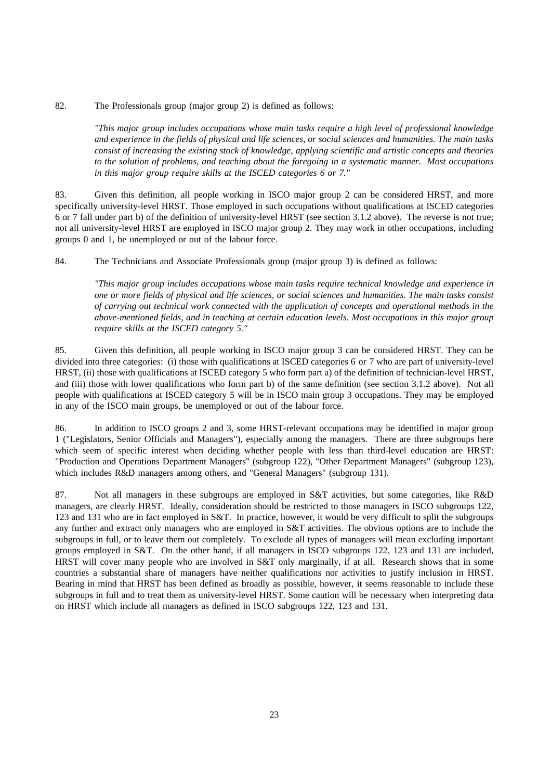82. The Professionals group (major group 2) is defined as follows:

*"This major group includes occupations whose main tasks require a high level of professional knowledge and experience in the fields of physical and life sciences, or social sciences and humanities. The main tasks consist of increasing the existing stock of knowledge, applying scientific and artistic concepts and theories to the solution of problems, and teaching about the foregoing in a systematic manner. Most occupations in this major group require skills at the ISCED categories 6 or 7."*

83. Given this definition, all people working in ISCO major group 2 can be considered HRST, and more specifically university-level HRST. Those employed in such occupations without qualifications at ISCED categories 6 or 7 fall under part b) of the definition of university-level HRST (see section 3.1.2 above). The reverse is not true; not all university-level HRST are employed in ISCO major group 2. They may work in other occupations, including groups 0 and 1, be unemployed or out of the labour force.

84. The Technicians and Associate Professionals group (major group 3) is defined as follows:

*"This major group includes occupations whose main tasks require technical knowledge and experience in one or more fields of physical and life sciences, or social sciences and humanities. The main tasks consist of carrying out technical work connected with the application of concepts and operational methods in the above-mentioned fields, and in teaching at certain education levels. Most occupations in this major group require skills at the ISCED category 5."*

85. Given this definition, all people working in ISCO major group 3 can be considered HRST. They can be divided into three categories: (i) those with qualifications at ISCED categories 6 or 7 who are part of university-level HRST, (ii) those with qualifications at ISCED category 5 who form part a) of the definition of technician-level HRST, and (iii) those with lower qualifications who form part b) of the same definition (see section 3.1.2 above). Not all people with qualifications at ISCED category 5 will be in ISCO main group 3 occupations. They may be employed in any of the ISCO main groups, be unemployed or out of the labour force.

86. In addition to ISCO groups 2 and 3, some HRST-relevant occupations may be identified in major group 1 ("Legislators, Senior Officials and Managers"), especially among the managers. There are three subgroups here which seem of specific interest when deciding whether people with less than third-level education are HRST: "Production and Operations Department Managers" (subgroup 122), "Other Department Managers" (subgroup 123), which includes R&D managers among others, and "General Managers" (subgroup 131).

87. Not all managers in these subgroups are employed in S&T activities, but some categories, like R&D managers, are clearly HRST. Ideally, consideration should be restricted to those managers in ISCO subgroups 122, 123 and 131 who are in fact employed in S&T. In practice, however, it would be very difficult to split the subgroups any further and extract only managers who are employed in S&T activities. The obvious options are to include the subgroups in full, or to leave them out completely. To exclude all types of managers will mean excluding important groups employed in S&T. On the other hand, if all managers in ISCO subgroups 122, 123 and 131 are included, HRST will cover many people who are involved in S&T only marginally, if at all. Research shows that in some countries a substantial share of managers have neither qualifications nor activities to justify inclusion in HRST. Bearing in mind that HRST has been defined as broadly as possible, however, it seems reasonable to include these subgroups in full and to treat them as university-level HRST. Some caution will be necessary when interpreting data on HRST which include all managers as defined in ISCO subgroups 122, 123 and 131.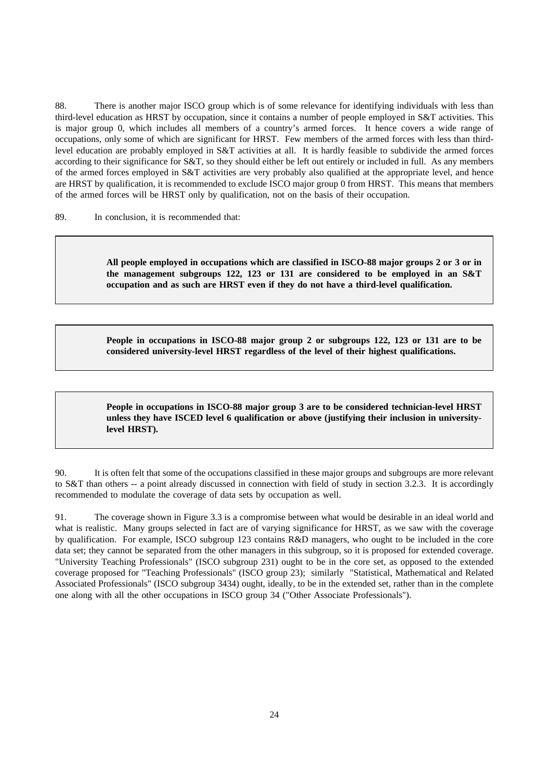88. There is another major ISCO group which is of some relevance for identifying individuals with less than third-level education as HRST by occupation, since it contains a number of people employed in S&T activities. This is major group 0, which includes all members of a country's armed forces. It hence covers a wide range of occupations, only some of which are significant for HRST. Few members of the armed forces with less than thirdlevel education are probably employed in S&T activities at all. It is hardly feasible to subdivide the armed forces according to their significance for S&T, so they should either be left out entirely or included in full. As any members of the armed forces employed in S&T activities are very probably also qualified at the appropriate level, and hence are HRST by qualification, it is recommended to exclude ISCO major group 0 from HRST. This means that members of the armed forces will be HRST only by qualification, not on the basis of their occupation.

89. In conclusion, it is recommended that:

**All people employed in occupations which are classified in ISCO-88 major groups 2 or 3 or in the management subgroups 122, 123 or 131 are considered to be employed in an S&T occupation and as such are HRST even if they do not have a third-level qualification.**

**People in occupations in ISCO-88 major group 2 or subgroups 122, 123 or 131 are to be considered university-level HRST regardless of the level of their highest qualifications.**

## **People in occupations in ISCO-88 major group 3 are to be considered technician-level HRST unless they have ISCED level 6 qualification or above (justifying their inclusion in universitylevel HRST).**

90. It is often felt that some of the occupations classified in these major groups and subgroups are more relevant to S&T than others -- a point already discussed in connection with field of study in section 3.2.3. It is accordingly recommended to modulate the coverage of data sets by occupation as well.

91. The coverage shown in Figure 3.3 is a compromise between what would be desirable in an ideal world and what is realistic. Many groups selected in fact are of varying significance for HRST, as we saw with the coverage by qualification. For example, ISCO subgroup 123 contains R&D managers, who ought to be included in the core data set; they cannot be separated from the other managers in this subgroup, so it is proposed for extended coverage. "University Teaching Professionals" (ISCO subgroup 231) ought to be in the core set, as opposed to the extended coverage proposed for "Teaching Professionals" (ISCO group 23); similarly "Statistical, Mathematical and Related Associated Professionals" (ISCO subgroup 3434) ought, ideally, to be in the extended set, rather than in the complete one along with all the other occupations in ISCO group 34 ("Other Associate Professionals").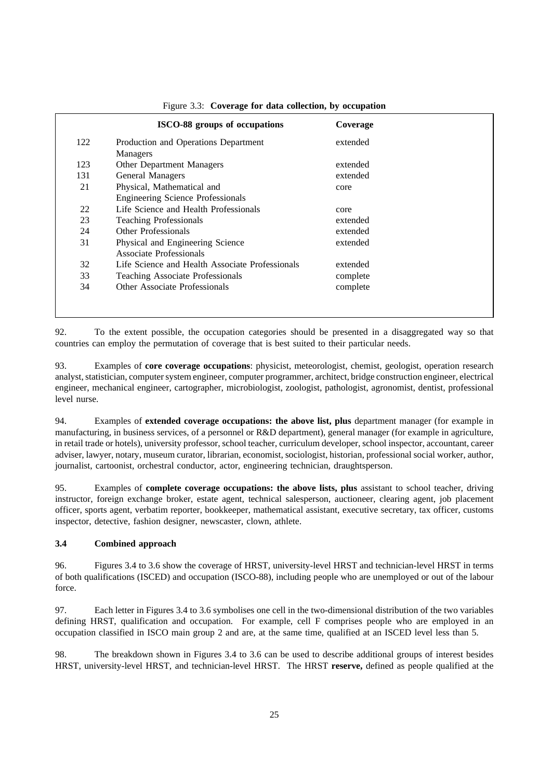|     | ISCO-88 groups of occupations                   | Coverage |  |
|-----|-------------------------------------------------|----------|--|
| 122 | Production and Operations Department            | extended |  |
|     | Managers                                        |          |  |
| 123 | <b>Other Department Managers</b>                | extended |  |
| 131 | <b>General Managers</b>                         | extended |  |
| 21  | Physical, Mathematical and                      | core     |  |
|     | <b>Engineering Science Professionals</b>        |          |  |
| 22  | Life Science and Health Professionals           | core     |  |
| 23  | <b>Teaching Professionals</b>                   | extended |  |
| 24  | Other Professionals                             | extended |  |
| 31  | Physical and Engineering Science                | extended |  |
|     | Associate Professionals                         |          |  |
| 32  | Life Science and Health Associate Professionals | extended |  |
| 33  | <b>Teaching Associate Professionals</b>         | complete |  |
| 34  | Other Associate Professionals                   | complete |  |
|     |                                                 |          |  |
|     |                                                 |          |  |

#### Figure 3.3: **Coverage for data collection, by occupation**

92. To the extent possible, the occupation categories should be presented in a disaggregated way so that countries can employ the permutation of coverage that is best suited to their particular needs.

93. Examples of **core coverage occupations**: physicist, meteorologist, chemist, geologist, operation research analyst, statistician, computer system engineer, computer programmer, architect, bridge construction engineer, electrical engineer, mechanical engineer, cartographer, microbiologist, zoologist, pathologist, agronomist, dentist, professional level nurse.

94. Examples of **extended coverage occupations: the above list, plus** department manager (for example in manufacturing, in business services, of a personnel or R&D department), general manager (for example in agriculture, in retail trade or hotels), university professor, school teacher, curriculum developer, school inspector, accountant, career adviser, lawyer, notary, museum curator, librarian, economist, sociologist, historian, professional social worker, author, journalist, cartoonist, orchestral conductor, actor, engineering technician, draughtsperson.

95. Examples of **complete coverage occupations: the above lists, plus** assistant to school teacher, driving instructor, foreign exchange broker, estate agent, technical salesperson, auctioneer, clearing agent, job placement officer, sports agent, verbatim reporter, bookkeeper, mathematical assistant, executive secretary, tax officer, customs inspector, detective, fashion designer, newscaster, clown, athlete.

## **3.4 Combined approach**

96. Figures 3.4 to 3.6 show the coverage of HRST, university-level HRST and technician-level HRST in terms of both qualifications (ISCED) and occupation (ISCO-88), including people who are unemployed or out of the labour force.

97. Each letter in Figures 3.4 to 3.6 symbolises one cell in the two-dimensional distribution of the two variables defining HRST, qualification and occupation. For example, cell F comprises people who are employed in an occupation classified in ISCO main group 2 and are, at the same time, qualified at an ISCED level less than 5.

98. The breakdown shown in Figures 3.4 to 3.6 can be used to describe additional groups of interest besides HRST, university-level HRST, and technician-level HRST. The HRST **reserve,** defined as people qualified at the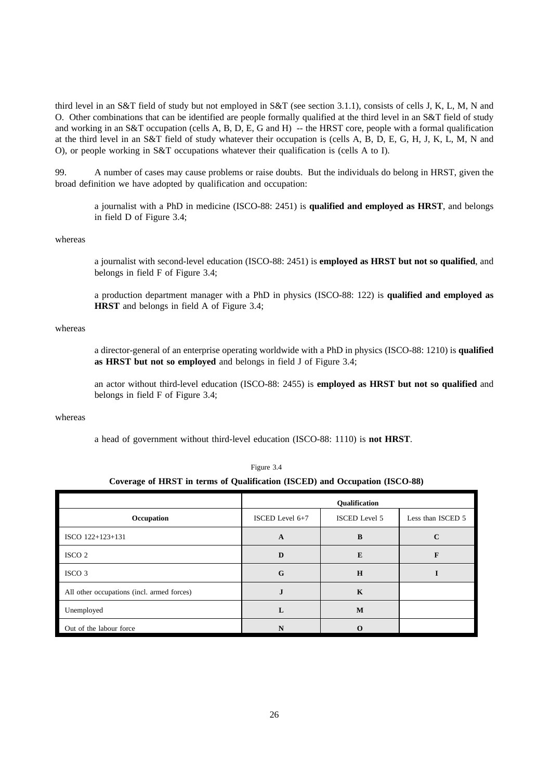third level in an S&T field of study but not employed in S&T (see section 3.1.1), consists of cells J, K, L, M, N and O. Other combinations that can be identified are people formally qualified at the third level in an S&T field of study and working in an S&T occupation (cells A, B, D, E, G and H)  $-$  the HRST core, people with a formal qualification at the third level in an S&T field of study whatever their occupation is (cells A, B, D, E, G, H, J, K, L, M, N and O), or people working in S&T occupations whatever their qualification is (cells A to I).

99. A number of cases may cause problems or raise doubts. But the individuals do belong in HRST, given the broad definition we have adopted by qualification and occupation:

a journalist with a PhD in medicine (ISCO-88: 2451) is **qualified and employed as HRST**, and belongs in field D of Figure 3.4;

whereas

a journalist with second-level education (ISCO-88: 2451) is **employed as HRST but not so qualified**, and belongs in field F of Figure 3.4;

a production department manager with a PhD in physics (ISCO-88: 122) is **qualified and employed as HRST** and belongs in field A of Figure 3.4;

### whereas

a director-general of an enterprise operating worldwide with a PhD in physics (ISCO-88: 1210) is **qualified as HRST but not so employed** and belongs in field J of Figure 3.4;

an actor without third-level education (ISCO-88: 2455) is **employed as HRST but not so qualified** and belongs in field F of Figure 3.4;

#### whereas

a head of government without third-level education (ISCO-88: 1110) is **not HRST**.

|                                            | <b>Qualification</b>                                         |         |             |  |
|--------------------------------------------|--------------------------------------------------------------|---------|-------------|--|
| Occupation                                 | <b>ISCED</b> Level 5<br>ISCED Level 6+7<br>Less than ISCED 5 |         |             |  |
| ISCO 122+123+131                           | A                                                            | B       | $\mathbf C$ |  |
| ISCO <sub>2</sub>                          | D                                                            | E       | F           |  |
| ISCO <sub>3</sub>                          | G                                                            | $\bf H$ |             |  |
| All other occupations (incl. armed forces) |                                                              | K       |             |  |
| Unemployed                                 |                                                              | M       |             |  |
| Out of the labour force                    |                                                              |         |             |  |

Figure 3.4 **Coverage of HRST in terms of Qualification (ISCED) and Occupation (ISCO-88)**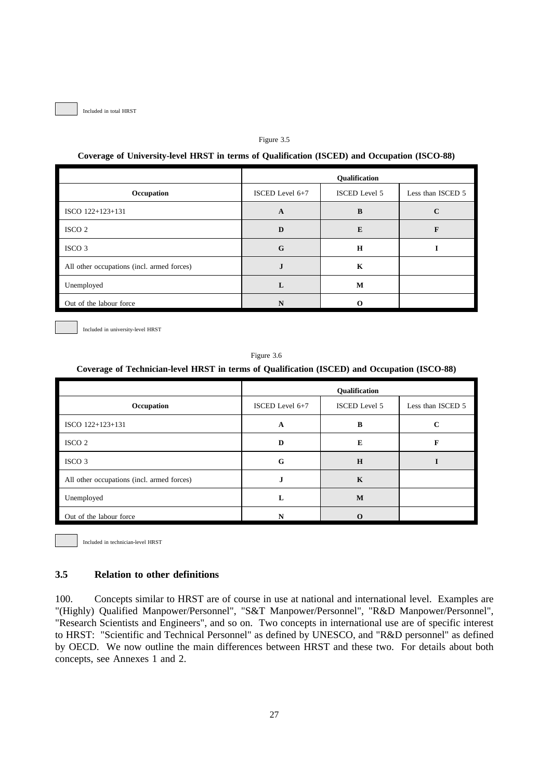Included in total HRST

#### Figure 3.5

#### **Coverage of University-level HRST in terms of Qualification (ISCED) and Occupation (ISCO-88)**

|                                            | <b>Qualification</b> |                      |                   |  |
|--------------------------------------------|----------------------|----------------------|-------------------|--|
| Occupation                                 | ISCED Level 6+7      | <b>ISCED</b> Level 5 | Less than ISCED 5 |  |
| ISCO 122+123+131                           | A                    | в                    | C                 |  |
| ISCO <sub>2</sub>                          | D                    | E                    | F                 |  |
| ISCO <sub>3</sub>                          | G                    | $\mathbf H$          |                   |  |
| All other occupations (incl. armed forces) |                      | K                    |                   |  |
| Unemployed                                 |                      | М                    |                   |  |
| Out of the labour force                    |                      |                      |                   |  |

Included in university-level HRST

Figure 3.6

### **Coverage of Technician-level HRST in terms of Qualification (ISCED) and Occupation (ISCO-88)**

|                                            | Qualification                                                  |   |   |  |
|--------------------------------------------|----------------------------------------------------------------|---|---|--|
| Occupation                                 | ISCED Level $6+7$<br><b>ISCED</b> Level 5<br>Less than ISCED 5 |   |   |  |
| ISCO 122+123+131                           | A                                                              | в | C |  |
| ISCO <sub>2</sub>                          | D                                                              | E |   |  |
| ISCO <sub>3</sub>                          | G                                                              | H |   |  |
| All other occupations (incl. armed forces) |                                                                | K |   |  |
| Unemployed                                 | L                                                              | M |   |  |
| Out of the labour force                    |                                                                |   |   |  |

Included in technician-level HRST

# **3.5 Relation to other definitions**

100. Concepts similar to HRST are of course in use at national and international level. Examples are "(Highly) Qualified Manpower/Personnel", "S&T Manpower/Personnel", "R&D Manpower/Personnel", "Research Scientists and Engineers", and so on. Two concepts in international use are of specific interest to HRST: "Scientific and Technical Personnel" as defined by UNESCO, and "R&D personnel" as defined by OECD. We now outline the main differences between HRST and these two. For details about both concepts, see Annexes 1 and 2.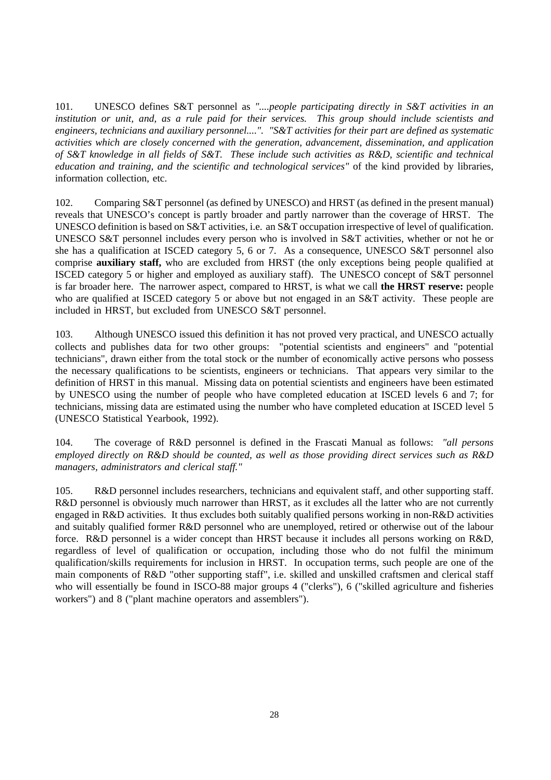101. UNESCO defines S&T personnel as *"....people participating directly in S&T activities in an institution or unit, and, as a rule paid for their services. This group should include scientists and engineers, technicians and auxiliary personnel....". "S&T activities for their part are defined as systematic activities which are closely concerned with the generation, advancement, dissemination, and application of S&T knowledge in all fields of S&T. These include such activities as R&D, scientific and technical education and training, and the scientific and technological services"* of the kind provided by libraries, information collection, etc.

102. Comparing S&T personnel (as defined by UNESCO) and HRST (as defined in the present manual) reveals that UNESCO's concept is partly broader and partly narrower than the coverage of HRST. The UNESCO definition is based on S&T activities, i.e. an S&T occupation irrespective of level of qualification. UNESCO S&T personnel includes every person who is involved in S&T activities, whether or not he or she has a qualification at ISCED category 5, 6 or 7. As a consequence, UNESCO S&T personnel also comprise **auxiliary staff,** who are excluded from HRST (the only exceptions being people qualified at ISCED category 5 or higher and employed as auxiliary staff). The UNESCO concept of S&T personnel is far broader here. The narrower aspect, compared to HRST, is what we call **the HRST reserve:** people who are qualified at ISCED category 5 or above but not engaged in an S&T activity. These people are included in HRST, but excluded from UNESCO S&T personnel.

103. Although UNESCO issued this definition it has not proved very practical, and UNESCO actually collects and publishes data for two other groups: "potential scientists and engineers" and "potential technicians", drawn either from the total stock or the number of economically active persons who possess the necessary qualifications to be scientists, engineers or technicians. That appears very similar to the definition of HRST in this manual. Missing data on potential scientists and engineers have been estimated by UNESCO using the number of people who have completed education at ISCED levels 6 and 7; for technicians, missing data are estimated using the number who have completed education at ISCED level 5 (UNESCO Statistical Yearbook, 1992).

104. The coverage of R&D personnel is defined in the Frascati Manual as follows: *"all persons employed directly on R&D should be counted, as well as those providing direct services such as R&D managers, administrators and clerical staff."*

105. R&D personnel includes researchers, technicians and equivalent staff, and other supporting staff. R&D personnel is obviously much narrower than HRST, as it excludes all the latter who are not currently engaged in R&D activities. It thus excludes both suitably qualified persons working in non-R&D activities and suitably qualified former R&D personnel who are unemployed, retired or otherwise out of the labour force. R&D personnel is a wider concept than HRST because it includes all persons working on R&D, regardless of level of qualification or occupation, including those who do not fulfil the minimum qualification/skills requirements for inclusion in HRST. In occupation terms, such people are one of the main components of R&D "other supporting staff", i.e. skilled and unskilled craftsmen and clerical staff who will essentially be found in ISCO-88 major groups 4 ("clerks"), 6 ("skilled agriculture and fisheries workers") and 8 ("plant machine operators and assemblers").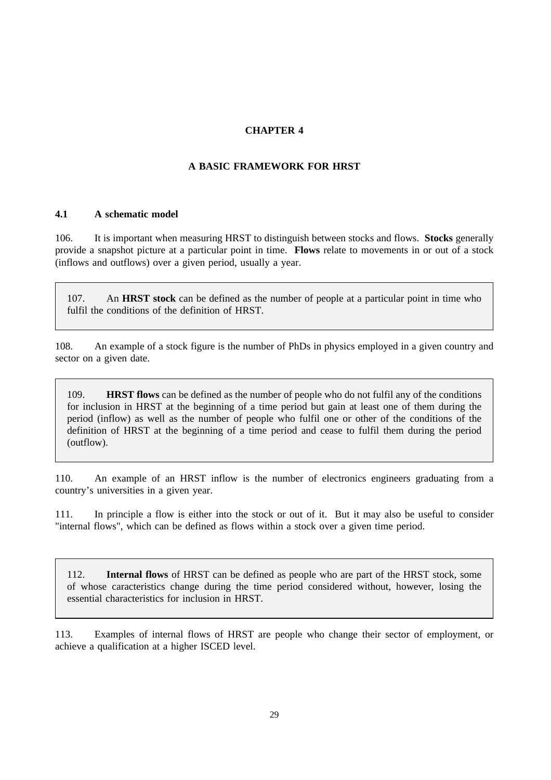# **CHAPTER 4**

# **A BASIC FRAMEWORK FOR HRST**

# **4.1 A schematic model**

106. It is important when measuring HRST to distinguish between stocks and flows. **Stocks** generally provide a snapshot picture at a particular point in time. **Flows** relate to movements in or out of a stock (inflows and outflows) over a given period, usually a year.

107. An **HRST stock** can be defined as the number of people at a particular point in time who fulfil the conditions of the definition of HRST.

108. An example of a stock figure is the number of PhDs in physics employed in a given country and sector on a given date.

109. **HRST flows** can be defined as the number of people who do not fulfil any of the conditions for inclusion in HRST at the beginning of a time period but gain at least one of them during the period (inflow) as well as the number of people who fulfil one or other of the conditions of the definition of HRST at the beginning of a time period and cease to fulfil them during the period (outflow).

110. An example of an HRST inflow is the number of electronics engineers graduating from a country's universities in a given year.

111. In principle a flow is either into the stock or out of it. But it may also be useful to consider "internal flows", which can be defined as flows within a stock over a given time period.

112. **Internal flows** of HRST can be defined as people who are part of the HRST stock, some of whose caracteristics change during the time period considered without, however, losing the essential characteristics for inclusion in HRST.

113. Examples of internal flows of HRST are people who change their sector of employment, or achieve a qualification at a higher ISCED level.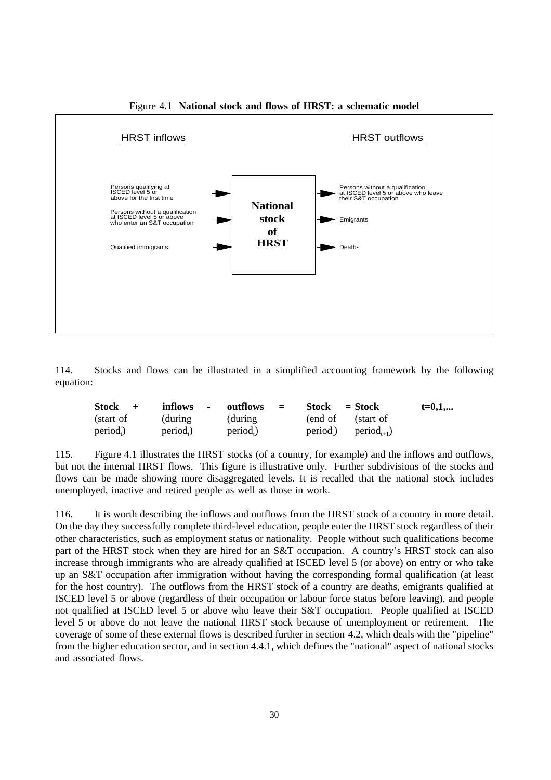

Figure 4.1 **National stock and flows of HRST: a schematic model**

114. Stocks and flows can be illustrated in a simplified accounting framework by the following equation:

| Stock +  | inflows - | outflows | $=$ | Stock            | $=$ Stock                                           | $t=0,1,$ |
|----------|-----------|----------|-----|------------------|-----------------------------------------------------|----------|
| start of | (during)  | (during) |     | end of (start of |                                                     |          |
| period.) | period.)  | period.) |     |                  | $period_{t+1}$ period <sub><math>t+1</math></sub> ) |          |

115. Figure 4.1 illustrates the HRST stocks (of a country, for example) and the inflows and outflows, but not the internal HRST flows. This figure is illustrative only. Further subdivisions of the stocks and flows can be made showing more disaggregated levels. It is recalled that the national stock includes unemployed, inactive and retired people as well as those in work.

116. It is worth describing the inflows and outflows from the HRST stock of a country in more detail. On the day they successfully complete third-level education, people enter the HRST stock regardless of their other characteristics, such as employment status or nationality. People without such qualifications become part of the HRST stock when they are hired for an S&T occupation. A country's HRST stock can also increase through immigrants who are already qualified at ISCED level 5 (or above) on entry or who take up an S&T occupation after immigration without having the corresponding formal qualification (at least for the host country). The outflows from the HRST stock of a country are deaths, emigrants qualified at ISCED level 5 or above (regardless of their occupation or labour force status before leaving), and people not qualified at ISCED level 5 or above who leave their S&T occupation. People qualified at ISCED level 5 or above do not leave the national HRST stock because of unemployment or retirement. The coverage of some of these external flows is described further in section 4.2, which deals with the "pipeline" from the higher education sector, and in section 4.4.1, which defines the "national" aspect of national stocks and associated flows.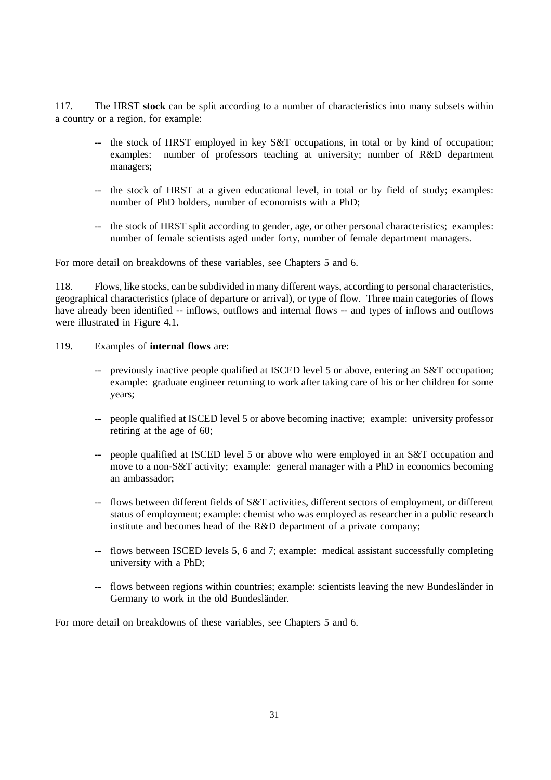117. The HRST **stock** can be split according to a number of characteristics into many subsets within a country or a region, for example:

- -- the stock of HRST employed in key S&T occupations, in total or by kind of occupation; examples: number of professors teaching at university; number of R&D department managers;
- -- the stock of HRST at a given educational level, in total or by field of study; examples: number of PhD holders, number of economists with a PhD;
- -- the stock of HRST split according to gender, age, or other personal characteristics; examples: number of female scientists aged under forty, number of female department managers.

For more detail on breakdowns of these variables, see Chapters 5 and 6.

118. Flows, like stocks, can be subdivided in many different ways, according to personal characteristics, geographical characteristics (place of departure or arrival), or type of flow. Three main categories of flows have already been identified -- inflows, outflows and internal flows -- and types of inflows and outflows were illustrated in Figure 4.1.

## 119. Examples of **internal flows** are:

- previously inactive people qualified at ISCED level 5 or above, entering an S&T occupation; example: graduate engineer returning to work after taking care of his or her children for some years;
- -- people qualified at ISCED level 5 or above becoming inactive; example: university professor retiring at the age of 60;
- -- people qualified at ISCED level 5 or above who were employed in an S&T occupation and move to a non-S&T activity; example: general manager with a PhD in economics becoming an ambassador;
- -- flows between different fields of S&T activities, different sectors of employment, or different status of employment; example: chemist who was employed as researcher in a public research institute and becomes head of the R&D department of a private company;
- -- flows between ISCED levels 5, 6 and 7; example: medical assistant successfully completing university with a PhD;
- -- flows between regions within countries; example: scientists leaving the new Bundesländer in Germany to work in the old Bundesländer.

For more detail on breakdowns of these variables, see Chapters 5 and 6.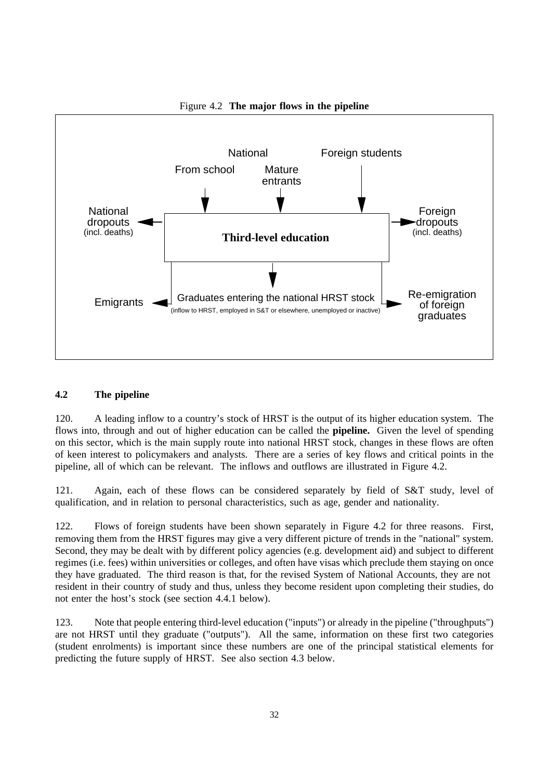

Figure 4.2 **The major flows in the pipeline**

# **4.2 The pipeline**

120. A leading inflow to a country's stock of HRST is the output of its higher education system. The flows into, through and out of higher education can be called the **pipeline.** Given the level of spending on this sector, which is the main supply route into national HRST stock, changes in these flows are often of keen interest to policymakers and analysts. There are a series of key flows and critical points in the pipeline, all of which can be relevant. The inflows and outflows are illustrated in Figure 4.2.

121. Again, each of these flows can be considered separately by field of S&T study, level of qualification, and in relation to personal characteristics, such as age, gender and nationality.

122. Flows of foreign students have been shown separately in Figure 4.2 for three reasons. First, removing them from the HRST figures may give a very different picture of trends in the "national" system. Second, they may be dealt with by different policy agencies (e.g. development aid) and subject to different regimes (i.e. fees) within universities or colleges, and often have visas which preclude them staying on once they have graduated. The third reason is that, for the revised System of National Accounts, they are not resident in their country of study and thus, unless they become resident upon completing their studies, do not enter the host's stock (see section 4.4.1 below).

123. Note that people entering third-level education ("inputs") or already in the pipeline ("throughputs") are not HRST until they graduate ("outputs"). All the same, information on these first two categories (student enrolments) is important since these numbers are one of the principal statistical elements for predicting the future supply of HRST. See also section 4.3 below.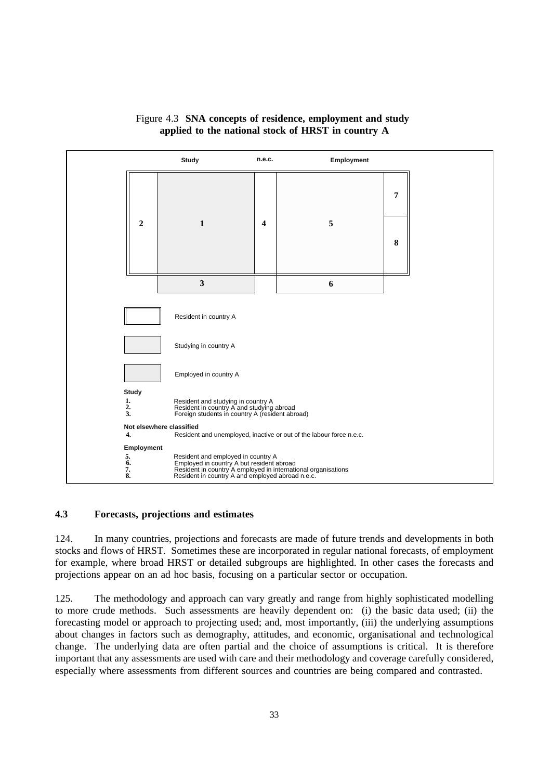

# Figure 4.3 **SNA concepts of residence, employment and study applied to the national stock of HRST in country A**

# **4.3 Forecasts, projections and estimates**

124. In many countries, projections and forecasts are made of future trends and developments in both stocks and flows of HRST. Sometimes these are incorporated in regular national forecasts, of employment for example, where broad HRST or detailed subgroups are highlighted. In other cases the forecasts and projections appear on an ad hoc basis, focusing on a particular sector or occupation.

125. The methodology and approach can vary greatly and range from highly sophisticated modelling to more crude methods. Such assessments are heavily dependent on: (i) the basic data used; (ii) the forecasting model or approach to projecting used; and, most importantly, (iii) the underlying assumptions about changes in factors such as demography, attitudes, and economic, organisational and technological change. The underlying data are often partial and the choice of assumptions is critical. It is therefore important that any assessments are used with care and their methodology and coverage carefully considered, especially where assessments from different sources and countries are being compared and contrasted.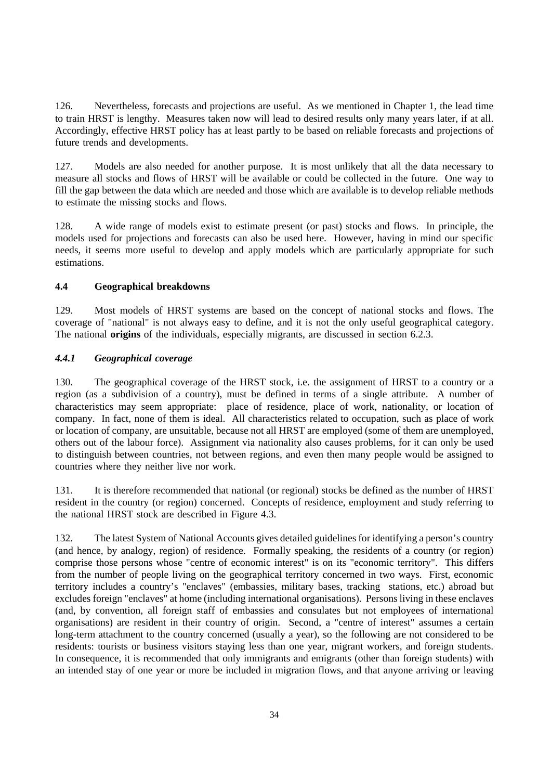126. Nevertheless, forecasts and projections are useful. As we mentioned in Chapter 1, the lead time to train HRST is lengthy. Measures taken now will lead to desired results only many years later, if at all. Accordingly, effective HRST policy has at least partly to be based on reliable forecasts and projections of future trends and developments.

127. Models are also needed for another purpose. It is most unlikely that all the data necessary to measure all stocks and flows of HRST will be available or could be collected in the future. One way to fill the gap between the data which are needed and those which are available is to develop reliable methods to estimate the missing stocks and flows.

128. A wide range of models exist to estimate present (or past) stocks and flows. In principle, the models used for projections and forecasts can also be used here. However, having in mind our specific needs, it seems more useful to develop and apply models which are particularly appropriate for such estimations.

# **4.4 Geographical breakdowns**

129. Most models of HRST systems are based on the concept of national stocks and flows. The coverage of "national" is not always easy to define, and it is not the only useful geographical category. The national **origins** of the individuals, especially migrants, are discussed in section 6.2.3.

# *4.4.1 Geographical coverage*

130. The geographical coverage of the HRST stock, i.e. the assignment of HRST to a country or a region (as a subdivision of a country), must be defined in terms of a single attribute. A number of characteristics may seem appropriate: place of residence, place of work, nationality, or location of company. In fact, none of them is ideal. All characteristics related to occupation, such as place of work or location of company, are unsuitable, because not all HRST are employed (some of them are unemployed, others out of the labour force). Assignment via nationality also causes problems, for it can only be used to distinguish between countries, not between regions, and even then many people would be assigned to countries where they neither live nor work.

131. It is therefore recommended that national (or regional) stocks be defined as the number of HRST resident in the country (or region) concerned. Concepts of residence, employment and study referring to the national HRST stock are described in Figure 4.3.

132. The latest System of National Accounts gives detailed guidelines for identifying a person's country (and hence, by analogy, region) of residence. Formally speaking, the residents of a country (or region) comprise those persons whose "centre of economic interest" is on its "economic territory". This differs from the number of people living on the geographical territory concerned in two ways. First, economic territory includes a country's "enclaves" (embassies, military bases, tracking stations, etc.) abroad but excludes foreign "enclaves" at home (including international organisations). Persons living in these enclaves (and, by convention, all foreign staff of embassies and consulates but not employees of international organisations) are resident in their country of origin. Second, a "centre of interest" assumes a certain long-term attachment to the country concerned (usually a year), so the following are not considered to be residents: tourists or business visitors staying less than one year, migrant workers, and foreign students. In consequence, it is recommended that only immigrants and emigrants (other than foreign students) with an intended stay of one year or more be included in migration flows, and that anyone arriving or leaving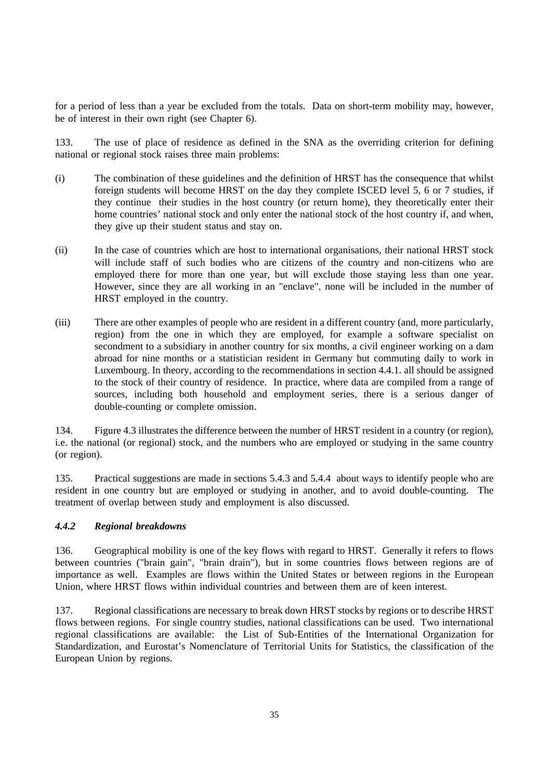for a period of less than a year be excluded from the totals. Data on short-term mobility may, however, be of interest in their own right (see Chapter 6).

133. The use of place of residence as defined in the SNA as the overriding criterion for defining national or regional stock raises three main problems:

- (i) The combination of these guidelines and the definition of HRST has the consequence that whilst foreign students will become HRST on the day they complete ISCED level 5, 6 or 7 studies, if they continue their studies in the host country (or return home), they theoretically enter their home countries' national stock and only enter the national stock of the host country if, and when, they give up their student status and stay on.
- (ii) In the case of countries which are host to international organisations, their national HRST stock will include staff of such bodies who are citizens of the country and non-citizens who are employed there for more than one year, but will exclude those staying less than one year. However, since they are all working in an "enclave", none will be included in the number of HRST employed in the country.
- (iii) There are other examples of people who are resident in a different country (and, more particularly, region) from the one in which they are employed, for example a software specialist on secondment to a subsidiary in another country for six months, a civil engineer working on a dam abroad for nine months or a statistician resident in Germany but commuting daily to work in Luxembourg. In theory, according to the recommendations in section 4.4.1. all should be assigned to the stock of their country of residence. In practice, where data are compiled from a range of sources, including both household and employment series, there is a serious danger of double-counting or complete omission.

134. Figure 4.3 illustrates the difference between the number of HRST resident in a country (or region), i.e. the national (or regional) stock, and the numbers who are employed or studying in the same country (or region).

135. Practical suggestions are made in sections 5.4.3 and 5.4.4 about ways to identify people who are resident in one country but are employed or studying in another, and to avoid double-counting. The treatment of overlap between study and employment is also discussed.

# *4.4.2 Regional breakdowns*

136. Geographical mobility is one of the key flows with regard to HRST. Generally it refers to flows between countries ("brain gain", "brain drain"), but in some countries flows between regions are of importance as well. Examples are flows within the United States or between regions in the European Union, where HRST flows within individual countries and between them are of keen interest.

137. Regional classifications are necessary to break down HRST stocks by regions or to describe HRST flows between regions. For single country studies, national classifications can be used. Two international regional classifications are available: the List of Sub-Entities of the International Organization for Standardization, and Eurostat's Nomenclature of Territorial Units for Statistics, the classification of the European Union by regions.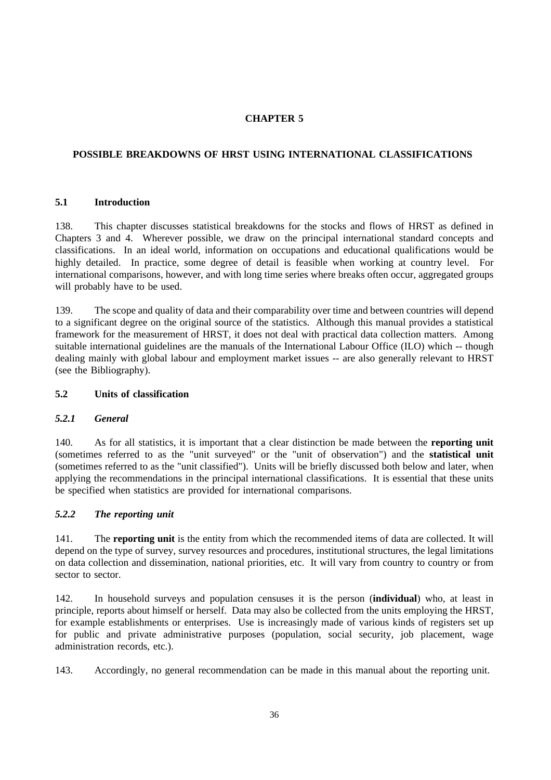# **CHAPTER 5**

# **POSSIBLE BREAKDOWNS OF HRST USING INTERNATIONAL CLASSIFICATIONS**

# **5.1 Introduction**

138. This chapter discusses statistical breakdowns for the stocks and flows of HRST as defined in Chapters 3 and 4. Wherever possible, we draw on the principal international standard concepts and classifications. In an ideal world, information on occupations and educational qualifications would be highly detailed. In practice, some degree of detail is feasible when working at country level. For international comparisons, however, and with long time series where breaks often occur, aggregated groups will probably have to be used.

139. The scope and quality of data and their comparability over time and between countries will depend to a significant degree on the original source of the statistics. Although this manual provides a statistical framework for the measurement of HRST, it does not deal with practical data collection matters. Among suitable international guidelines are the manuals of the International Labour Office (ILO) which -- though dealing mainly with global labour and employment market issues -- are also generally relevant to HRST (see the Bibliography).

# **5.2 Units of classification**

## *5.2.1 General*

140. As for all statistics, it is important that a clear distinction be made between the **reporting unit** (sometimes referred to as the "unit surveyed" or the "unit of observation") and the **statistical unit** (sometimes referred to as the "unit classified"). Units will be briefly discussed both below and later, when applying the recommendations in the principal international classifications. It is essential that these units be specified when statistics are provided for international comparisons.

# *5.2.2 The reporting unit*

141. The **reporting unit** is the entity from which the recommended items of data are collected. It will depend on the type of survey, survey resources and procedures, institutional structures, the legal limitations on data collection and dissemination, national priorities, etc. It will vary from country to country or from sector to sector.

142. In household surveys and population censuses it is the person (**individual**) who, at least in principle, reports about himself or herself. Data may also be collected from the units employing the HRST, for example establishments or enterprises. Use is increasingly made of various kinds of registers set up for public and private administrative purposes (population, social security, job placement, wage administration records, etc.).

143. Accordingly, no general recommendation can be made in this manual about the reporting unit.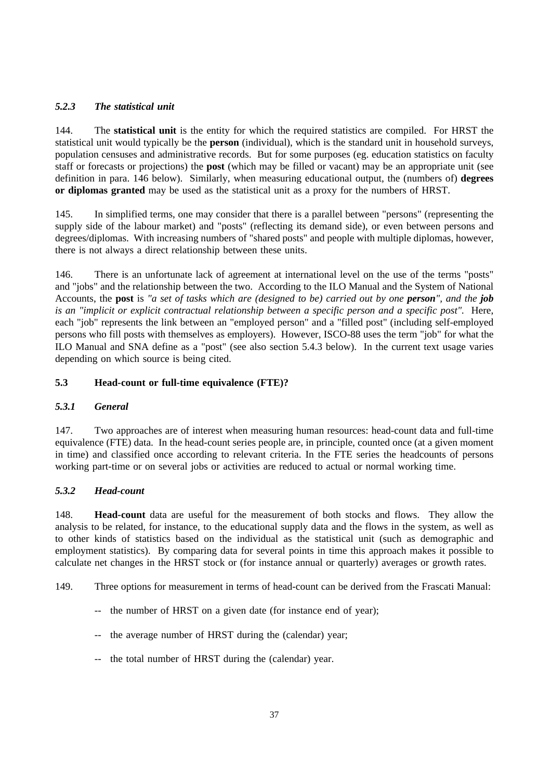# *5.2.3 The statistical unit*

144. The **statistical unit** is the entity for which the required statistics are compiled. For HRST the statistical unit would typically be the **person** (individual), which is the standard unit in household surveys, population censuses and administrative records. But for some purposes (eg. education statistics on faculty staff or forecasts or projections) the **post** (which may be filled or vacant) may be an appropriate unit (see definition in para. 146 below). Similarly, when measuring educational output, the (numbers of) **degrees or diplomas granted** may be used as the statistical unit as a proxy for the numbers of HRST.

145. In simplified terms, one may consider that there is a parallel between "persons" (representing the supply side of the labour market) and "posts" (reflecting its demand side), or even between persons and degrees/diplomas. With increasing numbers of "shared posts" and people with multiple diplomas, however, there is not always a direct relationship between these units.

146. There is an unfortunate lack of agreement at international level on the use of the terms "posts" and "jobs" and the relationship between the two. According to the ILO Manual and the System of National Accounts, the **post** is *"a set of tasks which are (designed to be) carried out by one person", and the job is an "implicit or explicit contractual relationship between a specific person and a specific post".* Here, each "job" represents the link between an "employed person" and a "filled post" (including self-employed persons who fill posts with themselves as employers). However, ISCO-88 uses the term "job" for what the ILO Manual and SNA define as a "post" (see also section 5.4.3 below). In the current text usage varies depending on which source is being cited.

# **5.3 Head-count or full-time equivalence (FTE)?**

## *5.3.1 General*

147. Two approaches are of interest when measuring human resources: head-count data and full-time equivalence (FTE) data. In the head-count series people are, in principle, counted once (at a given moment in time) and classified once according to relevant criteria. In the FTE series the headcounts of persons working part-time or on several jobs or activities are reduced to actual or normal working time.

## *5.3.2 Head-count*

148. **Head-count** data are useful for the measurement of both stocks and flows. They allow the analysis to be related, for instance, to the educational supply data and the flows in the system, as well as to other kinds of statistics based on the individual as the statistical unit (such as demographic and employment statistics). By comparing data for several points in time this approach makes it possible to calculate net changes in the HRST stock or (for instance annual or quarterly) averages or growth rates.

- 149. Three options for measurement in terms of head-count can be derived from the Frascati Manual:
	- the number of HRST on a given date (for instance end of year);
	- -- the average number of HRST during the (calendar) year;
	- -- the total number of HRST during the (calendar) year.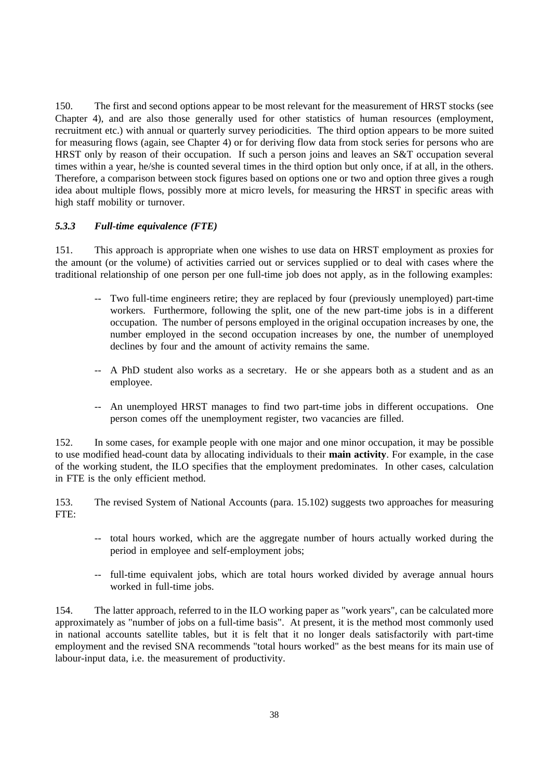150. The first and second options appear to be most relevant for the measurement of HRST stocks (see Chapter 4), and are also those generally used for other statistics of human resources (employment, recruitment etc.) with annual or quarterly survey periodicities. The third option appears to be more suited for measuring flows (again, see Chapter 4) or for deriving flow data from stock series for persons who are HRST only by reason of their occupation. If such a person joins and leaves an S&T occupation several times within a year, he/she is counted several times in the third option but only once, if at all, in the others. Therefore, a comparison between stock figures based on options one or two and option three gives a rough idea about multiple flows, possibly more at micro levels, for measuring the HRST in specific areas with high staff mobility or turnover.

## *5.3.3 Full-time equivalence (FTE)*

151. This approach is appropriate when one wishes to use data on HRST employment as proxies for the amount (or the volume) of activities carried out or services supplied or to deal with cases where the traditional relationship of one person per one full-time job does not apply, as in the following examples:

- -- Two full-time engineers retire; they are replaced by four (previously unemployed) part-time workers. Furthermore, following the split, one of the new part-time jobs is in a different occupation. The number of persons employed in the original occupation increases by one, the number employed in the second occupation increases by one, the number of unemployed declines by four and the amount of activity remains the same.
- -- A PhD student also works as a secretary. He or she appears both as a student and as an employee.
- -- An unemployed HRST manages to find two part-time jobs in different occupations. One person comes off the unemployment register, two vacancies are filled.

152. In some cases, for example people with one major and one minor occupation, it may be possible to use modified head-count data by allocating individuals to their **main activity**. For example, in the case of the working student, the ILO specifies that the employment predominates. In other cases, calculation in FTE is the only efficient method.

153. The revised System of National Accounts (para. 15.102) suggests two approaches for measuring FTE:

- total hours worked, which are the aggregate number of hours actually worked during the period in employee and self-employment jobs;
- -- full-time equivalent jobs, which are total hours worked divided by average annual hours worked in full-time jobs.

154. The latter approach, referred to in the ILO working paper as "work years", can be calculated more approximately as "number of jobs on a full-time basis". At present, it is the method most commonly used in national accounts satellite tables, but it is felt that it no longer deals satisfactorily with part-time employment and the revised SNA recommends "total hours worked" as the best means for its main use of labour-input data, i.e. the measurement of productivity.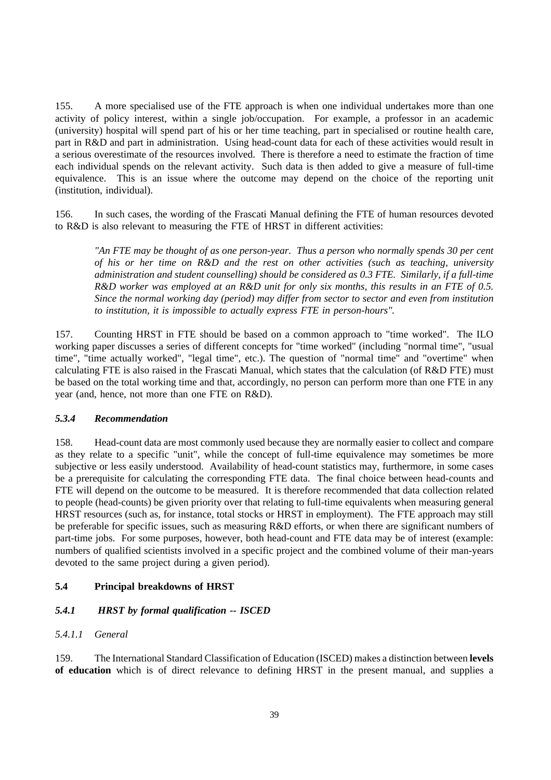155. A more specialised use of the FTE approach is when one individual undertakes more than one activity of policy interest, within a single job/occupation. For example, a professor in an academic (university) hospital will spend part of his or her time teaching, part in specialised or routine health care, part in R&D and part in administration. Using head-count data for each of these activities would result in a serious overestimate of the resources involved. There is therefore a need to estimate the fraction of time each individual spends on the relevant activity. Such data is then added to give a measure of full-time equivalence. This is an issue where the outcome may depend on the choice of the reporting unit (institution, individual).

156. In such cases, the wording of the Frascati Manual defining the FTE of human resources devoted to R&D is also relevant to measuring the FTE of HRST in different activities:

*"An FTE may be thought of as one person-year. Thus a person who normally spends 30 per cent of his or her time on R&D and the rest on other activities (such as teaching, university administration and student counselling) should be considered as 0.3 FTE. Similarly, if a full-time R&D worker was employed at an R&D unit for only six months, this results in an FTE of 0.5. Since the normal working day (period) may differ from sector to sector and even from institution to institution, it is impossible to actually express FTE in person-hours".*

157. Counting HRST in FTE should be based on a common approach to "time worked". The ILO working paper discusses a series of different concepts for "time worked" (including "normal time", "usual time", "time actually worked", "legal time", etc.). The question of "normal time" and "overtime" when calculating FTE is also raised in the Frascati Manual, which states that the calculation (of R&D FTE) must be based on the total working time and that, accordingly, no person can perform more than one FTE in any year (and, hence, not more than one FTE on R&D).

## *5.3.4 Recommendation*

158. Head-count data are most commonly used because they are normally easier to collect and compare as they relate to a specific "unit", while the concept of full-time equivalence may sometimes be more subjective or less easily understood. Availability of head-count statistics may, furthermore, in some cases be a prerequisite for calculating the corresponding FTE data. The final choice between head-counts and FTE will depend on the outcome to be measured. It is therefore recommended that data collection related to people (head-counts) be given priority over that relating to full-time equivalents when measuring general HRST resources (such as, for instance, total stocks or HRST in employment). The FTE approach may still be preferable for specific issues, such as measuring R&D efforts, or when there are significant numbers of part-time jobs. For some purposes, however, both head-count and FTE data may be of interest (example: numbers of qualified scientists involved in a specific project and the combined volume of their man-years devoted to the same project during a given period).

## **5.4 Principal breakdowns of HRST**

## *5.4.1 HRST by formal qualification -- ISCED*

## *5.4.1.1 General*

159. The International Standard Classification of Education (ISCED) makes a distinction between **levels of education** which is of direct relevance to defining HRST in the present manual, and supplies a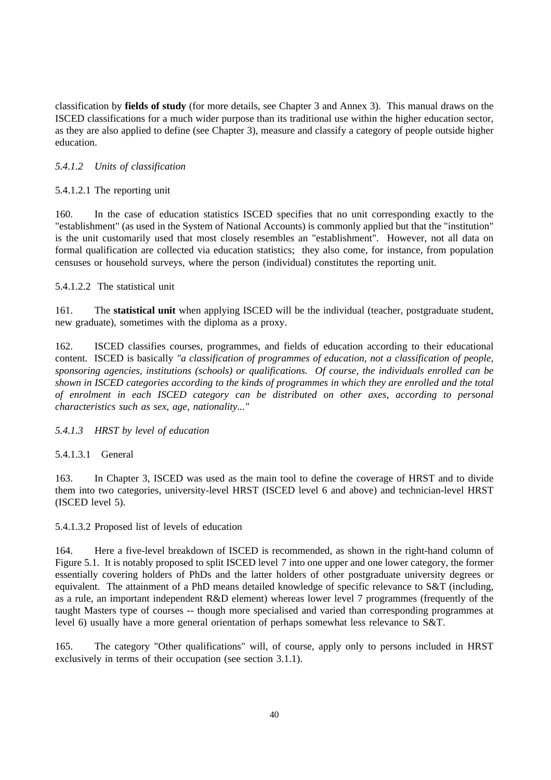classification by **fields of study** (for more details, see Chapter 3 and Annex 3). This manual draws on the ISCED classifications for a much wider purpose than its traditional use within the higher education sector, as they are also applied to define (see Chapter 3), measure and classify a category of people outside higher education.

# *5.4.1.2 Units of classification*

## 5.4.1.2.1 The reporting unit

160. In the case of education statistics ISCED specifies that no unit corresponding exactly to the "establishment" (as used in the System of National Accounts) is commonly applied but that the "institution" is the unit customarily used that most closely resembles an "establishment". However, not all data on formal qualification are collected via education statistics; they also come, for instance, from population censuses or household surveys, where the person (individual) constitutes the reporting unit.

# 5.4.1.2.2 The statistical unit

161. The **statistical unit** when applying ISCED will be the individual (teacher, postgraduate student, new graduate), sometimes with the diploma as a proxy.

162. ISCED classifies courses, programmes, and fields of education according to their educational content. ISCED is basically *"a classification of programmes of education, not a classification of people, sponsoring agencies, institutions (schools) or qualifications. Of course, the individuals enrolled can be shown in ISCED categories according to the kinds of programmes in which they are enrolled and the total of enrolment in each ISCED category can be distributed on other axes, according to personal characteristics such as sex, age, nationality..."*

## *5.4.1.3 HRST by level of education*

## 5.4.1.3.1 General

163. In Chapter 3, ISCED was used as the main tool to define the coverage of HRST and to divide them into two categories, university-level HRST (ISCED level 6 and above) and technician-level HRST (ISCED level 5).

5.4.1.3.2 Proposed list of levels of education

164. Here a five-level breakdown of ISCED is recommended, as shown in the right-hand column of Figure 5.1. It is notably proposed to split ISCED level 7 into one upper and one lower category, the former essentially covering holders of PhDs and the latter holders of other postgraduate university degrees or equivalent. The attainment of a PhD means detailed knowledge of specific relevance to S&T (including, as a rule, an important independent R&D element) whereas lower level 7 programmes (frequently of the taught Masters type of courses -- though more specialised and varied than corresponding programmes at level 6) usually have a more general orientation of perhaps somewhat less relevance to S&T.

165. The category "Other qualifications" will, of course, apply only to persons included in HRST exclusively in terms of their occupation (see section 3.1.1).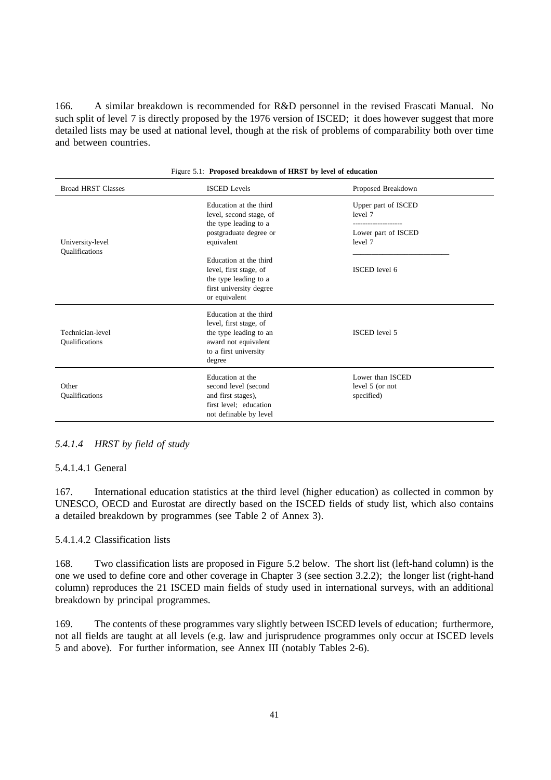166. A similar breakdown is recommended for R&D personnel in the revised Frascati Manual. No such split of level 7 is directly proposed by the 1976 version of ISCED; it does however suggest that more detailed lists may be used at national level, though at the risk of problems of comparability both over time and between countries.

| Figure 5.1: Proposed breakdown of HRST by level of education |                                                                                                                                       |                                                   |
|--------------------------------------------------------------|---------------------------------------------------------------------------------------------------------------------------------------|---------------------------------------------------|
| <b>Broad HRST Classes</b>                                    | <b>ISCED</b> Levels                                                                                                                   | Proposed Breakdown                                |
|                                                              | Education at the third<br>level, second stage, of<br>the type leading to a                                                            | Upper part of ISCED<br>level 7                    |
| University-level<br>Qualifications                           | postgraduate degree or<br>equivalent                                                                                                  | Lower part of ISCED<br>level 7                    |
|                                                              | Education at the third<br>level, first stage, of<br>the type leading to a<br>first university degree<br>or equivalent                 | ISCED level 6                                     |
| Technician-level<br>Qualifications                           | Education at the third<br>level, first stage, of<br>the type leading to an<br>award not equivalent<br>to a first university<br>degree | <b>ISCED</b> level 5                              |
| Other<br>Qualifications                                      | Education at the<br>second level (second<br>and first stages),<br>first level; education<br>not definable by level                    | Lower than ISCED<br>level 5 (or not<br>specified) |

*5.4.1.4 HRST by field of study*

#### 5.4.1.4.1 General

167. International education statistics at the third level (higher education) as collected in common by UNESCO, OECD and Eurostat are directly based on the ISCED fields of study list, which also contains a detailed breakdown by programmes (see Table 2 of Annex 3).

5.4.1.4.2 Classification lists

168. Two classification lists are proposed in Figure 5.2 below. The short list (left-hand column) is the one we used to define core and other coverage in Chapter 3 (see section 3.2.2); the longer list (right-hand column) reproduces the 21 ISCED main fields of study used in international surveys, with an additional breakdown by principal programmes.

169. The contents of these programmes vary slightly between ISCED levels of education; furthermore, not all fields are taught at all levels (e.g. law and jurisprudence programmes only occur at ISCED levels 5 and above). For further information, see Annex III (notably Tables 2-6).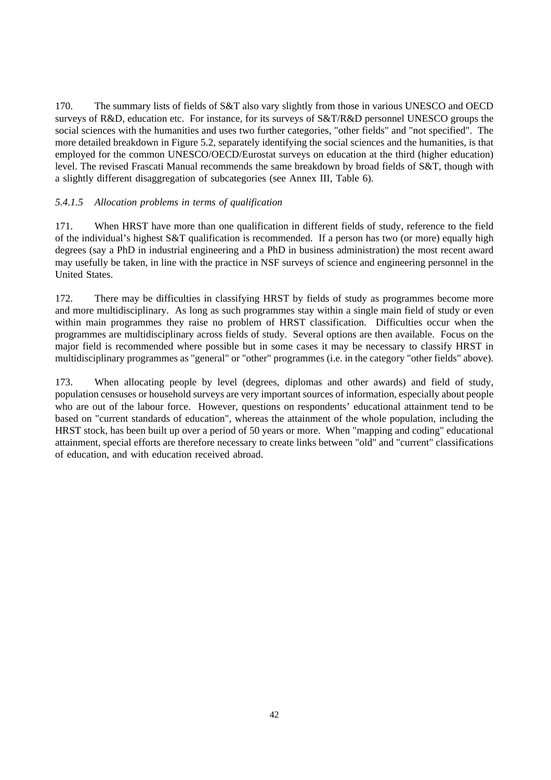170. The summary lists of fields of S&T also vary slightly from those in various UNESCO and OECD surveys of R&D, education etc. For instance, for its surveys of S&T/R&D personnel UNESCO groups the social sciences with the humanities and uses two further categories, "other fields" and "not specified". The more detailed breakdown in Figure 5.2, separately identifying the social sciences and the humanities, is that employed for the common UNESCO/OECD/Eurostat surveys on education at the third (higher education) level. The revised Frascati Manual recommends the same breakdown by broad fields of S&T, though with a slightly different disaggregation of subcategories (see Annex III, Table 6).

# *5.4.1.5 Allocation problems in terms of qualification*

171. When HRST have more than one qualification in different fields of study, reference to the field of the individual's highest S&T qualification is recommended. If a person has two (or more) equally high degrees (say a PhD in industrial engineering and a PhD in business administration) the most recent award may usefully be taken, in line with the practice in NSF surveys of science and engineering personnel in the United States.

172. There may be difficulties in classifying HRST by fields of study as programmes become more and more multidisciplinary. As long as such programmes stay within a single main field of study or even within main programmes they raise no problem of HRST classification. Difficulties occur when the programmes are multidisciplinary across fields of study. Several options are then available. Focus on the major field is recommended where possible but in some cases it may be necessary to classify HRST in multidisciplinary programmes as "general" or "other" programmes (i.e. in the category "other fields" above).

173. When allocating people by level (degrees, diplomas and other awards) and field of study, population censuses or household surveys are very important sources of information, especially about people who are out of the labour force. However, questions on respondents' educational attainment tend to be based on "current standards of education", whereas the attainment of the whole population, including the HRST stock, has been built up over a period of 50 years or more. When "mapping and coding" educational attainment, special efforts are therefore necessary to create links between "old" and "current" classifications of education, and with education received abroad.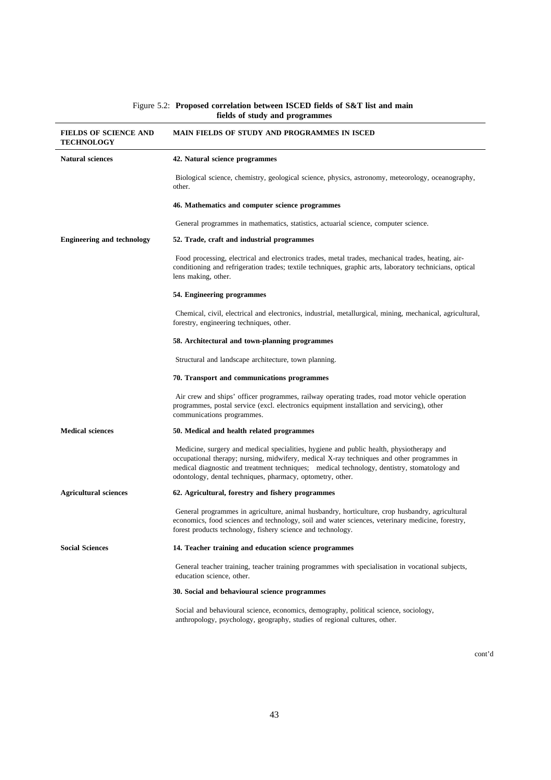| <b>FIELDS OF SCIENCE AND</b><br><b>TECHNOLOGY</b> | MAIN FIELDS OF STUDY AND PROGRAMMES IN ISCED                                                                                                                                                                                                                                                                                                        |
|---------------------------------------------------|-----------------------------------------------------------------------------------------------------------------------------------------------------------------------------------------------------------------------------------------------------------------------------------------------------------------------------------------------------|
| <b>Natural sciences</b>                           | 42. Natural science programmes                                                                                                                                                                                                                                                                                                                      |
|                                                   | Biological science, chemistry, geological science, physics, astronomy, meteorology, oceanography,<br>other.                                                                                                                                                                                                                                         |
|                                                   | 46. Mathematics and computer science programmes                                                                                                                                                                                                                                                                                                     |
|                                                   | General programmes in mathematics, statistics, actuarial science, computer science.                                                                                                                                                                                                                                                                 |
| <b>Engineering and technology</b>                 | 52. Trade, craft and industrial programmes                                                                                                                                                                                                                                                                                                          |
|                                                   | Food processing, electrical and electronics trades, metal trades, mechanical trades, heating, air-<br>conditioning and refrigeration trades; textile techniques, graphic arts, laboratory technicians, optical<br>lens making, other.                                                                                                               |
|                                                   | 54. Engineering programmes                                                                                                                                                                                                                                                                                                                          |
|                                                   | Chemical, civil, electrical and electronics, industrial, metallurgical, mining, mechanical, agricultural,<br>forestry, engineering techniques, other.                                                                                                                                                                                               |
|                                                   | 58. Architectural and town-planning programmes                                                                                                                                                                                                                                                                                                      |
|                                                   | Structural and landscape architecture, town planning.                                                                                                                                                                                                                                                                                               |
|                                                   | 70. Transport and communications programmes                                                                                                                                                                                                                                                                                                         |
|                                                   | Air crew and ships' officer programmes, railway operating trades, road motor vehicle operation<br>programmes, postal service (excl. electronics equipment installation and servicing), other<br>communications programmes.                                                                                                                          |
| <b>Medical sciences</b>                           | 50. Medical and health related programmes                                                                                                                                                                                                                                                                                                           |
|                                                   | Medicine, surgery and medical specialities, hygiene and public health, physiotherapy and<br>occupational therapy; nursing, midwifery, medical X-ray techniques and other programmes in<br>medical diagnostic and treatment techniques; medical technology, dentistry, stomatology and<br>odontology, dental techniques, pharmacy, optometry, other. |
| <b>Agricultural sciences</b>                      | 62. Agricultural, forestry and fishery programmes                                                                                                                                                                                                                                                                                                   |
|                                                   | General programmes in agriculture, animal husbandry, horticulture, crop husbandry, agricultural<br>economics, food sciences and technology, soil and water sciences, veterinary medicine, forestry,<br>forest products technology, fishery science and technology.                                                                                  |
| <b>Social Sciences</b>                            | 14. Teacher training and education science programmes                                                                                                                                                                                                                                                                                               |
|                                                   | General teacher training, teacher training programmes with specialisation in vocational subjects,<br>education science, other.                                                                                                                                                                                                                      |
|                                                   | 30. Social and behavioural science programmes                                                                                                                                                                                                                                                                                                       |
|                                                   | Social and behavioural science, economics, demography, political science, sociology,<br>anthropology, psychology, geography, studies of regional cultures, other.                                                                                                                                                                                   |

### Figure 5.2: **Proposed correlation between ISCED fields of S&T list and main fields of study and programmes**

cont'd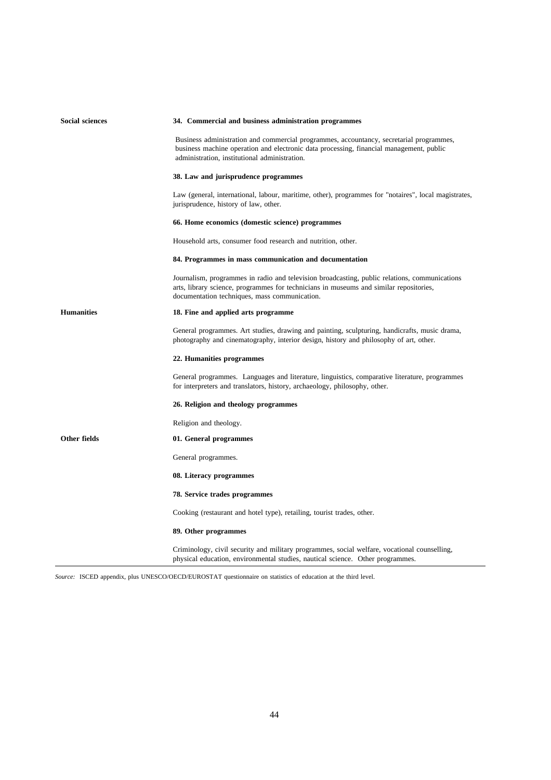| <b>Social sciences</b> | 34. Commercial and business administration programmes                                                                                                                                                                                    |
|------------------------|------------------------------------------------------------------------------------------------------------------------------------------------------------------------------------------------------------------------------------------|
|                        | Business administration and commercial programmes, accountancy, secretarial programmes,<br>business machine operation and electronic data processing, financial management, public<br>administration, institutional administration.      |
|                        | 38. Law and jurisprudence programmes                                                                                                                                                                                                     |
|                        | Law (general, international, labour, maritime, other), programmes for "notaires", local magistrates,<br>jurisprudence, history of law, other.                                                                                            |
|                        | 66. Home economics (domestic science) programmes                                                                                                                                                                                         |
|                        | Household arts, consumer food research and nutrition, other.                                                                                                                                                                             |
|                        | 84. Programmes in mass communication and documentation                                                                                                                                                                                   |
|                        | Journalism, programmes in radio and television broadcasting, public relations, communications<br>arts, library science, programmes for technicians in museums and similar repositories,<br>documentation techniques, mass communication. |
| <b>Humanities</b>      | 18. Fine and applied arts programme                                                                                                                                                                                                      |
|                        | General programmes. Art studies, drawing and painting, sculpturing, handicrafts, music drama,<br>photography and cinematography, interior design, history and philosophy of art, other.                                                  |
|                        | 22. Humanities programmes                                                                                                                                                                                                                |
|                        | General programmes. Languages and literature, linguistics, comparative literature, programmes<br>for interpreters and translators, history, archaeology, philosophy, other.                                                              |
|                        | 26. Religion and theology programmes                                                                                                                                                                                                     |
|                        | Religion and theology.                                                                                                                                                                                                                   |
| Other fields           | 01. General programmes                                                                                                                                                                                                                   |
|                        | General programmes.                                                                                                                                                                                                                      |
|                        | 08. Literacy programmes                                                                                                                                                                                                                  |
|                        | 78. Service trades programmes                                                                                                                                                                                                            |
|                        | Cooking (restaurant and hotel type), retailing, tourist trades, other.                                                                                                                                                                   |
|                        | 89. Other programmes                                                                                                                                                                                                                     |
|                        | Criminology, civil security and military programmes, social welfare, vocational counselling,<br>physical education, environmental studies, nautical science. Other programmes.                                                           |

*Source:* ISCED appendix, plus UNESCO/OECD/EUROSTAT questionnaire on statistics of education at the third level.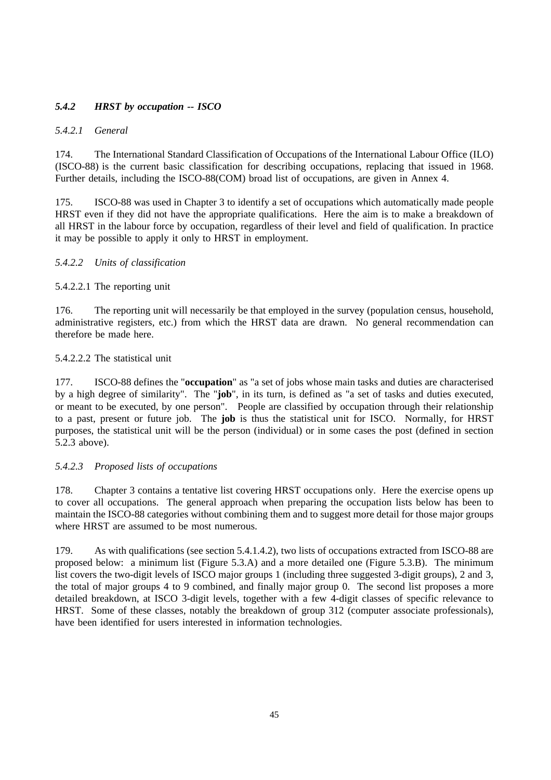# *5.4.2 HRST by occupation -- ISCO*

# *5.4.2.1 General*

174. The International Standard Classification of Occupations of the International Labour Office (ILO) (ISCO-88) is the current basic classification for describing occupations, replacing that issued in 1968. Further details, including the ISCO-88(COM) broad list of occupations, are given in Annex 4.

175. ISCO-88 was used in Chapter 3 to identify a set of occupations which automatically made people HRST even if they did not have the appropriate qualifications. Here the aim is to make a breakdown of all HRST in the labour force by occupation, regardless of their level and field of qualification. In practice it may be possible to apply it only to HRST in employment.

# *5.4.2.2 Units of classification*

# 5.4.2.2.1 The reporting unit

176. The reporting unit will necessarily be that employed in the survey (population census, household, administrative registers, etc.) from which the HRST data are drawn. No general recommendation can therefore be made here.

# 5.4.2.2.2 The statistical unit

177. ISCO-88 defines the "**occupation**" as "a set of jobs whose main tasks and duties are characterised by a high degree of similarity". The "**job**", in its turn, is defined as "a set of tasks and duties executed, or meant to be executed, by one person". People are classified by occupation through their relationship to a past, present or future job. The **job** is thus the statistical unit for ISCO. Normally, for HRST purposes, the statistical unit will be the person (individual) or in some cases the post (defined in section 5.2.3 above).

# *5.4.2.3 Proposed lists of occupations*

178. Chapter 3 contains a tentative list covering HRST occupations only. Here the exercise opens up to cover all occupations. The general approach when preparing the occupation lists below has been to maintain the ISCO-88 categories without combining them and to suggest more detail for those major groups where HRST are assumed to be most numerous.

179. As with qualifications (see section 5.4.1.4.2), two lists of occupations extracted from ISCO-88 are proposed below: a minimum list (Figure 5.3.A) and a more detailed one (Figure 5.3.B). The minimum list covers the two-digit levels of ISCO major groups 1 (including three suggested 3-digit groups), 2 and 3, the total of major groups 4 to 9 combined, and finally major group 0. The second list proposes a more detailed breakdown, at ISCO 3-digit levels, together with a few 4-digit classes of specific relevance to HRST. Some of these classes, notably the breakdown of group 312 (computer associate professionals), have been identified for users interested in information technologies.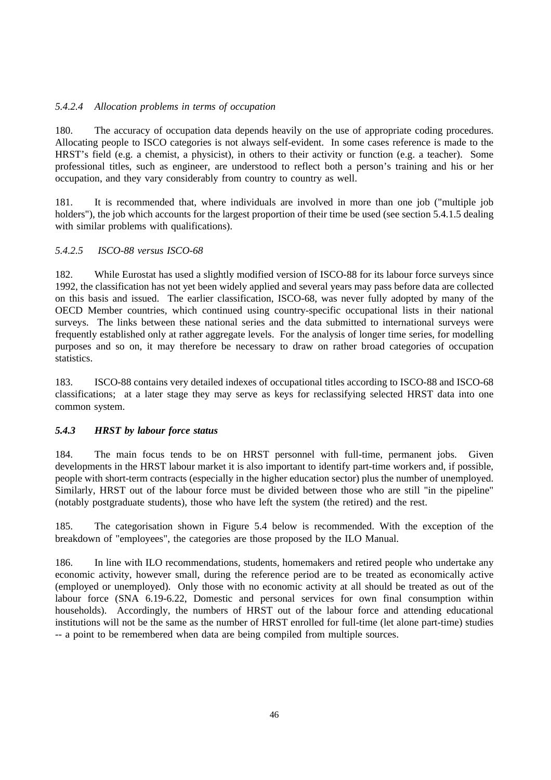# *5.4.2.4 Allocation problems in terms of occupation*

180. The accuracy of occupation data depends heavily on the use of appropriate coding procedures. Allocating people to ISCO categories is not always self-evident. In some cases reference is made to the HRST's field (e.g. a chemist, a physicist), in others to their activity or function (e.g. a teacher). Some professional titles, such as engineer, are understood to reflect both a person's training and his or her occupation, and they vary considerably from country to country as well.

181. It is recommended that, where individuals are involved in more than one job ("multiple job holders"), the job which accounts for the largest proportion of their time be used (see section 5.4.1.5 dealing with similar problems with qualifications).

## *5.4.2.5 ISCO-88 versus ISCO-68*

182. While Eurostat has used a slightly modified version of ISCO-88 for its labour force surveys since 1992, the classification has not yet been widely applied and several years may pass before data are collected on this basis and issued. The earlier classification, ISCO-68, was never fully adopted by many of the OECD Member countries, which continued using country-specific occupational lists in their national surveys. The links between these national series and the data submitted to international surveys were frequently established only at rather aggregate levels. For the analysis of longer time series, for modelling purposes and so on, it may therefore be necessary to draw on rather broad categories of occupation statistics.

183. ISCO-88 contains very detailed indexes of occupational titles according to ISCO-88 and ISCO-68 classifications; at a later stage they may serve as keys for reclassifying selected HRST data into one common system.

#### *5.4.3 HRST by labour force status*

184. The main focus tends to be on HRST personnel with full-time, permanent jobs. Given developments in the HRST labour market it is also important to identify part-time workers and, if possible, people with short-term contracts (especially in the higher education sector) plus the number of unemployed. Similarly, HRST out of the labour force must be divided between those who are still "in the pipeline" (notably postgraduate students), those who have left the system (the retired) and the rest.

185. The categorisation shown in Figure 5.4 below is recommended. With the exception of the breakdown of "employees", the categories are those proposed by the ILO Manual.

186. In line with ILO recommendations, students, homemakers and retired people who undertake any economic activity, however small, during the reference period are to be treated as economically active (employed or unemployed). Only those with no economic activity at all should be treated as out of the labour force (SNA 6.19-6.22, Domestic and personal services for own final consumption within households). Accordingly, the numbers of HRST out of the labour force and attending educational institutions will not be the same as the number of HRST enrolled for full-time (let alone part-time) studies -- a point to be remembered when data are being compiled from multiple sources.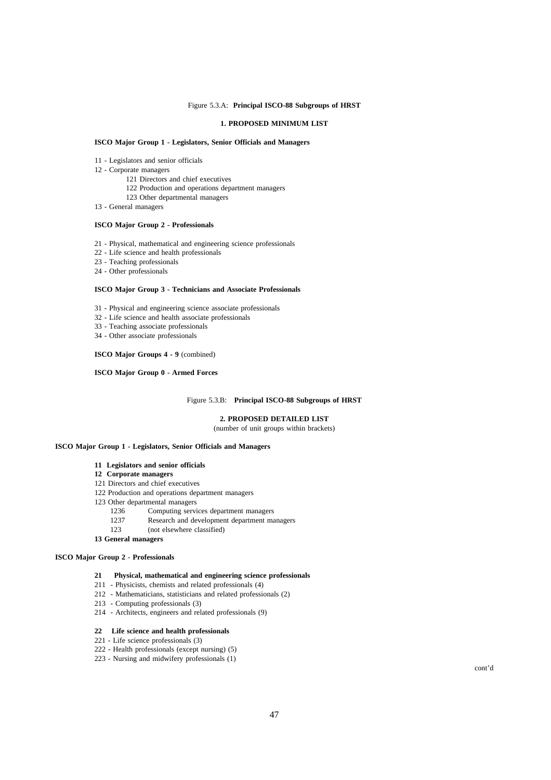#### Figure 5.3.A: **Principal ISCO-88 Subgroups of HRST**

#### **1. PROPOSED MINIMUM LIST**

#### **ISCO Major Group 1 - Legislators, Senior Officials and Managers**

- 11 Legislators and senior officials
- 12 Corporate managers
	- 121 Directors and chief executives
	- 122 Production and operations department managers
	- 123 Other departmental managers
- 13 General managers

#### **ISCO Major Group 2 - Professionals**

- 21 Physical, mathematical and engineering science professionals
- 22 Life science and health professionals
- 23 Teaching professionals
- 24 Other professionals

#### **ISCO Major Group 3 - Technicians and Associate Professionals**

- 31 Physical and engineering science associate professionals
- 32 Life science and health associate professionals
- 33 Teaching associate professionals
- 34 Other associate professionals

#### **ISCO Major Groups4-9** (combined)

**ISCO Major Group 0 - Armed Forces**

#### Figure 5.3.B: **Principal ISCO-88 Subgroups of HRST**

#### **2. PROPOSED DETAILED LIST**

(number of unit groups within brackets)

#### **ISCO Major Group 1 - Legislators, Senior Officials and Managers**

#### **11 Legislators and senior officials**

#### **12 Corporate managers**

- 121 Directors and chief executives
- 122 Production and operations department managers
- 123 Other departmental managers
	- 1236 Computing services department managers
	- 1237 Research and development department managers
	- 123 (not elsewhere classified)
- **13 General managers**

#### **ISCO Major Group 2** - **Professionals**

#### **21 Physical, mathematical and engineering science professionals**

- 211 Physicists, chemists and related professionals (4)
- 212 Mathematicians, statisticians and related professionals (2)
- 213 Computing professionals (3)
- 214 Architects, engineers and related professionals (9)

#### **22 Life science and health professionals**

- 221 Life science professionals (3)
- 222 Health professionals (except nursing) (5)
- 223 Nursing and midwifery professionals (1)

cont'd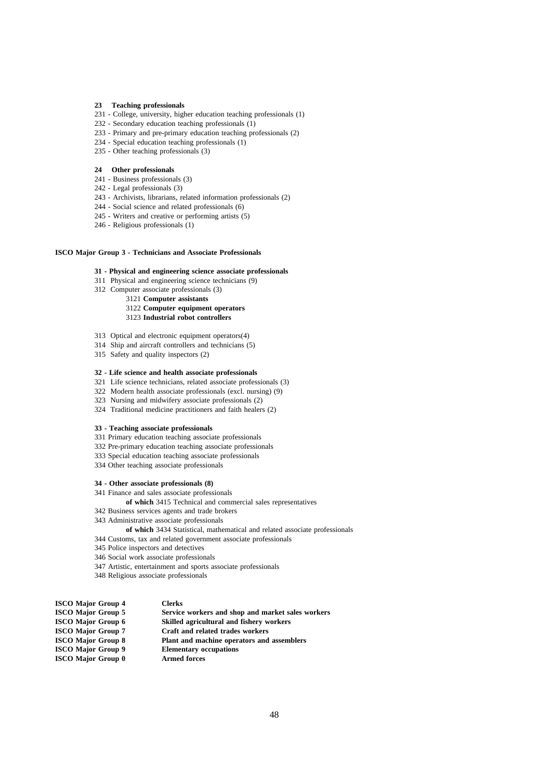#### **23 Teaching professionals**

- 231 College, university, higher education teaching professionals (1)
- 232 Secondary education teaching professionals (1)
- 233 Primary and pre-primary education teaching professionals (2)
- 234 Special education teaching professionals (1)
- 235 Other teaching professionals (3)

#### **24 Other professionals**

- 241 Business professionals (3)
- 242 Legal professionals (3)
- 243 Archivists, librarians, related information professionals (2)
- 244 Social science and related professionals (6)
- 245 Writers and creative or performing artists (5)
- 246 Religious professionals (1)

#### **ISCO Major Group 3 - Technicians and Associate Professionals**

#### **31 - Physical and engineering science associate professionals**

- 311 Physical and engineering science technicians (9)
- 312 Computer associate professionals (3)
	- 3121 **Computer assistants**

#### 3122 **Computer equipment operators**

- 3123 **Industrial robot controllers**
- 313 Optical and electronic equipment operators(4)
- 314 Ship and aircraft controllers and technicians (5)
- 315 Safety and quality inspectors (2)

#### **32 - Life science and health associate professionals**

- 321 Life science technicians, related associate professionals (3)
- 322 Modern health associate professionals (excl. nursing) (9)
- 323 Nursing and midwifery associate professionals (2)
- 324 Traditional medicine practitioners and faith healers (2)

#### **33 - Teaching associate professionals**

- 331 Primary education teaching associate professionals
- 332 Pre-primary education teaching associate professionals
- 333 Special education teaching associate professionals
- 334 Other teaching associate professionals

#### **34 - Other associate professionals (8)**

341 Finance and sales associate professionals

- **of which** 3415 Technical and commercial sales representatives
- 342 Business services agents and trade brokers
- 343 Administrative associate professionals
	- **of which** 3434 Statistical, mathematical and related associate professionals
- 344 Customs, tax and related government associate professionals
- 345 Police inspectors and detectives
- 346 Social work associate professionals
- 347 Artistic, entertainment and sports associate professionals
- 348 Religious associate professionals

| <b>ISCO Major Group 4</b> | <b>Clerks</b>                                     |
|---------------------------|---------------------------------------------------|
| <b>ISCO Major Group 5</b> | Service workers and shop and market sales workers |
| <b>ISCO Major Group 6</b> | Skilled agricultural and fishery workers          |
| <b>ISCO Major Group 7</b> | Craft and related trades workers                  |
| <b>ISCO Major Group 8</b> | Plant and machine operators and assemblers        |
| <b>ISCO Major Group 9</b> | <b>Elementary occupations</b>                     |
| <b>ISCO Major Group 0</b> | <b>Armed forces</b>                               |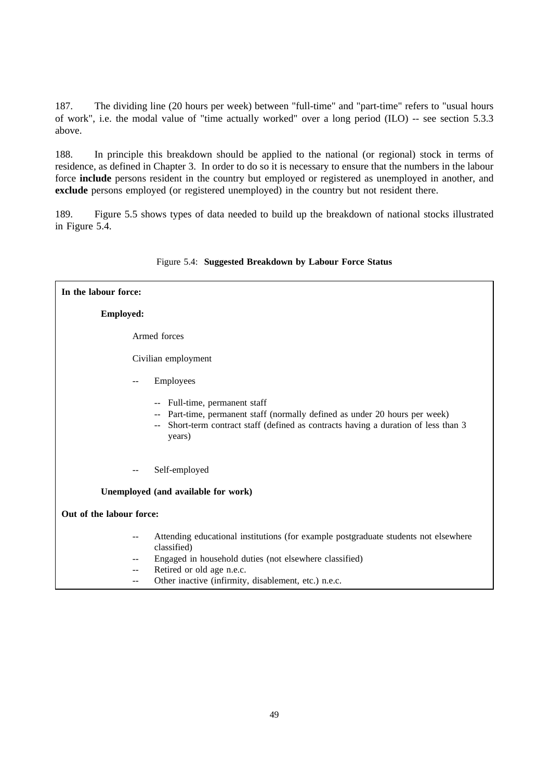187. The dividing line (20 hours per week) between "full-time" and "part-time" refers to "usual hours of work", i.e. the modal value of "time actually worked" over a long period (ILO) -- see section 5.3.3 above.

188. In principle this breakdown should be applied to the national (or regional) stock in terms of residence, as defined in Chapter 3. In order to do so it is necessary to ensure that the numbers in the labour force **include** persons resident in the country but employed or registered as unemployed in another, and **exclude** persons employed (or registered unemployed) in the country but not resident there.

189. Figure 5.5 shows types of data needed to build up the breakdown of national stocks illustrated in Figure 5.4.

| In the labour force:     |                                                                                                                                                                                                                                                   |  |  |  |
|--------------------------|---------------------------------------------------------------------------------------------------------------------------------------------------------------------------------------------------------------------------------------------------|--|--|--|
| <b>Employed:</b>         |                                                                                                                                                                                                                                                   |  |  |  |
| Armed forces             |                                                                                                                                                                                                                                                   |  |  |  |
|                          | Civilian employment                                                                                                                                                                                                                               |  |  |  |
| $- -$                    | Employees                                                                                                                                                                                                                                         |  |  |  |
|                          | -- Full-time, permanent staff<br>-- Part-time, permanent staff (normally defined as under 20 hours per week)<br>Short-term contract staff (defined as contracts having a duration of less than 3<br>years)                                        |  |  |  |
| --                       | Self-employed                                                                                                                                                                                                                                     |  |  |  |
|                          | Unemployed (and available for work)                                                                                                                                                                                                               |  |  |  |
| Out of the labour force: |                                                                                                                                                                                                                                                   |  |  |  |
| --<br>--<br>--<br>--     | Attending educational institutions (for example postgraduate students not elsewhere<br>classified)<br>Engaged in household duties (not elsewhere classified)<br>Retired or old age n.e.c.<br>Other inactive (infirmity, disablement, etc.) n.e.c. |  |  |  |

#### Figure 5.4: **Suggested Breakdown by Labour Force Status**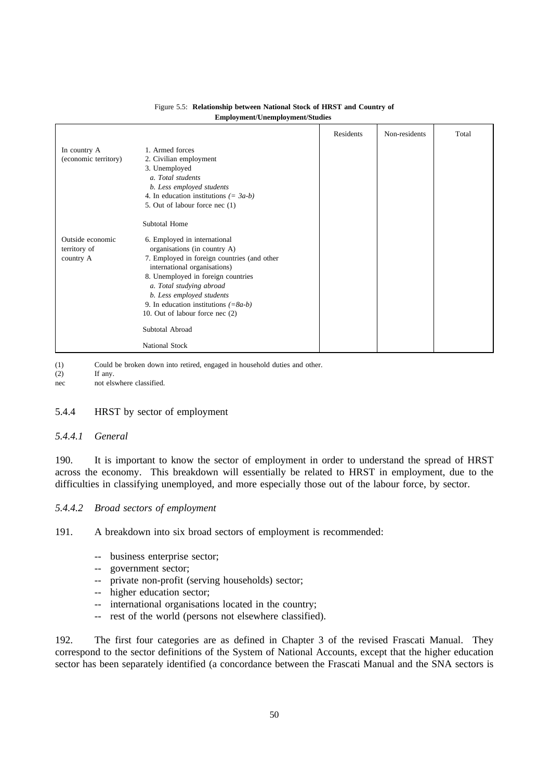|                                               |                                                                                                                                                                                                                                                                                                                                              | Residents | Non-residents | Total |
|-----------------------------------------------|----------------------------------------------------------------------------------------------------------------------------------------------------------------------------------------------------------------------------------------------------------------------------------------------------------------------------------------------|-----------|---------------|-------|
| In country A<br>(economic territory)          | 1. Armed forces<br>2. Civilian employment<br>3. Unemployed<br>a. Total students<br>b. Less employed students<br>4. In education institutions $(= 3a-b)$<br>5. Out of labour force nec (1)                                                                                                                                                    |           |               |       |
|                                               | <b>Subtotal Home</b>                                                                                                                                                                                                                                                                                                                         |           |               |       |
| Outside economic<br>territory of<br>country A | 6. Employed in international<br>organisations (in country A)<br>7. Employed in foreign countries (and other<br>international organisations)<br>8. Unemployed in foreign countries<br>a. Total studying abroad<br>b. Less employed students<br>9. In education institutions $( = 8a-b)$<br>10. Out of labour force nec (2)<br>Subtotal Abroad |           |               |       |
|                                               | National Stock                                                                                                                                                                                                                                                                                                                               |           |               |       |

#### Figure 5.5: **Relationship between National Stock of HRST and Country of Employment/Unemployment/Studies**

(1) Could be broken down into retired, engaged in household duties and other.

 $(2)$  If any. nec not elswhere classified.

## 5.4.4 HRST by sector of employment

#### *5.4.4.1 General*

190. It is important to know the sector of employment in order to understand the spread of HRST across the economy. This breakdown will essentially be related to HRST in employment, due to the difficulties in classifying unemployed, and more especially those out of the labour force, by sector.

#### *5.4.4.2 Broad sectors of employment*

191. A breakdown into six broad sectors of employment is recommended:

- -- business enterprise sector;
- -- government sector;
- -- private non-profit (serving households) sector;
- -- higher education sector;
- -- international organisations located in the country;
- -- rest of the world (persons not elsewhere classified).

192. The first four categories are as defined in Chapter 3 of the revised Frascati Manual. They correspond to the sector definitions of the System of National Accounts, except that the higher education sector has been separately identified (a concordance between the Frascati Manual and the SNA sectors is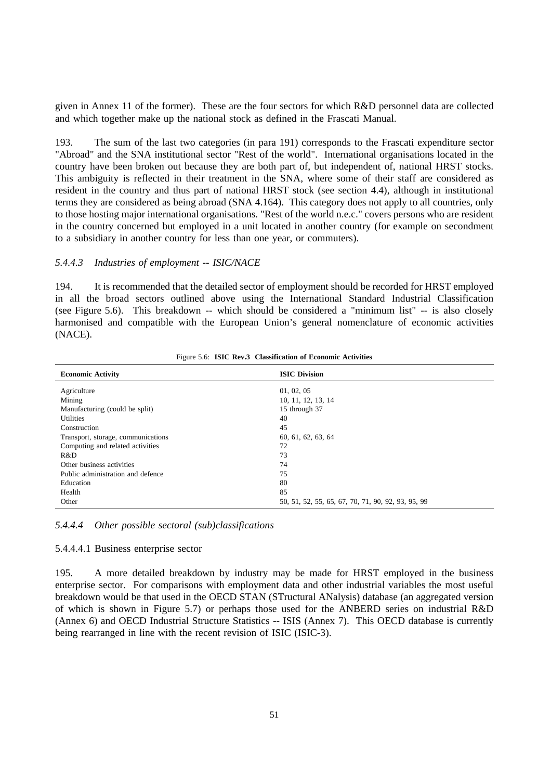given in Annex 11 of the former). These are the four sectors for which R&D personnel data are collected and which together make up the national stock as defined in the Frascati Manual.

193. The sum of the last two categories (in para 191) corresponds to the Frascati expenditure sector "Abroad" and the SNA institutional sector "Rest of the world". International organisations located in the country have been broken out because they are both part of, but independent of, national HRST stocks. This ambiguity is reflected in their treatment in the SNA, where some of their staff are considered as resident in the country and thus part of national HRST stock (see section 4.4), although in institutional terms they are considered as being abroad (SNA 4.164). This category does not apply to all countries, only to those hosting major international organisations. "Rest of the world n.e.c." covers persons who are resident in the country concerned but employed in a unit located in another country (for example on secondment to a subsidiary in another country for less than one year, or commuters).

#### *5.4.4.3 Industries of employment -- ISIC/NACE*

194. It is recommended that the detailed sector of employment should be recorded for HRST employed in all the broad sectors outlined above using the International Standard Industrial Classification (see Figure 5.6). This breakdown -- which should be considered a "minimum list" -- is also closely harmonised and compatible with the European Union's general nomenclature of economic activities (NACE).

| <b>Economic Activity</b>           | <b>ISIC Division</b>                               |
|------------------------------------|----------------------------------------------------|
| Agriculture                        | 01, 02, 05                                         |
| Mining                             | 10, 11, 12, 13, 14                                 |
| Manufacturing (could be split)     | 15 through 37                                      |
| <b>Utilities</b>                   | 40                                                 |
| Construction                       | 45                                                 |
| Transport, storage, communications | 60, 61, 62, 63, 64                                 |
| Computing and related activities   | 72                                                 |
| R&D                                | 73                                                 |
| Other business activities          | 74                                                 |
| Public administration and defence  | 75                                                 |
| Education                          | 80                                                 |
| Health                             | 85                                                 |
| Other                              | 50, 51, 52, 55, 65, 67, 70, 71, 90, 92, 93, 95, 99 |

Figure 5.6: **ISIC Rev.3 Classification of Economic Activities**

#### *5.4.4.4 Other possible sectoral (sub)classifications*

#### 5.4.4.4.1 Business enterprise sector

195. A more detailed breakdown by industry may be made for HRST employed in the business enterprise sector. For comparisons with employment data and other industrial variables the most useful breakdown would be that used in the OECD STAN (STructural ANalysis) database (an aggregated version of which is shown in Figure 5.7) or perhaps those used for the ANBERD series on industrial R&D (Annex 6) and OECD Industrial Structure Statistics -- ISIS (Annex 7). This OECD database is currently being rearranged in line with the recent revision of ISIC (ISIC-3).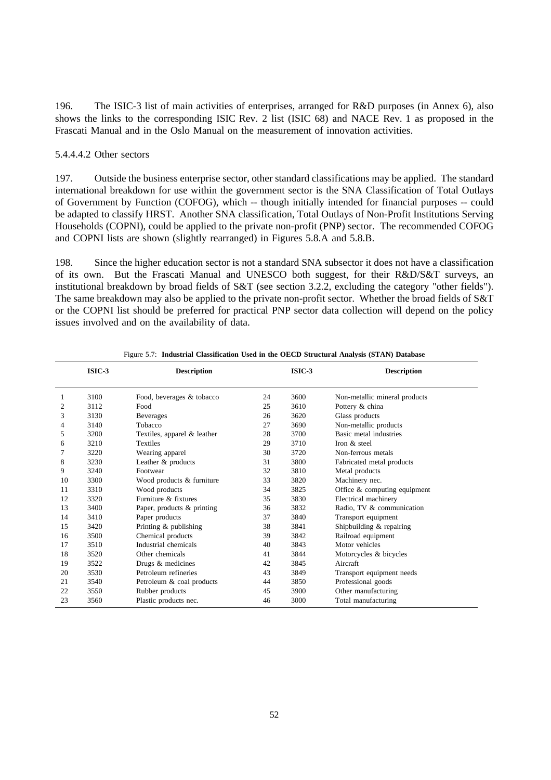196. The ISIC-3 list of main activities of enterprises, arranged for R&D purposes (in Annex 6), also shows the links to the corresponding ISIC Rev. 2 list (ISIC 68) and NACE Rev. 1 as proposed in the Frascati Manual and in the Oslo Manual on the measurement of innovation activities.

#### 5.4.4.4.2 Other sectors

197. Outside the business enterprise sector, other standard classifications may be applied. The standard international breakdown for use within the government sector is the SNA Classification of Total Outlays of Government by Function (COFOG), which -- though initially intended for financial purposes -- could be adapted to classify HRST. Another SNA classification, Total Outlays of Non-Profit Institutions Serving Households (COPNI), could be applied to the private non-profit (PNP) sector. The recommended COFOG and COPNI lists are shown (slightly rearranged) in Figures 5.8.A and 5.8.B.

198. Since the higher education sector is not a standard SNA subsector it does not have a classification of its own. But the Frascati Manual and UNESCO both suggest, for their R&D/S&T surveys, an institutional breakdown by broad fields of S&T (see section 3.2.2, excluding the category "other fields"). The same breakdown may also be applied to the private non-profit sector. Whether the broad fields of S&T or the COPNI list should be preferred for practical PNP sector data collection will depend on the policy issues involved and on the availability of data.

|    | ISIC-3 | <b>Description</b>          |    | $ISIC-3$ | <b>Description</b>            |
|----|--------|-----------------------------|----|----------|-------------------------------|
|    | 3100   | Food, beverages & tobacco   | 24 | 3600     | Non-metallic mineral products |
| 2  | 3112   | Food                        | 25 | 3610     | Pottery & china               |
| 3  | 3130   | <b>Beverages</b>            | 26 | 3620     | Glass products                |
| 4  | 3140   | Tobacco                     | 27 | 3690     | Non-metallic products         |
| 5  | 3200   | Textiles, apparel & leather | 28 | 3700     | Basic metal industries        |
| 6  | 3210   | <b>Textiles</b>             | 29 | 3710     | Iron & steel                  |
|    | 3220   | Wearing apparel             | 30 | 3720     | Non-ferrous metals            |
| 8  | 3230   | Leather & products          | 31 | 3800     | Fabricated metal products     |
| 9  | 3240   | Footwear                    | 32 | 3810     | Metal products                |
| 10 | 3300   | Wood products & furniture   | 33 | 3820     | Machinery nec.                |
| 11 | 3310   | Wood products               | 34 | 3825     | Office & computing equipment  |
| 12 | 3320   | Furniture & fixtures        | 35 | 3830     | Electrical machinery          |
| 13 | 3400   | Paper, products & printing  | 36 | 3832     | Radio, TV & communication     |
| 14 | 3410   | Paper products              | 37 | 3840     | Transport equipment           |
| 15 | 3420   | Printing & publishing       | 38 | 3841     | Shipbuilding & repairing      |
| 16 | 3500   | Chemical products           | 39 | 3842     | Railroad equipment            |
| 17 | 3510   | Industrial chemicals        | 40 | 3843     | Motor vehicles                |
| 18 | 3520   | Other chemicals             | 41 | 3844     | Motorcycles & bicycles        |
| 19 | 3522   | Drugs & medicines           | 42 | 3845     | Aircraft                      |
| 20 | 3530   | Petroleum refineries        | 43 | 3849     | Transport equipment needs     |
| 21 | 3540   | Petroleum & coal products   | 44 | 3850     | Professional goods            |
| 22 | 3550   | Rubber products             | 45 | 3900     | Other manufacturing           |
| 23 | 3560   | Plastic products nec.       | 46 | 3000     | Total manufacturing           |

Figure 5.7: **Industrial Classification Used in the OECD Structural Analysis (STAN) Database**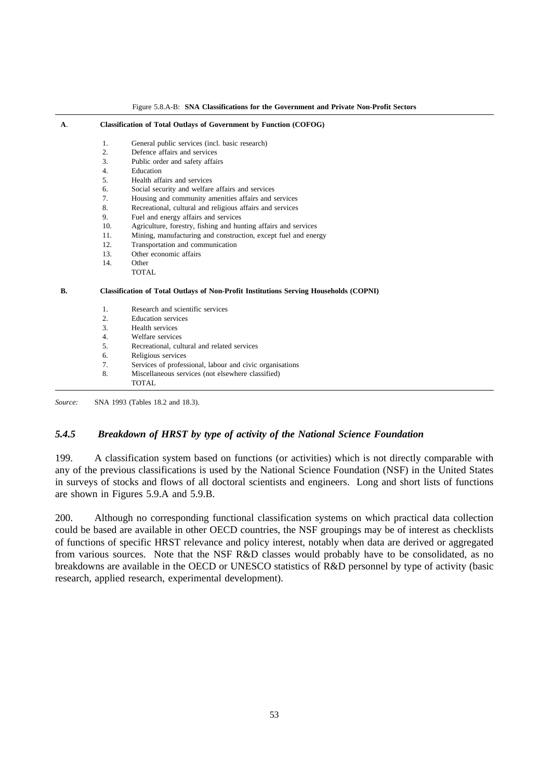**A**. **Classification of Total Outlays of Government by Function (COFOG)**

|           |     | $\alpha$ cassinguiton of Total Outlays of Government by Function (COTOG)                     |
|-----------|-----|----------------------------------------------------------------------------------------------|
|           | 1.  | General public services (incl. basic research)                                               |
|           | 2.  | Defence affairs and services                                                                 |
|           | 3.  | Public order and safety affairs                                                              |
|           | 4.  | Education                                                                                    |
|           | 5.  | Health affairs and services                                                                  |
|           | 6.  | Social security and welfare affairs and services                                             |
|           | 7.  | Housing and community amenities affairs and services                                         |
|           | 8.  | Recreational, cultural and religious affairs and services                                    |
|           | 9.  | Fuel and energy affairs and services                                                         |
|           | 10. | Agriculture, forestry, fishing and hunting affairs and services                              |
|           | 11. | Mining, manufacturing and construction, except fuel and energy                               |
|           | 12. | Transportation and communication                                                             |
|           | 13. | Other economic affairs                                                                       |
|           | 14. | Other                                                                                        |
|           |     | <b>TOTAL</b>                                                                                 |
| <b>B.</b> |     | <b>Classification of Total Outlays of Non-Profit Institutions Serving Households (COPNI)</b> |
|           | 1.  | Research and scientific services                                                             |
|           | 2.  | <b>Education</b> services                                                                    |
|           | 3.  | Health services                                                                              |
|           |     |                                                                                              |
|           | 4.  | Welfare services                                                                             |
|           | 5.  | Recreational, cultural and related services                                                  |
|           | 6.  | Religious services                                                                           |
|           | 7.  | Services of professional, labour and civic organisations                                     |
|           | 8.  | Miscellaneous services (not elsewhere classified)                                            |

*Source:* SNA 1993 (Tables 18.2 and 18.3).

## *5.4.5 Breakdown of HRST by type of activity of the National Science Foundation*

199. A classification system based on functions (or activities) which is not directly comparable with any of the previous classifications is used by the National Science Foundation (NSF) in the United States in surveys of stocks and flows of all doctoral scientists and engineers. Long and short lists of functions are shown in Figures 5.9.A and 5.9.B.

200. Although no corresponding functional classification systems on which practical data collection could be based are available in other OECD countries, the NSF groupings may be of interest as checklists of functions of specific HRST relevance and policy interest, notably when data are derived or aggregated from various sources. Note that the NSF R&D classes would probably have to be consolidated, as no breakdowns are available in the OECD or UNESCO statistics of R&D personnel by type of activity (basic research, applied research, experimental development).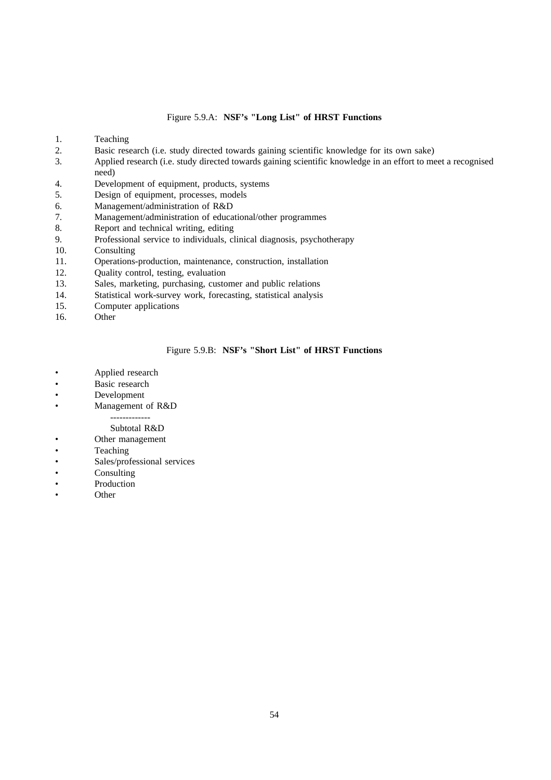#### Figure 5.9.A: **NSF's "Long List" of HRST Functions**

- 1. Teaching
- 2. Basic research (i.e. study directed towards gaining scientific knowledge for its own sake)
- 3. Applied research (i.e. study directed towards gaining scientific knowledge in an effort to meet a recognised need)
- 4. Development of equipment, products, systems
- 5. Design of equipment, processes, models
- 6. Management/administration of R&D
- 7. Management/administration of educational/other programmes
- 8. Report and technical writing, editing
- 9. Professional service to individuals, clinical diagnosis, psychotherapy
- 10. Consulting
- 11. Operations-production, maintenance, construction, installation
- 12. Quality control, testing, evaluation
- 13. Sales, marketing, purchasing, customer and public relations
- 14. Statistical work-survey work, forecasting, statistical analysis
- 15. Computer applications
- 16. Other

#### Figure 5.9.B: **NSF's "Short List" of HRST Functions**

- Applied research
- Basic research
- Development
- Management of R&D

------------- Subtotal R&D

- Other management
- Teaching
- Sales/professional services
- Consulting
- Production
- Other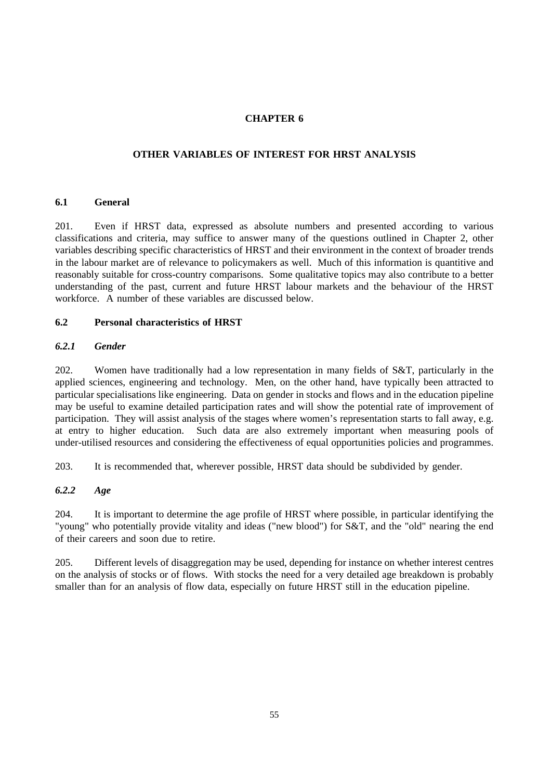# **CHAPTER 6**

# **OTHER VARIABLES OF INTEREST FOR HRST ANALYSIS**

#### **6.1 General**

201. Even if HRST data, expressed as absolute numbers and presented according to various classifications and criteria, may suffice to answer many of the questions outlined in Chapter 2, other variables describing specific characteristics of HRST and their environment in the context of broader trends in the labour market are of relevance to policymakers as well. Much of this information is quantitive and reasonably suitable for cross-country comparisons. Some qualitative topics may also contribute to a better understanding of the past, current and future HRST labour markets and the behaviour of the HRST workforce. A number of these variables are discussed below.

# **6.2 Personal characteristics of HRST**

# *6.2.1 Gender*

202. Women have traditionally had a low representation in many fields of S&T, particularly in the applied sciences, engineering and technology. Men, on the other hand, have typically been attracted to particular specialisations like engineering. Data on gender in stocks and flows and in the education pipeline may be useful to examine detailed participation rates and will show the potential rate of improvement of participation. They will assist analysis of the stages where women's representation starts to fall away, e.g. at entry to higher education. Such data are also extremely important when measuring pools of under-utilised resources and considering the effectiveness of equal opportunities policies and programmes.

203. It is recommended that, wherever possible, HRST data should be subdivided by gender.

## *6.2.2 Age*

204. It is important to determine the age profile of HRST where possible, in particular identifying the "young" who potentially provide vitality and ideas ("new blood") for S&T, and the "old" nearing the end of their careers and soon due to retire.

205. Different levels of disaggregation may be used, depending for instance on whether interest centres on the analysis of stocks or of flows. With stocks the need for a very detailed age breakdown is probably smaller than for an analysis of flow data, especially on future HRST still in the education pipeline.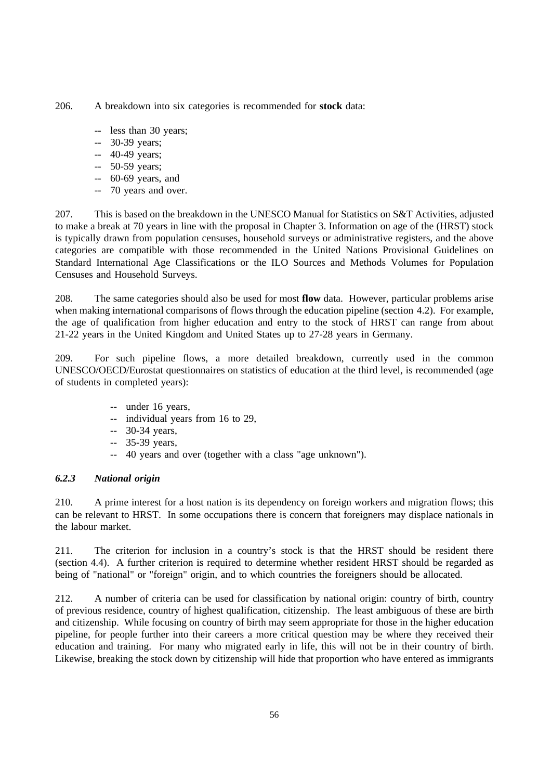206. A breakdown into six categories is recommended for **stock** data:

- -- less than 30 years;
- -- 30-39 years;
- -- 40-49 years;
- -- 50-59 years;
- -- 60-69 years, and
- -- 70 years and over.

207. This is based on the breakdown in the UNESCO Manual for Statistics on S&T Activities, adjusted to make a break at 70 years in line with the proposal in Chapter 3. Information on age of the (HRST) stock is typically drawn from population censuses, household surveys or administrative registers, and the above categories are compatible with those recommended in the United Nations Provisional Guidelines on Standard International Age Classifications or the ILO Sources and Methods Volumes for Population Censuses and Household Surveys.

208. The same categories should also be used for most **flow** data. However, particular problems arise when making international comparisons of flows through the education pipeline (section 4.2). For example, the age of qualification from higher education and entry to the stock of HRST can range from about 21-22 years in the United Kingdom and United States up to 27-28 years in Germany.

209. For such pipeline flows, a more detailed breakdown, currently used in the common UNESCO/OECD/Eurostat questionnaires on statistics of education at the third level, is recommended (age of students in completed years):

- -- under 16 years,
- -- individual years from 16 to 29,
- -- 30-34 years,
- -- 35-39 years,
- -- 40 years and over (together with a class "age unknown").

## *6.2.3 National origin*

210. A prime interest for a host nation is its dependency on foreign workers and migration flows; this can be relevant to HRST. In some occupations there is concern that foreigners may displace nationals in the labour market.

211. The criterion for inclusion in a country's stock is that the HRST should be resident there (section 4.4). A further criterion is required to determine whether resident HRST should be regarded as being of "national" or "foreign" origin, and to which countries the foreigners should be allocated.

212. A number of criteria can be used for classification by national origin: country of birth, country of previous residence, country of highest qualification, citizenship. The least ambiguous of these are birth and citizenship. While focusing on country of birth may seem appropriate for those in the higher education pipeline, for people further into their careers a more critical question may be where they received their education and training. For many who migrated early in life, this will not be in their country of birth. Likewise, breaking the stock down by citizenship will hide that proportion who have entered as immigrants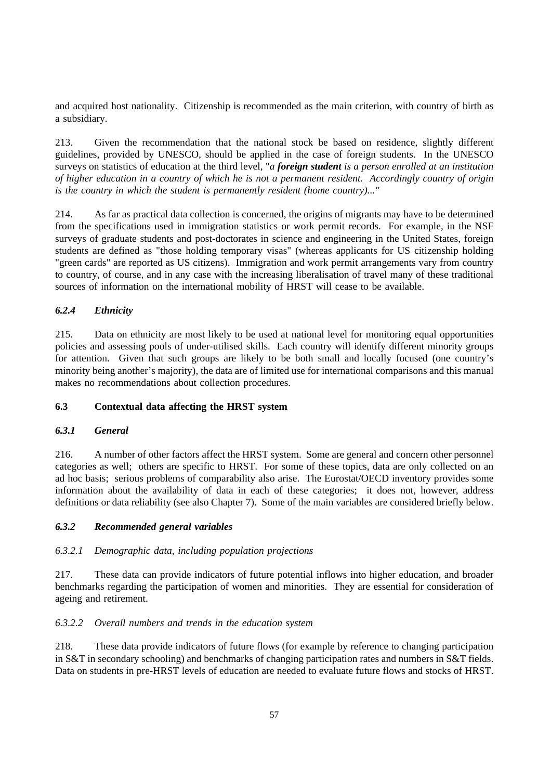and acquired host nationality. Citizenship is recommended as the main criterion, with country of birth as a subsidiary.

213. Given the recommendation that the national stock be based on residence, slightly different guidelines, provided by UNESCO, should be applied in the case of foreign students. In the UNESCO surveys on statistics of education at the third level, "*a foreign student is a person enrolled at an institution of higher education in a country of which he is not a permanent resident. Accordingly country of origin is the country in which the student is permanently resident (home country)..."*

214. As far as practical data collection is concerned, the origins of migrants may have to be determined from the specifications used in immigration statistics or work permit records. For example, in the NSF surveys of graduate students and post-doctorates in science and engineering in the United States, foreign students are defined as "those holding temporary visas" (whereas applicants for US citizenship holding "green cards" are reported as US citizens). Immigration and work permit arrangements vary from country to country, of course, and in any case with the increasing liberalisation of travel many of these traditional sources of information on the international mobility of HRST will cease to be available.

# *6.2.4 Ethnicity*

215. Data on ethnicity are most likely to be used at national level for monitoring equal opportunities policies and assessing pools of under-utilised skills. Each country will identify different minority groups for attention. Given that such groups are likely to be both small and locally focused (one country's minority being another's majority), the data are of limited use for international comparisons and this manual makes no recommendations about collection procedures.

# **6.3 Contextual data affecting the HRST system**

## *6.3.1 General*

216. A number of other factors affect the HRST system. Some are general and concern other personnel categories as well; others are specific to HRST. For some of these topics, data are only collected on an ad hoc basis; serious problems of comparability also arise. The Eurostat/OECD inventory provides some information about the availability of data in each of these categories; it does not, however, address definitions or data reliability (see also Chapter 7). Some of the main variables are considered briefly below.

## *6.3.2 Recommended general variables*

## *6.3.2.1 Demographic data, including population projections*

217. These data can provide indicators of future potential inflows into higher education, and broader benchmarks regarding the participation of women and minorities. They are essential for consideration of ageing and retirement.

## *6.3.2.2 Overall numbers and trends in the education system*

218. These data provide indicators of future flows (for example by reference to changing participation in S&T in secondary schooling) and benchmarks of changing participation rates and numbers in S&T fields. Data on students in pre-HRST levels of education are needed to evaluate future flows and stocks of HRST.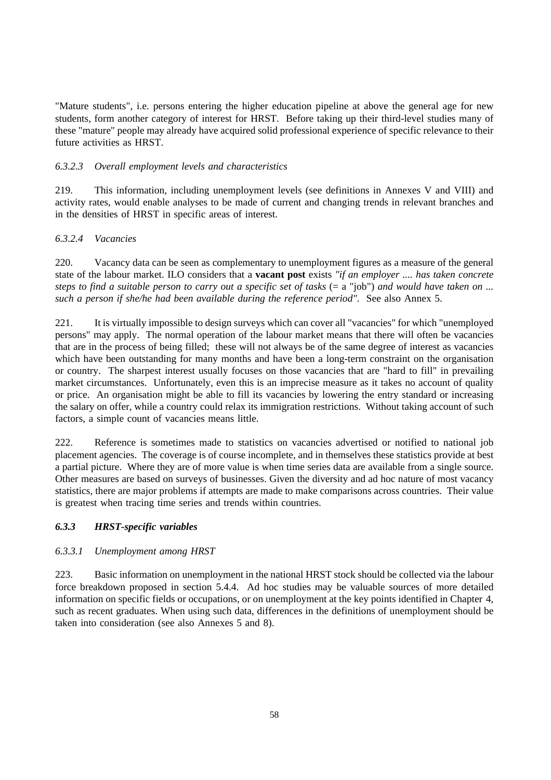"Mature students", i.e. persons entering the higher education pipeline at above the general age for new students, form another category of interest for HRST. Before taking up their third-level studies many of these "mature" people may already have acquired solid professional experience of specific relevance to their future activities as HRST.

### *6.3.2.3 Overall employment levels and characteristics*

219. This information, including unemployment levels (see definitions in Annexes V and VIII) and activity rates, would enable analyses to be made of current and changing trends in relevant branches and in the densities of HRST in specific areas of interest.

#### *6.3.2.4 Vacancies*

220. Vacancy data can be seen as complementary to unemployment figures as a measure of the general state of the labour market. ILO considers that a **vacant post** exists *"if an employer .... has taken concrete steps to find a suitable person to carry out a specific set of tasks* (= a "job") *and would have taken on ... such a person if she/he had been available during the reference period"*. See also Annex 5.

221. It is virtually impossible to design surveys which can cover all "vacancies" for which "unemployed persons" may apply. The normal operation of the labour market means that there will often be vacancies that are in the process of being filled; these will not always be of the same degree of interest as vacancies which have been outstanding for many months and have been a long-term constraint on the organisation or country. The sharpest interest usually focuses on those vacancies that are "hard to fill" in prevailing market circumstances. Unfortunately, even this is an imprecise measure as it takes no account of quality or price. An organisation might be able to fill its vacancies by lowering the entry standard or increasing the salary on offer, while a country could relax its immigration restrictions. Without taking account of such factors, a simple count of vacancies means little.

222. Reference is sometimes made to statistics on vacancies advertised or notified to national job placement agencies. The coverage is of course incomplete, and in themselves these statistics provide at best a partial picture. Where they are of more value is when time series data are available from a single source. Other measures are based on surveys of businesses. Given the diversity and ad hoc nature of most vacancy statistics, there are major problems if attempts are made to make comparisons across countries. Their value is greatest when tracing time series and trends within countries.

## *6.3.3 HRST-specific variables*

#### *6.3.3.1 Unemployment among HRST*

223. Basic information on unemployment in the national HRST stock should be collected via the labour force breakdown proposed in section 5.4.4. Ad hoc studies may be valuable sources of more detailed information on specific fields or occupations, or on unemployment at the key points identified in Chapter 4, such as recent graduates. When using such data, differences in the definitions of unemployment should be taken into consideration (see also Annexes 5 and 8).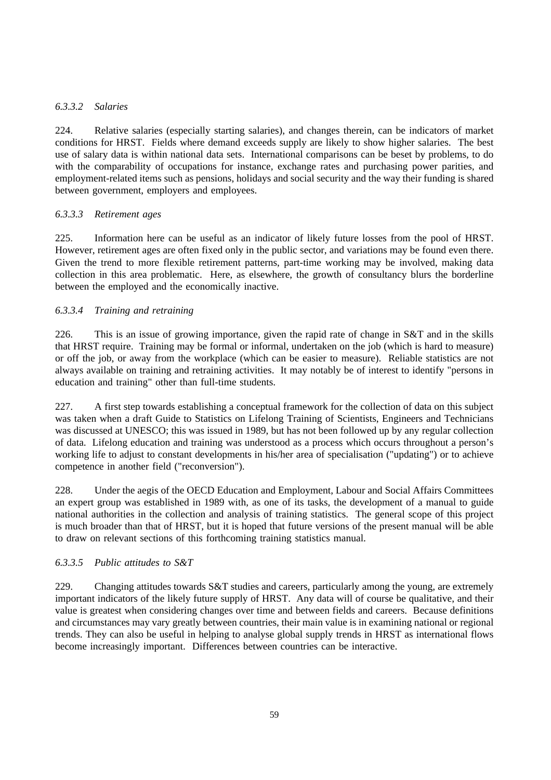# *6.3.3.2 Salaries*

224. Relative salaries (especially starting salaries), and changes therein, can be indicators of market conditions for HRST. Fields where demand exceeds supply are likely to show higher salaries. The best use of salary data is within national data sets. International comparisons can be beset by problems, to do with the comparability of occupations for instance, exchange rates and purchasing power parities, and employment-related items such as pensions, holidays and social security and the way their funding is shared between government, employers and employees.

# *6.3.3.3 Retirement ages*

225. Information here can be useful as an indicator of likely future losses from the pool of HRST. However, retirement ages are often fixed only in the public sector, and variations may be found even there. Given the trend to more flexible retirement patterns, part-time working may be involved, making data collection in this area problematic. Here, as elsewhere, the growth of consultancy blurs the borderline between the employed and the economically inactive.

# *6.3.3.4 Training and retraining*

226. This is an issue of growing importance, given the rapid rate of change in S&T and in the skills that HRST require. Training may be formal or informal, undertaken on the job (which is hard to measure) or off the job, or away from the workplace (which can be easier to measure). Reliable statistics are not always available on training and retraining activities. It may notably be of interest to identify "persons in education and training" other than full-time students.

227. A first step towards establishing a conceptual framework for the collection of data on this subject was taken when a draft Guide to Statistics on Lifelong Training of Scientists, Engineers and Technicians was discussed at UNESCO; this was issued in 1989, but has not been followed up by any regular collection of data. Lifelong education and training was understood as a process which occurs throughout a person's working life to adjust to constant developments in his/her area of specialisation ("updating") or to achieve competence in another field ("reconversion").

228. Under the aegis of the OECD Education and Employment, Labour and Social Affairs Committees an expert group was established in 1989 with, as one of its tasks, the development of a manual to guide national authorities in the collection and analysis of training statistics. The general scope of this project is much broader than that of HRST, but it is hoped that future versions of the present manual will be able to draw on relevant sections of this forthcoming training statistics manual.

# *6.3.3.5 Public attitudes to S&T*

229. Changing attitudes towards S&T studies and careers, particularly among the young, are extremely important indicators of the likely future supply of HRST. Any data will of course be qualitative, and their value is greatest when considering changes over time and between fields and careers. Because definitions and circumstances may vary greatly between countries, their main value is in examining national or regional trends. They can also be useful in helping to analyse global supply trends in HRST as international flows become increasingly important. Differences between countries can be interactive.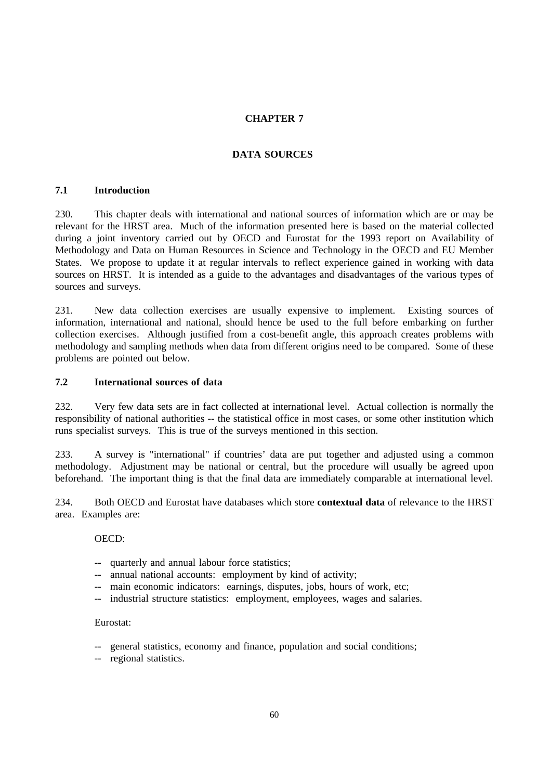# **CHAPTER 7**

# **DATA SOURCES**

## **7.1 Introduction**

230. This chapter deals with international and national sources of information which are or may be relevant for the HRST area. Much of the information presented here is based on the material collected during a joint inventory carried out by OECD and Eurostat for the 1993 report on Availability of Methodology and Data on Human Resources in Science and Technology in the OECD and EU Member States. We propose to update it at regular intervals to reflect experience gained in working with data sources on HRST. It is intended as a guide to the advantages and disadvantages of the various types of sources and surveys.

231. New data collection exercises are usually expensive to implement. Existing sources of information, international and national, should hence be used to the full before embarking on further collection exercises. Although justified from a cost-benefit angle, this approach creates problems with methodology and sampling methods when data from different origins need to be compared. Some of these problems are pointed out below.

#### **7.2 International sources of data**

232. Very few data sets are in fact collected at international level. Actual collection is normally the responsibility of national authorities -- the statistical office in most cases, or some other institution which runs specialist surveys. This is true of the surveys mentioned in this section.

233. A survey is "international" if countries' data are put together and adjusted using a common methodology. Adjustment may be national or central, but the procedure will usually be agreed upon beforehand. The important thing is that the final data are immediately comparable at international level.

234. Both OECD and Eurostat have databases which store **contextual data** of relevance to the HRST area. Examples are:

#### OECD:

- -- quarterly and annual labour force statistics;
- -- annual national accounts: employment by kind of activity;
- -- main economic indicators: earnings, disputes, jobs, hours of work, etc;
- -- industrial structure statistics: employment, employees, wages and salaries.

### Eurostat:

- -- general statistics, economy and finance, population and social conditions;
- -- regional statistics.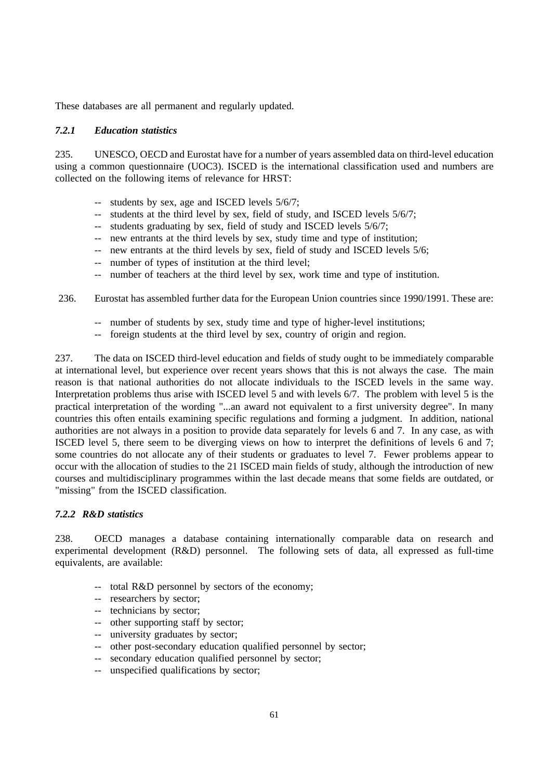These databases are all permanent and regularly updated.

#### *7.2.1 Education statistics*

235. UNESCO, OECD and Eurostat have for a number of years assembled data on third-level education using a common questionnaire (UOC3). ISCED is the international classification used and numbers are collected on the following items of relevance for HRST:

- -- students by sex, age and ISCED levels 5/6/7;
- -- students at the third level by sex, field of study, and ISCED levels 5/6/7;
- -- students graduating by sex, field of study and ISCED levels 5/6/7;
- -- new entrants at the third levels by sex, study time and type of institution;
- -- new entrants at the third levels by sex, field of study and ISCED levels 5/6;
- -- number of types of institution at the third level;
- -- number of teachers at the third level by sex, work time and type of institution.

236. Eurostat has assembled further data for the European Union countries since 1990/1991. These are:

- -- number of students by sex, study time and type of higher-level institutions;
- -- foreign students at the third level by sex, country of origin and region.

237. The data on ISCED third-level education and fields of study ought to be immediately comparable at international level, but experience over recent years shows that this is not always the case. The main reason is that national authorities do not allocate individuals to the ISCED levels in the same way. Interpretation problems thus arise with ISCED level 5 and with levels 6/7. The problem with level 5 is the practical interpretation of the wording "...an award not equivalent to a first university degree". In many countries this often entails examining specific regulations and forming a judgment. In addition, national authorities are not always in a position to provide data separately for levels 6 and 7. In any case, as with ISCED level 5, there seem to be diverging views on how to interpret the definitions of levels 6 and 7; some countries do not allocate any of their students or graduates to level 7. Fewer problems appear to occur with the allocation of studies to the 21 ISCED main fields of study, although the introduction of new courses and multidisciplinary programmes within the last decade means that some fields are outdated, or "missing" from the ISCED classification.

#### *7.2.2 R&D statistics*

238. OECD manages a database containing internationally comparable data on research and experimental development (R&D) personnel. The following sets of data, all expressed as full-time equivalents, are available:

- -- total R&D personnel by sectors of the economy;
- -- researchers by sector;
- -- technicians by sector;
- -- other supporting staff by sector;
- -- university graduates by sector;
- -- other post-secondary education qualified personnel by sector;
- -- secondary education qualified personnel by sector;
- -- unspecified qualifications by sector;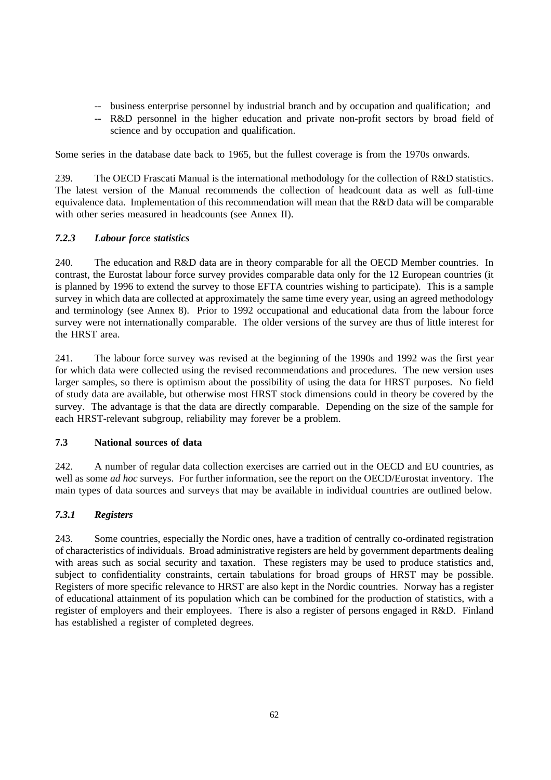- -- business enterprise personnel by industrial branch and by occupation and qualification; and
- -- R&D personnel in the higher education and private non-profit sectors by broad field of science and by occupation and qualification.

Some series in the database date back to 1965, but the fullest coverage is from the 1970s onwards.

239. The OECD Frascati Manual is the international methodology for the collection of R&D statistics. The latest version of the Manual recommends the collection of headcount data as well as full-time equivalence data. Implementation of this recommendation will mean that the R&D data will be comparable with other series measured in headcounts (see Annex II).

# *7.2.3 Labour force statistics*

240. The education and R&D data are in theory comparable for all the OECD Member countries. In contrast, the Eurostat labour force survey provides comparable data only for the 12 European countries (it is planned by 1996 to extend the survey to those EFTA countries wishing to participate). This is a sample survey in which data are collected at approximately the same time every year, using an agreed methodology and terminology (see Annex 8). Prior to 1992 occupational and educational data from the labour force survey were not internationally comparable. The older versions of the survey are thus of little interest for the HRST area.

241. The labour force survey was revised at the beginning of the 1990s and 1992 was the first year for which data were collected using the revised recommendations and procedures. The new version uses larger samples, so there is optimism about the possibility of using the data for HRST purposes. No field of study data are available, but otherwise most HRST stock dimensions could in theory be covered by the survey. The advantage is that the data are directly comparable. Depending on the size of the sample for each HRST-relevant subgroup, reliability may forever be a problem.

# **7.3 National sources of data**

242. A number of regular data collection exercises are carried out in the OECD and EU countries, as well as some *ad hoc* surveys. For further information, see the report on the OECD/Eurostat inventory. The main types of data sources and surveys that may be available in individual countries are outlined below.

# *7.3.1 Registers*

243. Some countries, especially the Nordic ones, have a tradition of centrally co-ordinated registration of characteristics of individuals. Broad administrative registers are held by government departments dealing with areas such as social security and taxation. These registers may be used to produce statistics and, subject to confidentiality constraints, certain tabulations for broad groups of HRST may be possible. Registers of more specific relevance to HRST are also kept in the Nordic countries. Norway has a register of educational attainment of its population which can be combined for the production of statistics, with a register of employers and their employees. There is also a register of persons engaged in R&D. Finland has established a register of completed degrees.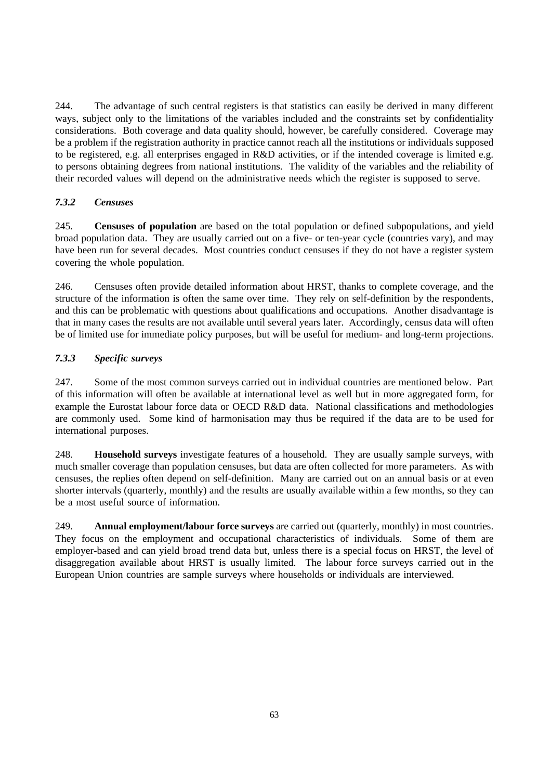244. The advantage of such central registers is that statistics can easily be derived in many different ways, subject only to the limitations of the variables included and the constraints set by confidentiality considerations. Both coverage and data quality should, however, be carefully considered. Coverage may be a problem if the registration authority in practice cannot reach all the institutions or individuals supposed to be registered, e.g. all enterprises engaged in R&D activities, or if the intended coverage is limited e.g. to persons obtaining degrees from national institutions. The validity of the variables and the reliability of their recorded values will depend on the administrative needs which the register is supposed to serve.

# *7.3.2 Censuses*

245. **Censuses of population** are based on the total population or defined subpopulations, and yield broad population data. They are usually carried out on a five- or ten-year cycle (countries vary), and may have been run for several decades. Most countries conduct censuses if they do not have a register system covering the whole population.

246. Censuses often provide detailed information about HRST, thanks to complete coverage, and the structure of the information is often the same over time. They rely on self-definition by the respondents, and this can be problematic with questions about qualifications and occupations. Another disadvantage is that in many cases the results are not available until several years later. Accordingly, census data will often be of limited use for immediate policy purposes, but will be useful for medium- and long-term projections.

# *7.3.3 Specific surveys*

247. Some of the most common surveys carried out in individual countries are mentioned below. Part of this information will often be available at international level as well but in more aggregated form, for example the Eurostat labour force data or OECD R&D data. National classifications and methodologies are commonly used. Some kind of harmonisation may thus be required if the data are to be used for international purposes.

248. **Household surveys** investigate features of a household. They are usually sample surveys, with much smaller coverage than population censuses, but data are often collected for more parameters. As with censuses, the replies often depend on self-definition. Many are carried out on an annual basis or at even shorter intervals (quarterly, monthly) and the results are usually available within a few months, so they can be a most useful source of information.

249. **Annual employment/labour force surveys** are carried out (quarterly, monthly) in most countries. They focus on the employment and occupational characteristics of individuals. Some of them are employer-based and can yield broad trend data but, unless there is a special focus on HRST, the level of disaggregation available about HRST is usually limited. The labour force surveys carried out in the European Union countries are sample surveys where households or individuals are interviewed.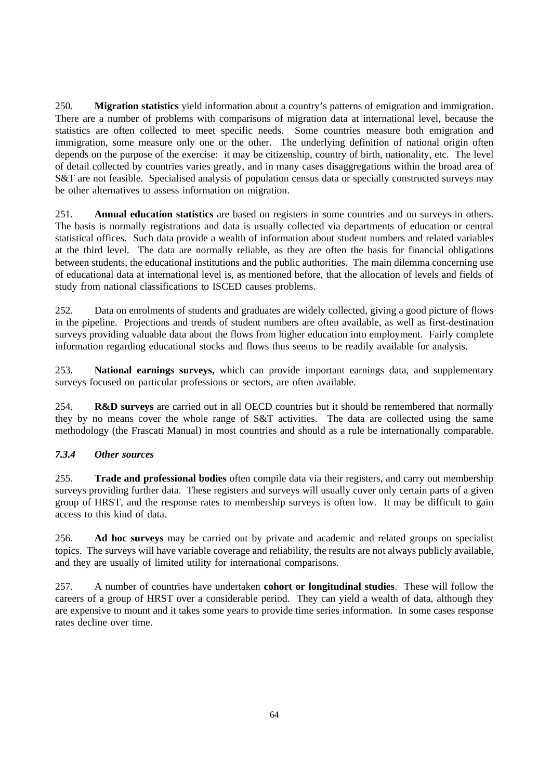250. **Migration statistics** yield information about a country's patterns of emigration and immigration. There are a number of problems with comparisons of migration data at international level, because the statistics are often collected to meet specific needs. Some countries measure both emigration and immigration, some measure only one or the other. The underlying definition of national origin often depends on the purpose of the exercise: it may be citizenship, country of birth, nationality, etc. The level of detail collected by countries varies greatly, and in many cases disaggregations within the broad area of S&T are not feasible. Specialised analysis of population census data or specially constructed surveys may be other alternatives to assess information on migration.

251. **Annual education statistics** are based on registers in some countries and on surveys in others. The basis is normally registrations and data is usually collected via departments of education or central statistical offices. Such data provide a wealth of information about student numbers and related variables at the third level. The data are normally reliable, as they are often the basis for financial obligations between students, the educational institutions and the public authorities. The main dilemma concerning use of educational data at international level is, as mentioned before, that the allocation of levels and fields of study from national classifications to ISCED causes problems.

252. Data on enrolments of students and graduates are widely collected, giving a good picture of flows in the pipeline. Projections and trends of student numbers are often available, as well as first-destination surveys providing valuable data about the flows from higher education into employment. Fairly complete information regarding educational stocks and flows thus seems to be readily available for analysis.

253. **National earnings surveys,** which can provide important earnings data, and supplementary surveys focused on particular professions or sectors, are often available.

254. **R&D surveys** are carried out in all OECD countries but it should be remembered that normally they by no means cover the whole range of S&T activities. The data are collected using the same methodology (the Frascati Manual) in most countries and should as a rule be internationally comparable.

# *7.3.4 Other sources*

255. **Trade and professional bodies** often compile data via their registers, and carry out membership surveys providing further data. These registers and surveys will usually cover only certain parts of a given group of HRST, and the response rates to membership surveys is often low. It may be difficult to gain access to this kind of data.

256. **Ad hoc surveys** may be carried out by private and academic and related groups on specialist topics. The surveys will have variable coverage and reliability, the results are not always publicly available, and they are usually of limited utility for international comparisons.

257. A number of countries have undertaken **cohort or longitudinal studies**. These will follow the careers of a group of HRST over a considerable period. They can yield a wealth of data, although they are expensive to mount and it takes some years to provide time series information. In some cases response rates decline over time.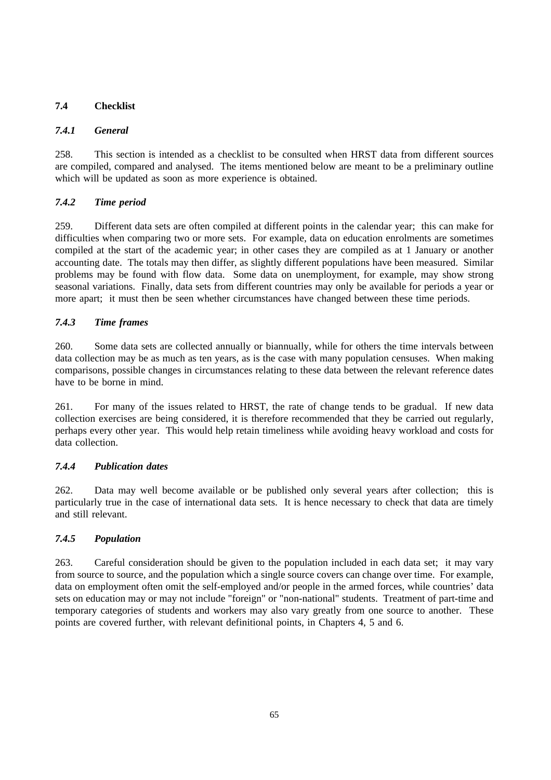# **7.4 Checklist**

# *7.4.1 General*

258. This section is intended as a checklist to be consulted when HRST data from different sources are compiled, compared and analysed. The items mentioned below are meant to be a preliminary outline which will be updated as soon as more experience is obtained.

# *7.4.2 Time period*

259. Different data sets are often compiled at different points in the calendar year; this can make for difficulties when comparing two or more sets. For example, data on education enrolments are sometimes compiled at the start of the academic year; in other cases they are compiled as at 1 January or another accounting date. The totals may then differ, as slightly different populations have been measured. Similar problems may be found with flow data. Some data on unemployment, for example, may show strong seasonal variations. Finally, data sets from different countries may only be available for periods a year or more apart; it must then be seen whether circumstances have changed between these time periods.

# *7.4.3 Time frames*

260. Some data sets are collected annually or biannually, while for others the time intervals between data collection may be as much as ten years, as is the case with many population censuses. When making comparisons, possible changes in circumstances relating to these data between the relevant reference dates have to be borne in mind.

261. For many of the issues related to HRST, the rate of change tends to be gradual. If new data collection exercises are being considered, it is therefore recommended that they be carried out regularly, perhaps every other year. This would help retain timeliness while avoiding heavy workload and costs for data collection.

## *7.4.4 Publication dates*

262. Data may well become available or be published only several years after collection; this is particularly true in the case of international data sets. It is hence necessary to check that data are timely and still relevant.

## *7.4.5 Population*

263. Careful consideration should be given to the population included in each data set; it may vary from source to source, and the population which a single source covers can change over time. For example, data on employment often omit the self-employed and/or people in the armed forces, while countries' data sets on education may or may not include "foreign" or "non-national" students. Treatment of part-time and temporary categories of students and workers may also vary greatly from one source to another. These points are covered further, with relevant definitional points, in Chapters 4, 5 and 6.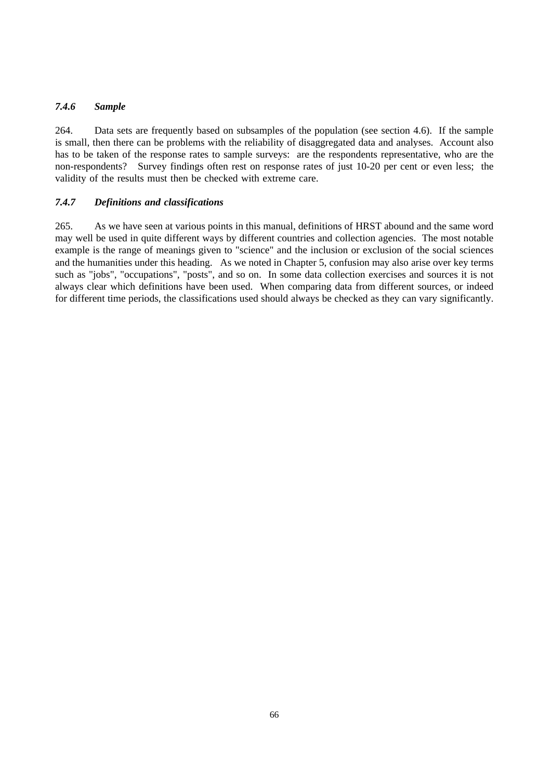# *7.4.6 Sample*

264. Data sets are frequently based on subsamples of the population (see section 4.6). If the sample is small, then there can be problems with the reliability of disaggregated data and analyses. Account also has to be taken of the response rates to sample surveys: are the respondents representative, who are the non-respondents? Survey findings often rest on response rates of just 10-20 per cent or even less; the validity of the results must then be checked with extreme care.

# *7.4.7 Definitions and classifications*

265. As we have seen at various points in this manual, definitions of HRST abound and the same word may well be used in quite different ways by different countries and collection agencies. The most notable example is the range of meanings given to "science" and the inclusion or exclusion of the social sciences and the humanities under this heading. As we noted in Chapter 5, confusion may also arise over key terms such as "jobs", "occupations", "posts", and so on. In some data collection exercises and sources it is not always clear which definitions have been used. When comparing data from different sources, or indeed for different time periods, the classifications used should always be checked as they can vary significantly.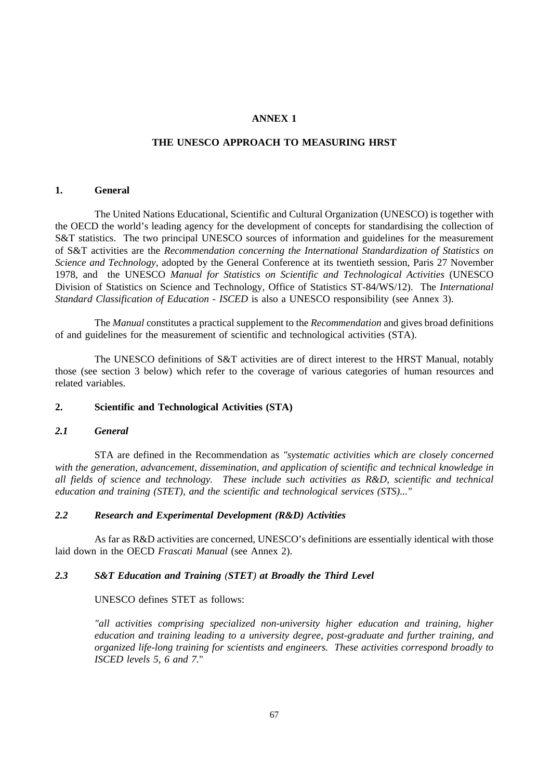## **ANNEX 1**

#### **THE UNESCO APPROACH TO MEASURING HRST**

### **1. General**

The United Nations Educational, Scientific and Cultural Organization (UNESCO) is together with the OECD the world's leading agency for the development of concepts for standardising the collection of S&T statistics. The two principal UNESCO sources of information and guidelines for the measurement of S&T activities are the *Recommendation concerning the International Standardization of Statistics on Science and Technology*, adopted by the General Conference at its twentieth session, Paris 27 November 1978, and the UNESCO *Manual for Statistics on Scientific and Technological Activities* (UNESCO Division of Statistics on Science and Technology, Office of Statistics ST-84/WS/12). The *International Standard Classification of Education - ISCED* is also a UNESCO responsibility (see Annex 3).

The *Manual* constitutes a practical supplement to the *Recommendation* and gives broad definitions of and guidelines for the measurement of scientific and technological activities (STA).

The UNESCO definitions of S&T activities are of direct interest to the HRST Manual, notably those (see section 3 below) which refer to the coverage of various categories of human resources and related variables.

#### **2. Scientific and Technological Activities (STA)**

#### *2.1 General*

STA are defined in the Recommendation as *"systematic activities which are closely concerned with the generation, advancement, dissemination, and application of scientific and technical knowledge in all fields of science and technology. These include such activities as R&D, scientific and technical education and training (STET), and the scientific and technological services (STS)..."*

#### *2.2 Research and Experimental Development (R&D) Activities*

As far as R&D activities are concerned, UNESCO's definitions are essentially identical with those laid down in the OECD *Frascati Manual* (see Annex 2).

# *2.3 S&T Education and Training (STET) at Broadly the Third Level*

#### UNESCO defines STET as follows:

*"all activities comprising specialized non-university higher education and training, higher education and training leading to a university degree, post-graduate and further training, and organized life-long training for scientists and engineers. These activities correspond broadly to ISCED levels 5, 6 and 7.*"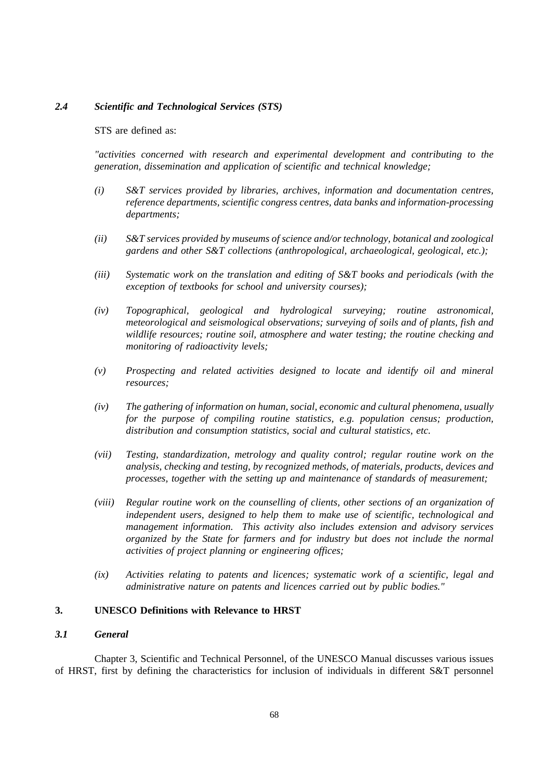## *2.4 Scientific and Technological Services (STS)*

#### STS are defined as:

*"activities concerned with research and experimental development and contributing to the generation, dissemination and application of scientific and technical knowledge;*

- *(i) S&T services provided by libraries, archives, information and documentation centres, reference departments, scientific congress centres, data banks and information-processing departments;*
- *(ii) S&T services provided by museums of science and/or technology, botanical and zoological gardens and other S&T collections (anthropological, archaeological, geological, etc.);*
- *(iii) Systematic work on the translation and editing of S&T books and periodicals (with the exception of textbooks for school and university courses);*
- *(iv) Topographical, geological and hydrological surveying; routine astronomical, meteorological and seismological observations; surveying of soils and of plants, fish and wildlife resources; routine soil, atmosphere and water testing; the routine checking and monitoring of radioactivity levels;*
- *(v) Prospecting and related activities designed to locate and identify oil and mineral resources;*
- *(iv) The gathering of information on human, social, economic and cultural phenomena, usually for the purpose of compiling routine statistics, e.g. population census; production, distribution and consumption statistics, social and cultural statistics, etc.*
- *(vii) Testing, standardization, metrology and quality control; regular routine work on the analysis, checking and testing, by recognized methods, of materials, products, devices and processes, together with the setting up and maintenance of standards of measurement;*
- *(viii) Regular routine work on the counselling of clients, other sections of an organization of independent users, designed to help them to make use of scientific, technological and management information. This activity also includes extension and advisory services organized by the State for farmers and for industry but does not include the normal activities of project planning or engineering offices;*
- *(ix) Activities relating to patents and licences; systematic work of a scientific, legal and administrative nature on patents and licences carried out by public bodies."*

#### **3. UNESCO Definitions with Relevance to HRST**

## *3.1 General*

Chapter 3, Scientific and Technical Personnel, of the UNESCO Manual discusses various issues of HRST, first by defining the characteristics for inclusion of individuals in different S&T personnel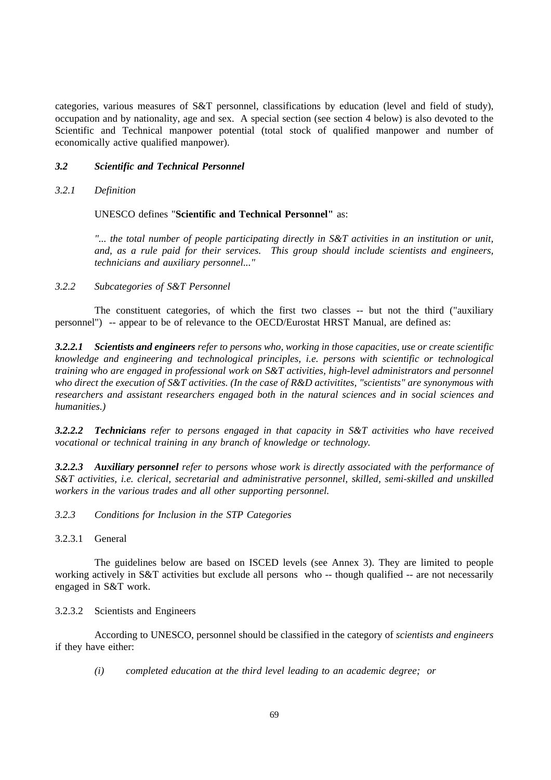categories, various measures of S&T personnel, classifications by education (level and field of study), occupation and by nationality, age and sex. A special section (see section 4 below) is also devoted to the Scientific and Technical manpower potential (total stock of qualified manpower and number of economically active qualified manpower).

## *3.2 Scientific and Technical Personnel*

*3.2.1 Definition*

UNESCO defines "**Scientific and Technical Personnel"** as:

*"... the total number of people participating directly in S&T activities in an institution or unit, and, as a rule paid for their services. This group should include scientists and engineers, technicians and auxiliary personnel..."*

# *3.2.2 Subcategories of S&T Personnel*

The constituent categories, of which the first two classes -- but not the third ("auxiliary personnel") -- appear to be of relevance to the OECD/Eurostat HRST Manual, are defined as:

*3.2.2.1 Scientists and engineers refer to persons who, working in those capacities, use or create scientific knowledge and engineering and technological principles, i.e. persons with scientific or technological training who are engaged in professional work on S&T activities, high-level administrators and personnel who direct the execution of S&T activities. (In the case of R&D activitites, "scientists" are synonymous with researchers and assistant researchers engaged both in the natural sciences and in social sciences and humanities.)*

*3.2.2.2 Technicians refer to persons engaged in that capacity in S&T activities who have received vocational or technical training in any branch of knowledge or technology.*

*3.2.2.3 Auxiliary personnel refer to persons whose work is directly associated with the performance of S&T activities, i.e. clerical, secretarial and administrative personnel, skilled, semi-skilled and unskilled workers in the various trades and all other supporting personnel.*

*3.2.3 Conditions for Inclusion in the STP Categories*

3.2.3.1 General

The guidelines below are based on ISCED levels (see Annex 3). They are limited to people working actively in S&T activities but exclude all persons who -- though qualified -- are not necessarily engaged in S&T work.

## 3.2.3.2 Scientists and Engineers

According to UNESCO, personnel should be classified in the category of *scientists and engineers* if they have either:

*(i) completed education at the third level leading to an academic degree; or*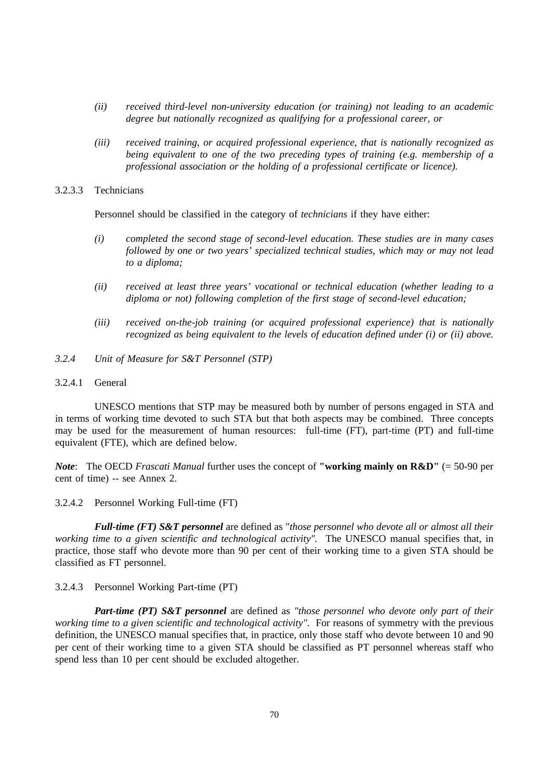- *(ii) received third-level non-university education (or training) not leading to an academic degree but nationally recognized as qualifying for a professional career, or*
- *(iii) received training, or acquired professional experience, that is nationally recognized as being equivalent to one of the two preceding types of training (e.g. membership of a professional association or the holding of a professional certificate or licence).*

### 3.2.3.3 Technicians

Personnel should be classified in the category of *technicians* if they have either:

- *(i) completed the second stage of second-level education. These studies are in many cases followed by one or two years' specialized technical studies, which may or may not lead to a diploma;*
- *(ii) received at least three years' vocational or technical education (whether leading to a diploma or not) following completion of the first stage of second-level education;*
- *(iii) received on-the-job training (or acquired professional experience) that is nationally recognized as being equivalent to the levels of education defined under (i) or (ii) above.*
- *3.2.4 Unit of Measure for S&T Personnel (STP)*
- 3.2.4.1 General

UNESCO mentions that STP may be measured both by number of persons engaged in STA and in terms of working time devoted to such STA but that both aspects may be combined. Three concepts may be used for the measurement of human resources: full-time (FT), part-time (PT) and full-time equivalent (FTE), which are defined below.

*Note*: The OECD *Frascati Manual* further uses the concept of **"working mainly on R&D"** (= 50-90 per cent of time) -- see Annex 2.

3.2.4.2 Personnel Working Full-time (FT)

*Full-time (FT) S&T personnel* are defined as "*those personnel who devote all or almost all their working time to a given scientific and technological activity".* The UNESCO manual specifies that, in practice, those staff who devote more than 90 per cent of their working time to a given STA should be classified as FT personnel.

#### 3.2.4.3 Personnel Working Part-time (PT)

*Part-time (PT) S&T personnel* are defined as *"those personnel who devote only part of their working time to a given scientific and technological activity"*. For reasons of symmetry with the previous definition, the UNESCO manual specifies that, in practice, only those staff who devote between 10 and 90 per cent of their working time to a given STA should be classified as PT personnel whereas staff who spend less than 10 per cent should be excluded altogether.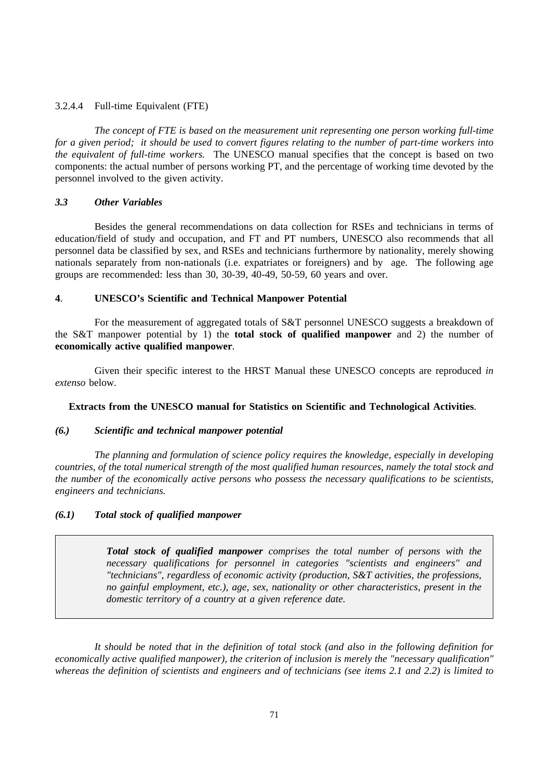#### 3.2.4.4 Full-time Equivalent (FTE)

*The concept of FTE is based on the measurement unit representing one person working full-time for a given period; it should be used to convert figures relating to the number of part-time workers into the equivalent of full-time workers.* The UNESCO manual specifies that the concept is based on two components: the actual number of persons working PT, and the percentage of working time devoted by the personnel involved to the given activity.

#### *3.3 Other Variables*

Besides the general recommendations on data collection for RSEs and technicians in terms of education/field of study and occupation, and FT and PT numbers, UNESCO also recommends that all personnel data be classified by sex, and RSEs and technicians furthermore by nationality, merely showing nationals separately from non-nationals (i.e. expatriates or foreigners) and by age. The following age groups are recommended: less than 30, 30-39, 40-49, 50-59, 60 years and over.

### **4**. **UNESCO's Scientific and Technical Manpower Potential**

For the measurement of aggregated totals of S&T personnel UNESCO suggests a breakdown of the S&T manpower potential by 1) the **total stock of qualified manpower** and 2) the number of **economically active qualified manpower**.

Given their specific interest to the HRST Manual these UNESCO concepts are reproduced *in extenso* below.

# **Extracts from the UNESCO manual for Statistics on Scientific and Technological Activities**.

#### *(6.) Scientific and technical manpower potential*

*The planning and formulation of science policy requires the knowledge, especially in developing countries, of the total numerical strength of the most qualified human resources, namely the total stock and the number of the economically active persons who possess the necessary qualifications to be scientists, engineers and technicians.*

## *(6.1) Total stock of qualified manpower*

*Total stock of qualified manpower comprises the total number of persons with the necessary qualifications for personnel in categories "scientists and engineers" and "technicians", regardless of economic activity (production, S&T activities, the professions, no gainful employment, etc.), age, sex, nationality or other characteristics, present in the domestic territory of a country at a given reference date.*

*It should be noted that in the definition of total stock (and also in the following definition for economically active qualified manpower), the criterion of inclusion is merely the "necessary qualification" whereas the definition of scientists and engineers and of technicians (see items 2.1 and 2.2) is limited to*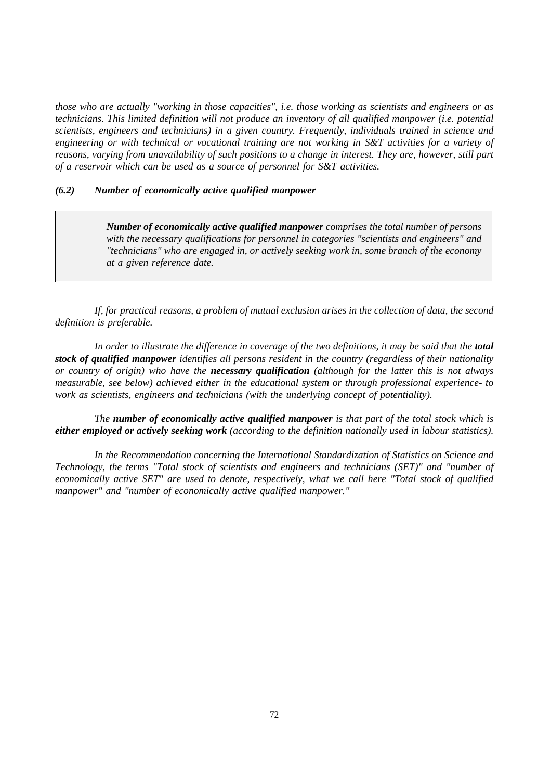*those who are actually "working in those capacities", i.e. those working as scientists and engineers or as technicians. This limited definition will not produce an inventory of all qualified manpower (i.e. potential scientists, engineers and technicians) in a given country. Frequently, individuals trained in science and engineering or with technical or vocational training are not working in S&T activities for a variety of reasons, varying from unavailability of such positions to a change in interest. They are, however, still part of a reservoir which can be used as a source of personnel for S&T activities.*

#### *(6.2) Number of economically active qualified manpower*

*Number of economically active qualified manpower comprises the total number of persons with the necessary qualifications for personnel in categories "scientists and engineers" and "technicians" who are engaged in, or actively seeking work in, some branch of the economy at a given reference date.*

*If, for practical reasons, a problem of mutual exclusion arises in the collection of data, the second definition is preferable.*

In order to illustrate the difference in coverage of the two definitions, it may be said that the **total** *stock of qualified manpower identifies all persons resident in the country (regardless of their nationality or country of origin) who have the necessary qualification (although for the latter this is not always measurable, see below) achieved either in the educational system or through professional experience- to work as scientists, engineers and technicians (with the underlying concept of potentiality).*

*The number of economically active qualified manpower is that part of the total stock which is either employed or actively seeking work (according to the definition nationally used in labour statistics).*

*In the Recommendation concerning the International Standardization of Statistics on Science and Technology, the terms "Total stock of scientists and engineers and technicians (SET)" and "number of economically active SET" are used to denote, respectively, what we call here "Total stock of qualified manpower" and "number of economically active qualified manpower."*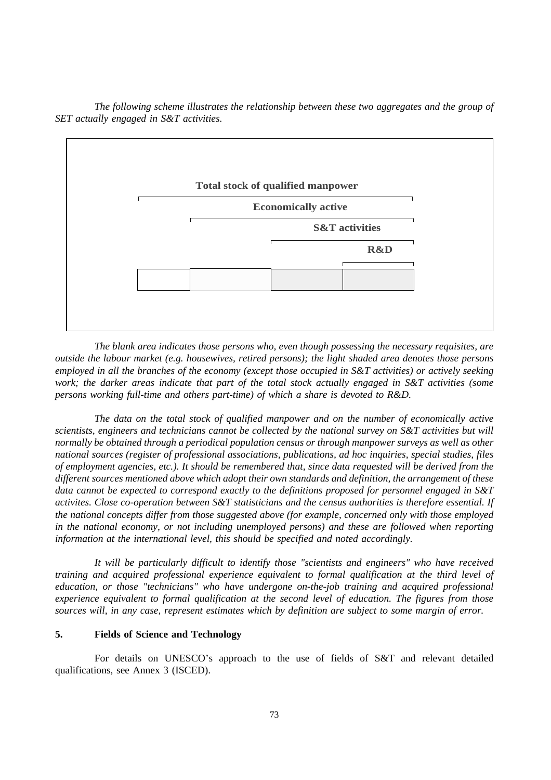

*The following scheme illustrates the relationship between these two aggregates and the group of SET actually engaged in S&T activities.*

*The blank area indicates those persons who, even though possessing the necessary requisites, are outside the labour market (e.g. housewives, retired persons); the light shaded area denotes those persons employed in all the branches of the economy (except those occupied in S&T activities) or actively seeking work; the darker areas indicate that part of the total stock actually engaged in S&T activities (some persons working full-time and others part-time) of which a share is devoted to R&D.*

*The data on the total stock of qualified manpower and on the number of economically active scientists, engineers and technicians cannot be collected by the national survey on S&T activities but will normally be obtained through a periodical population census or through manpower surveys as well as other national sources (register of professional associations, publications, ad hoc inquiries, special studies, files of employment agencies, etc.). It should be remembered that, since data requested will be derived from the different sources mentioned above which adopt their own standards and definition, the arrangement of these data cannot be expected to correspond exactly to the definitions proposed for personnel engaged in S&T activites. Close co-operation between S&T statisticians and the census authorities is therefore essential. If the national concepts differ from those suggested above (for example, concerned only with those employed in the national economy, or not including unemployed persons) and these are followed when reporting information at the international level, this should be specified and noted accordingly.*

*It will be particularly difficult to identify those "scientists and engineers" who have received training and acquired professional experience equivalent to formal qualification at the third level of education, or those "technicians" who have undergone on-the-job training and acquired professional experience equivalent to formal qualification at the second level of education. The figures from those sources will, in any case, represent estimates which by definition are subject to some margin of error.*

### **5. Fields of Science and Technology**

For details on UNESCO's approach to the use of fields of S&T and relevant detailed qualifications, see Annex 3 (ISCED).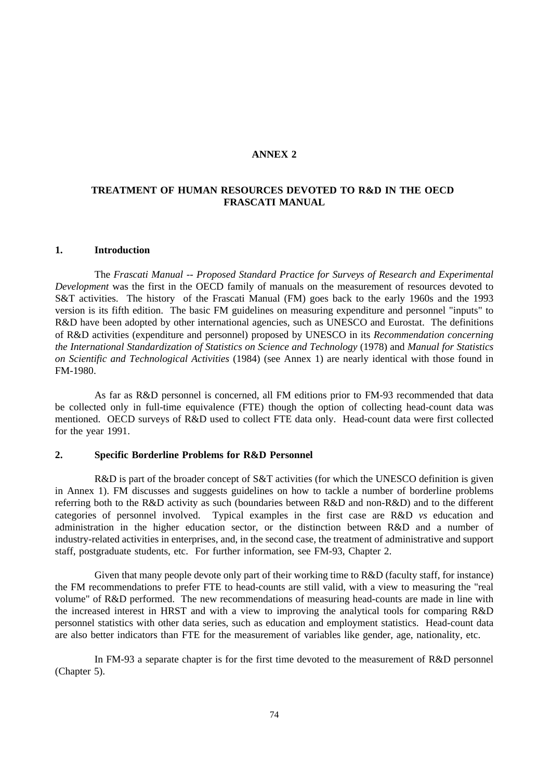## **TREATMENT OF HUMAN RESOURCES DEVOTED TO R&D IN THE OECD FRASCATI MANUAL**

### **1. Introduction**

The *Frascati Manual -- Proposed Standard Practice for Surveys of Research and Experimental Development* was the first in the OECD family of manuals on the measurement of resources devoted to S&T activities. The history of the Frascati Manual (FM) goes back to the early 1960s and the 1993 version is its fifth edition. The basic FM guidelines on measuring expenditure and personnel "inputs" to R&D have been adopted by other international agencies, such as UNESCO and Eurostat. The definitions of R&D activities (expenditure and personnel) proposed by UNESCO in its *Recommendation concerning the International Standardization of Statistics on Science and Technology* (1978) and *Manual for Statistics on Scientific and Technological Activities* (1984) (see Annex 1) are nearly identical with those found in FM-1980.

As far as R&D personnel is concerned, all FM editions prior to FM-93 recommended that data be collected only in full-time equivalence (FTE) though the option of collecting head-count data was mentioned. OECD surveys of R&D used to collect FTE data only. Head-count data were first collected for the year 1991.

#### **2. Specific Borderline Problems for R&D Personnel**

R&D is part of the broader concept of S&T activities (for which the UNESCO definition is given in Annex 1). FM discusses and suggests guidelines on how to tackle a number of borderline problems referring both to the R&D activity as such (boundaries between R&D and non-R&D) and to the different categories of personnel involved. Typical examples in the first case are R&D *vs* education and administration in the higher education sector, or the distinction between R&D and a number of industry-related activities in enterprises, and, in the second case, the treatment of administrative and support staff, postgraduate students, etc. For further information, see FM-93, Chapter 2.

Given that many people devote only part of their working time to R&D (faculty staff, for instance) the FM recommendations to prefer FTE to head-counts are still valid, with a view to measuring the "real volume" of R&D performed. The new recommendations of measuring head-counts are made in line with the increased interest in HRST and with a view to improving the analytical tools for comparing R&D personnel statistics with other data series, such as education and employment statistics. Head-count data are also better indicators than FTE for the measurement of variables like gender, age, nationality, etc.

In FM-93 a separate chapter is for the first time devoted to the measurement of R&D personnel (Chapter 5).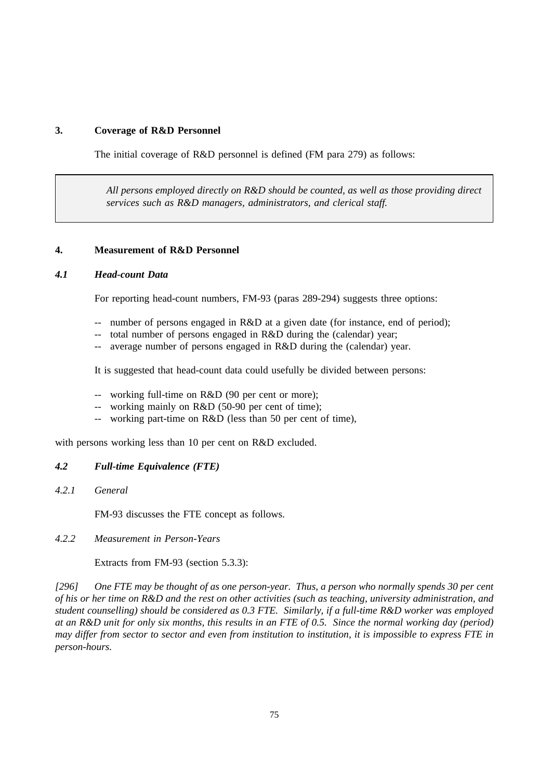### **3. Coverage of R&D Personnel**

The initial coverage of R&D personnel is defined (FM para 279) as follows:

*All persons employed directly on R&D should be counted, as well as those providing direct services such as R&D managers, administrators, and clerical staff.*

### **4. Measurement of R&D Personnel**

### *4.1 Head-count Data*

For reporting head-count numbers, FM-93 (paras 289-294) suggests three options:

- -- number of persons engaged in R&D at a given date (for instance, end of period);
- -- total number of persons engaged in R&D during the (calendar) year;
- -- average number of persons engaged in R&D during the (calendar) year.

It is suggested that head-count data could usefully be divided between persons:

- -- working full-time on R&D (90 per cent or more);
- -- working mainly on R&D (50-90 per cent of time);
- -- working part-time on R&D (less than 50 per cent of time),

with persons working less than 10 per cent on R&D excluded.

## *4.2 Full-time Equivalence (FTE)*

*4.2.1 General*

FM-93 discusses the FTE concept as follows.

*4.2.2 Measurement in Person-Years*

Extracts from FM-93 (section 5.3.3):

*[296] One FTE may be thought of as one person-year. Thus, a person who normally spends 30 per cent of his or her time on R&D and the rest on other activities (such as teaching, university administration, and student counselling) should be considered as 0.3 FTE. Similarly, if a full-time R&D worker was employed at an R&D unit for only six months, this results in an FTE of 0.5. Since the normal working day (period) may differ from sector to sector and even from institution to institution, it is impossible to express FTE in person-hours.*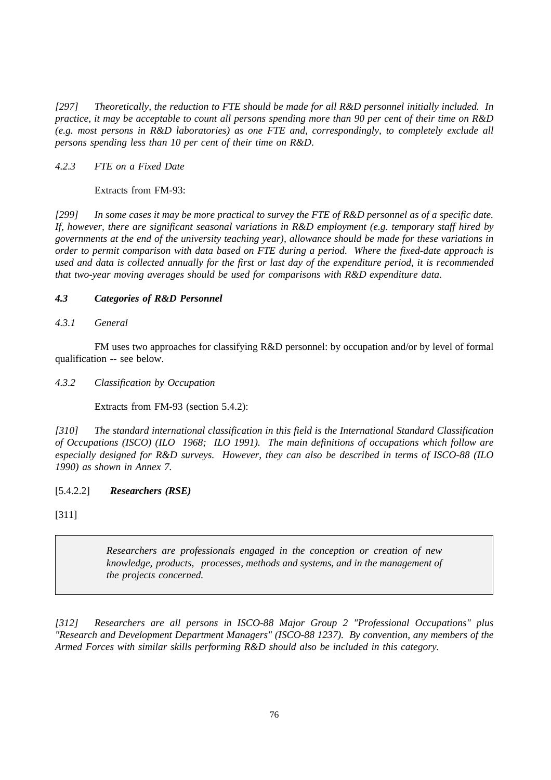*[297] Theoretically, the reduction to FTE should be made for all R&D personnel initially included. In practice, it may be acceptable to count all persons spending more than 90 per cent of their time on R&D (e.g. most persons in R&D laboratories) as one FTE and, correspondingly, to completely exclude all persons spending less than 10 per cent of their time on R&D*.

### *4.2.3 FTE on a Fixed Date*

### Extracts from FM-93:

*[299] In some cases it may be more practical to survey the FTE of R&D personnel as of a specific date. If, however, there are significant seasonal variations in R&D employment (e.g. temporary staff hired by governments at the end of the university teaching year), allowance should be made for these variations in order to permit comparison with data based on FTE during a period. Where the fixed-date approach is used and data is collected annually for the first or last day of the expenditure period, it is recommended that two-year moving averages should be used for comparisons with R&D expenditure data*.

### *4.3 Categories of R&D Personnel*

### *4.3.1 General*

FM uses two approaches for classifying R&D personnel: by occupation and/or by level of formal qualification -- see below.

### *4.3.2 Classification by Occupation*

Extracts from FM-93 (section 5.4.2):

*[310] The standard international classification in this field is the International Standard Classification of Occupations (ISCO) (ILO 1968; ILO 1991). The main definitions of occupations which follow are especially designed for R&D surveys. However, they can also be described in terms of ISCO-88 (ILO 1990) as shown in Annex 7.*

### [5.4.2.2] *Researchers (RSE)*

[311]

*Researchers are professionals engaged in the conception or creation of new knowledge, products, processes, methods and systems, and in the management of the projects concerned.*

*[312] Researchers are all persons in ISCO-88 Major Group 2 "Professional Occupations" plus "Research and Development Department Managers" (ISCO-88 1237). By convention, any members of the Armed Forces with similar skills performing R&D should also be included in this category.*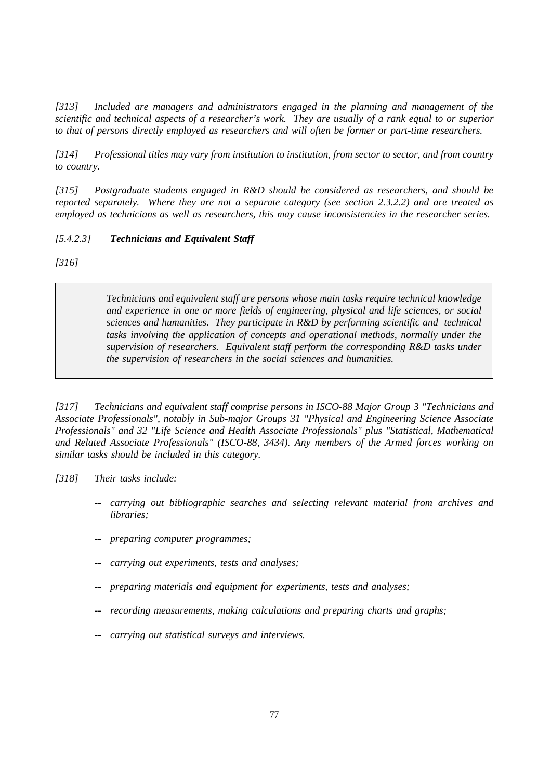*[313] Included are managers and administrators engaged in the planning and management of the scientific and technical aspects of a researcher's work. They are usually of a rank equal to or superior to that of persons directly employed as researchers and will often be former or part-time researchers.*

*[314] Professional titles may vary from institution to institution, from sector to sector, and from country to country.*

*[315] Postgraduate students engaged in R&D should be considered as researchers, and should be reported separately. Where they are not a separate category (see section 2.3.2.2) and are treated as employed as technicians as well as researchers, this may cause inconsistencies in the researcher series.*

## *[5.4.2.3] Technicians and Equivalent Staff*

*[316]*

*Technicians and equivalent staff are persons whose main tasks require technical knowledge and experience in one or more fields of engineering, physical and life sciences, or social sciences and humanities. They participate in R&D by performing scientific and technical tasks involving the application of concepts and operational methods, normally under the supervision of researchers. Equivalent staff perform the corresponding R&D tasks under the supervision of researchers in the social sciences and humanities.*

*[317] Technicians and equivalent staff comprise persons in ISCO-88 Major Group 3 "Technicians and Associate Professionals", notably in Sub-major Groups 31 "Physical and Engineering Science Associate Professionals" and 32 "Life Science and Health Associate Professionals" plus "Statistical, Mathematical and Related Associate Professionals" (ISCO-88, 3434). Any members of the Armed forces working on similar tasks should be included in this category.*

*[318] Their tasks include:*

- *-- carrying out bibliographic searches and selecting relevant material from archives and libraries;*
- *preparing computer programmes;*
- carrying out experiments, tests and analyses;
- *preparing materials and equipment for experiments, tests and analyses;*
- *recording measurements, making calculations and preparing charts and graphs;*
- carrying out statistical surveys and interviews.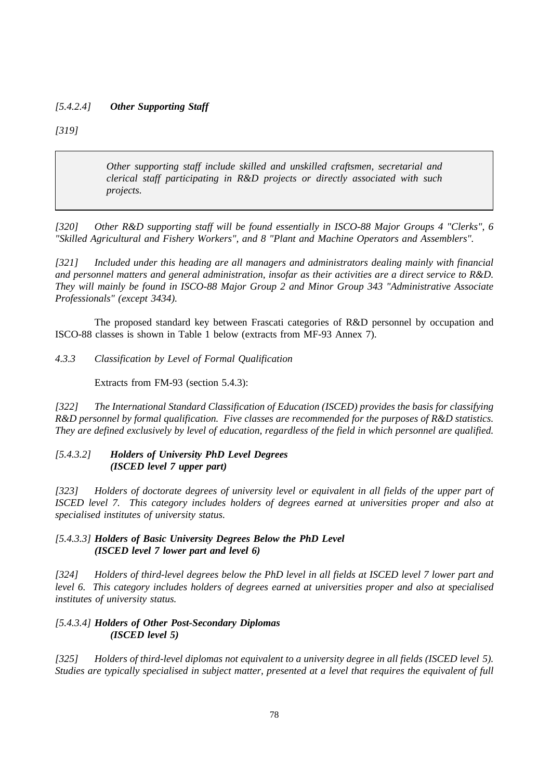## *[5.4.2.4] Other Supporting Staff*

*[319]*

*Other supporting staff include skilled and unskilled craftsmen, secretarial and clerical staff participating in R&D projects or directly associated with such projects.*

*[320] Other R&D supporting staff will be found essentially in ISCO-88 Major Groups 4 "Clerks", 6 "Skilled Agricultural and Fishery Workers", and 8 "Plant and Machine Operators and Assemblers".*

*[321] Included under this heading are all managers and administrators dealing mainly with financial and personnel matters and general administration, insofar as their activities are a direct service to R&D. They will mainly be found in ISCO-88 Major Group 2 and Minor Group 343 "Administrative Associate Professionals" (except 3434).*

The proposed standard key between Frascati categories of R&D personnel by occupation and ISCO-88 classes is shown in Table 1 below (extracts from MF-93 Annex 7).

*4.3.3 Classification by Level of Formal Qualification*

Extracts from FM-93 (section 5.4.3):

*[322] The International Standard Classification of Education (ISCED) provides the basis for classifying R&D personnel by formal qualification. Five classes are recommended for the purposes of R&D statistics. They are defined exclusively by level of education, regardless of the field in which personnel are qualified.*

### *[5.4.3.2] Holders of University PhD Level Degrees (ISCED level 7 upper part)*

*[323] Holders of doctorate degrees of university level or equivalent in all fields of the upper part of ISCED level 7. This category includes holders of degrees earned at universities proper and also at specialised institutes of university status.*

## *[5.4.3.3] Holders of Basic University Degrees Below the PhD Level (ISCED level 7 lower part and level 6)*

*[324] Holders of third-level degrees below the PhD level in all fields at ISCED level 7 lower part and level 6. This category includes holders of degrees earned at universities proper and also at specialised institutes of university status.*

### *[5.4.3.4] Holders of Other Post-Secondary Diplomas (ISCED level 5)*

*[325] Holders of third-level diplomas not equivalent to a university degree in all fields (ISCED level 5). Studies are typically specialised in subject matter, presented at a level that requires the equivalent of full*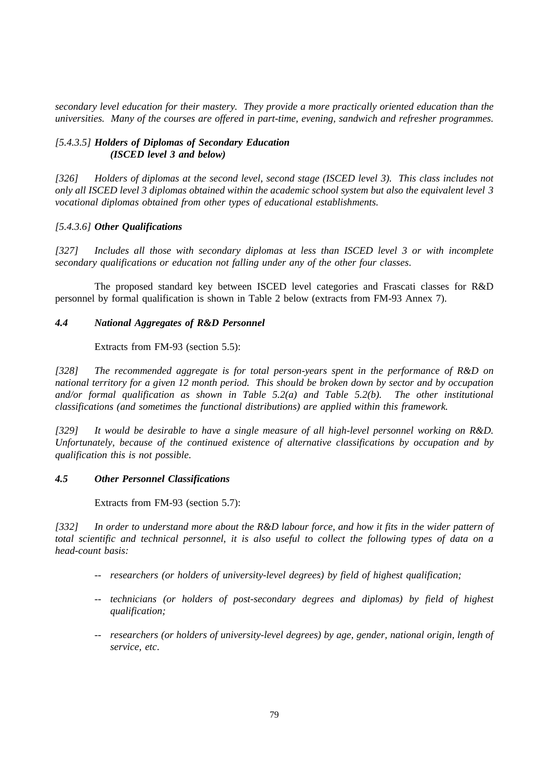*secondary level education for their mastery. They provide a more practically oriented education than the universities. Many of the courses are offered in part-time, evening, sandwich and refresher programmes.*

### *[5.4.3.5] Holders of Diplomas of Secondary Education (ISCED level 3 and below)*

*[326] Holders of diplomas at the second level, second stage (ISCED level 3). This class includes not only all ISCED level 3 diplomas obtained within the academic school system but also the equivalent level 3 vocational diplomas obtained from other types of educational establishments.*

### *[5.4.3.6] Other Qualifications*

*[327] Includes all those with secondary diplomas at less than ISCED level 3 or with incomplete secondary qualifications or education not falling under any of the other four classes*.

The proposed standard key between ISCED level categories and Frascati classes for R&D personnel by formal qualification is shown in Table 2 below (extracts from FM-93 Annex 7).

## *4.4 National Aggregates of R&D Personnel*

Extracts from FM-93 (section 5.5):

*[328] The recommended aggregate is for total person-years spent in the performance of R&D on national territory for a given 12 month period. This should be broken down by sector and by occupation and/or formal qualification as shown in Table 5.2(a) and Table 5.2(b). The other institutional classifications (and sometimes the functional distributions) are applied within this framework.*

*[329] It would be desirable to have a single measure of all high-level personnel working on R&D. Unfortunately, because of the continued existence of alternative classifications by occupation and by qualification this is not possible*.

### *4.5 Other Personnel Classifications*

Extracts from FM-93 (section 5.7):

*[332] In order to understand more about the R&D labour force, and how it fits in the wider pattern of total scientific and technical personnel, it is also useful to collect the following types of data on a head-count basis:*

- *-- researchers (or holders of university-level degrees) by field of highest qualification;*
- *-- technicians (or holders of post-secondary degrees and diplomas) by field of highest qualification;*
- *-- researchers (or holders of university-level degrees) by age, gender, national origin, length of service, etc*.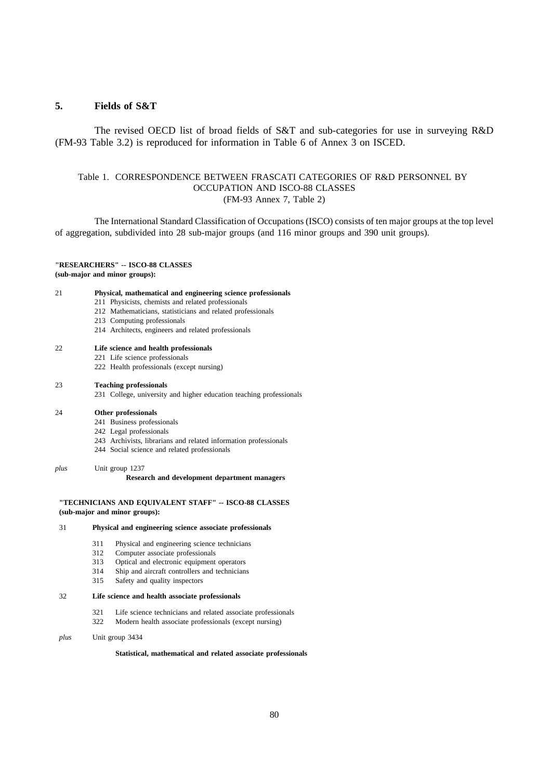### **5. Fields of S&T**

The revised OECD list of broad fields of S&T and sub-categories for use in surveying R&D (FM-93 Table 3.2) is reproduced for information in Table 6 of Annex 3 on ISCED.

### Table 1. CORRESPONDENCE BETWEEN FRASCATI CATEGORIES OF R&D PERSONNEL BY OCCUPATION AND ISCO-88 CLASSES (FM-93 Annex 7, Table 2)

The International Standard Classification of Occupations (ISCO) consists of ten major groups at the top level of aggregation, subdivided into 28 sub-major groups (and 116 minor groups and 390 unit groups).

**"RESEARCHERS" -- ISCO-88 CLASSES (sub-major and minor groups):**

#### 21 **Physical, mathematical and engineering science professionals**

- 211 Physicists, chemists and related professionals
- 212 Mathematicians, statisticians and related professionals
- 213 Computing professionals
	- 214 Architects, engineers and related professionals

#### 22 **Life science and health professionals**

- 221 Life science professionals
	- 222 Health professionals (except nursing)

#### 23 **Teaching professionals**

231 College, university and higher education teaching professionals

#### 24 **Other professionals**

- 241 Business professionals
- 242 Legal professionals
- 243 Archivists, librarians and related information professionals
- 244 Social science and related professionals

#### *plus* Unit group 1237

#### **Research and development department managers**

#### **"TECHNICIANS AND EQUIVALENT STAFF" -- ISCO-88 CLASSES (sub-major and minor groups):**

#### 31 **Physical and engineering science associate professionals**

- 311 Physical and engineering science technicians
- 312 Computer associate professionals
- 313 Optical and electronic equipment operators
- 314 Ship and aircraft controllers and technicians
- 315 Safety and quality inspectors

### 32 **Life science and health associate professionals**

- 321 Life science technicians and related associate professionals
- 322 Modern health associate professionals (except nursing)
- *plus* Unit group 3434

#### **Statistical, mathematical and related associate professionals**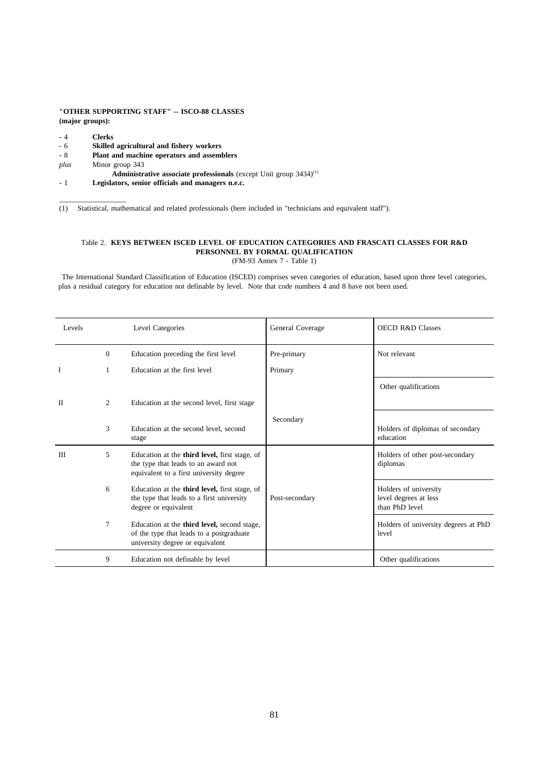**"OTHER SUPPORTING STAFF" -- ISCO-88 CLASSES (major groups):**

 $\_$ 

| - 4  | <b>Clerks</b>                                                                            |
|------|------------------------------------------------------------------------------------------|
| - 6  | Skilled agricultural and fishery workers                                                 |
| - 8  | Plant and machine operators and assemblers                                               |
| plus | Minor group 343                                                                          |
|      | <b>Administrative associate professionals</b> (except Unit group $3434$ ) <sup>(1)</sup> |
| $-1$ | Legislators, senior officials and managers n.e.c.                                        |

(1) Statistical, mathematical and related professionals (here included in "technicians and equivalent staff").

#### Table 2. **KEYS BETWEEN ISCED LEVEL OF EDUCATION CATEGORIES AND FRASCATI CLASSES FOR R&D PERSONNEL BY FORMAL QUALIFICATION** (FM-93 Annex 7 - Table 1)

The International Standard Classification of Education (ISCED) comprises seven categories of education, based upon three level categories, plus a residual category for education not definable by level. Note that code numbers 4 and 8 have not been used.

| Levels      |          | Level Categories                                                                                                                        | General Coverage | <b>OECD R&amp;D Classes</b>                                      |
|-------------|----------|-----------------------------------------------------------------------------------------------------------------------------------------|------------------|------------------------------------------------------------------|
|             | $\Omega$ | Education preceding the first level                                                                                                     | Pre-primary      | Not relevant                                                     |
| T           | 1.       | Education at the first level                                                                                                            | Primary          |                                                                  |
|             |          |                                                                                                                                         |                  | Other qualifications                                             |
| $_{\rm II}$ | 2        | Education at the second level, first stage                                                                                              |                  |                                                                  |
|             | 3        | Education at the second level, second<br>stage                                                                                          | Secondary        | Holders of diplomas of secondary<br>education                    |
| Ш           | 5.       | Education at the <b>third level</b> , first stage, of<br>the type that leads to an award not<br>equivalent to a first university degree |                  | Holders of other post-secondary<br>diplomas                      |
|             | 6        | Education at the <b>third level</b> , first stage, of<br>the type that leads to a first university<br>degree or equivalent              | Post-secondary   | Holders of university<br>level degrees at less<br>than PhD level |
|             | 7        | Education at the <b>third level</b> , second stage,<br>of the type that leads to a postgraduate<br>university degree or equivalent      |                  | Holders of university degrees at PhD<br>level                    |
|             | 9        | Education not definable by level                                                                                                        |                  | Other qualifications                                             |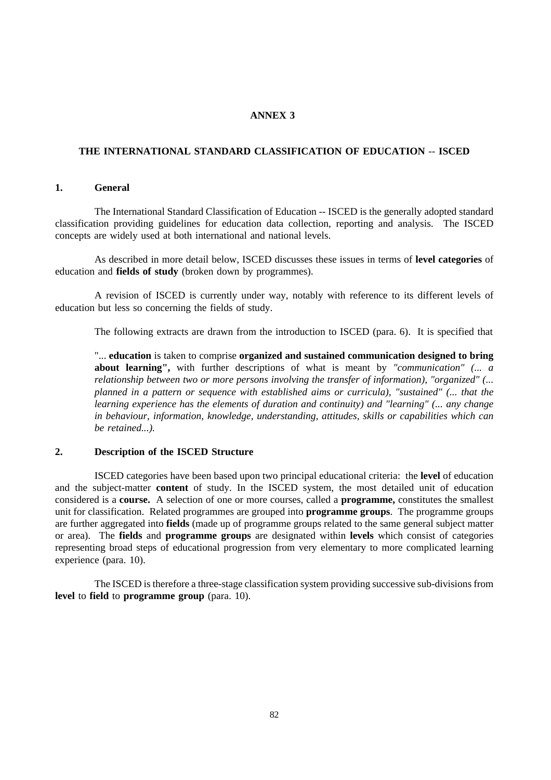### **THE INTERNATIONAL STANDARD CLASSIFICATION OF EDUCATION** -- **ISCED**

#### **1. General**

The International Standard Classification of Education -- ISCED is the generally adopted standard classification providing guidelines for education data collection, reporting and analysis. The ISCED concepts are widely used at both international and national levels.

As described in more detail below, ISCED discusses these issues in terms of **level categories** of education and **fields of study** (broken down by programmes).

A revision of ISCED is currently under way, notably with reference to its different levels of education but less so concerning the fields of study.

The following extracts are drawn from the introduction to ISCED (para. 6). It is specified that

"... **education** is taken to comprise **organized and sustained communication designed to bring about learning",** with further descriptions of what is meant by *"communication" (... a relationship between two or more persons involving the transfer of information), "organized" (... planned in a pattern or sequence with established aims or curricula), "sustained" (... that the learning experience has the elements of duration and continuity) and "learning" (... any change in behaviour, information, knowledge, understanding, attitudes, skills or capabilities which can be retained...).*

### **2. Description of the ISCED Structure**

ISCED categories have been based upon two principal educational criteria: the **level** of education and the subject-matter **content** of study. In the ISCED system, the most detailed unit of education considered is a **course.** A selection of one or more courses, called a **programme,** constitutes the smallest unit for classification. Related programmes are grouped into **programme groups**. The programme groups are further aggregated into **fields** (made up of programme groups related to the same general subject matter or area). The **fields** and **programme groups** are designated within **levels** which consist of categories representing broad steps of educational progression from very elementary to more complicated learning experience (para. 10).

The ISCED is therefore a three-stage classification system providing successive sub-divisions from **level** to **field** to **programme group** (para. 10).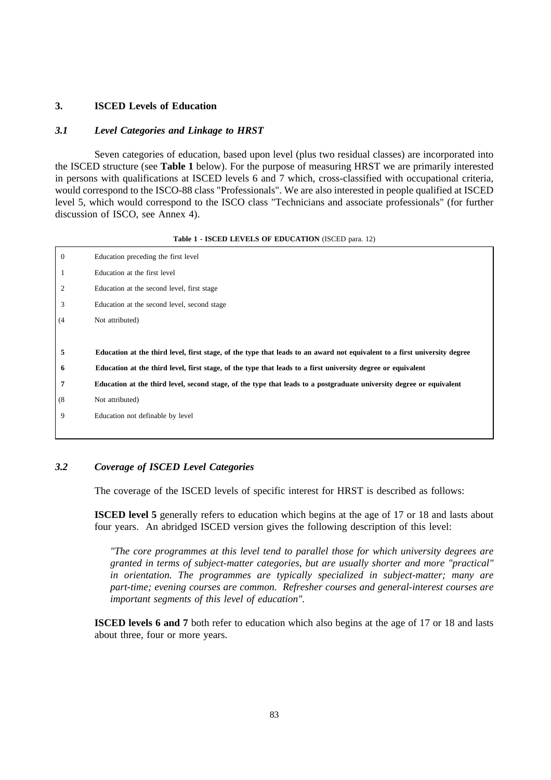### **3. ISCED Levels of Education**

### *3.1 Level Categories and Linkage to HRST*

Seven categories of education, based upon level (plus two residual classes) are incorporated into the ISCED structure (see **Table 1** below). For the purpose of measuring HRST we are primarily interested in persons with qualifications at ISCED levels 6 and 7 which, cross-classified with occupational criteria, would correspond to the ISCO-88 class "Professionals". We are also interested in people qualified at ISCED level 5, which would correspond to the ISCO class "Technicians and associate professionals" (for further discussion of ISCO, see Annex 4).

|  |  |  |  | Table 1 - ISCED LEVELS OF EDUCATION (ISCED para. 12) |  |  |  |
|--|--|--|--|------------------------------------------------------|--|--|--|
|--|--|--|--|------------------------------------------------------|--|--|--|

| $\overline{0}$ | Education preceding the first level                                                                                       |
|----------------|---------------------------------------------------------------------------------------------------------------------------|
| 1              | Education at the first level                                                                                              |
| 2              | Education at the second level, first stage                                                                                |
| 3              | Education at the second level, second stage                                                                               |
| (4)            | Not attributed)                                                                                                           |
|                |                                                                                                                           |
| 5              | Education at the third level, first stage, of the type that leads to an award not equivalent to a first university degree |
| 6              |                                                                                                                           |
|                | Education at the third level, first stage, of the type that leads to a first university degree or equivalent              |
| 7              | Education at the third level, second stage, of the type that leads to a postgraduate university degree or equivalent      |
| (8)            | Not attributed)                                                                                                           |
| 9              | Education not definable by level                                                                                          |

### *3.2 Coverage of ISCED Level Categories*

The coverage of the ISCED levels of specific interest for HRST is described as follows:

**ISCED level 5** generally refers to education which begins at the age of 17 or 18 and lasts about four years. An abridged ISCED version gives the following description of this level:

*"The core programmes at this level tend to parallel those for which university degrees are granted in terms of subject-matter categories, but are usually shorter and more "practical" in orientation. The programmes are typically specialized in subject-matter; many are part-time; evening courses are common. Refresher courses and general-interest courses are important segments of this level of education".*

**ISCED levels 6 and 7** both refer to education which also begins at the age of 17 or 18 and lasts about three, four or more years.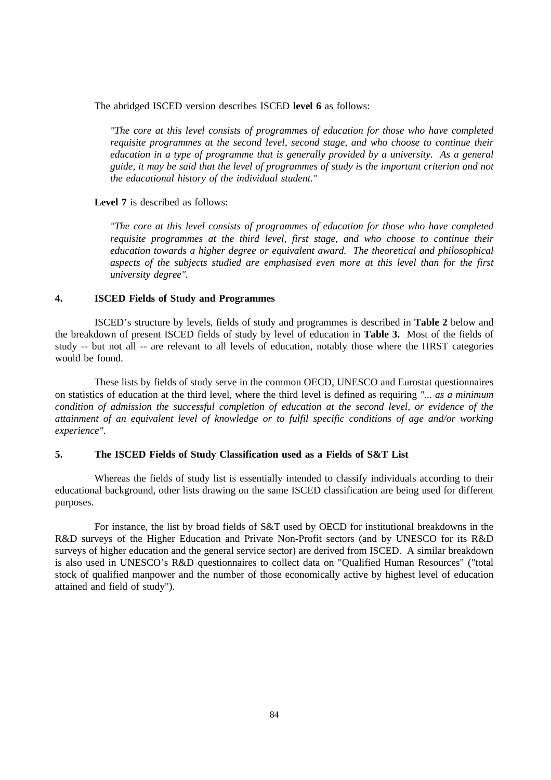The abridged ISCED version describes ISCED **level 6** as follows:

*"The core at this level consists of programmes of education for those who have completed requisite programmes at the second level, second stage, and who choose to continue their education in a type of programme that is generally provided by a university. As a general guide, it may be said that the level of programmes of study is the important criterion and not the educational history of the individual student."*

**Level 7** is described as follows:

*"The core at this level consists of programmes of education for those who have completed requisite programmes at the third level, first stage, and who choose to continue their education towards a higher degree or equivalent award. The theoretical and philosophical aspects of the subjects studied are emphasised even more at this level than for the first university degree".*

### **4. ISCED Fields of Study and Programmes**

ISCED's structure by levels, fields of study and programmes is described in **Table 2** below and the breakdown of present ISCED fields of study by level of education in **Table 3.** Most of the fields of study -- but not all -- are relevant to all levels of education, notably those where the HRST categories would be found.

These lists by fields of study serve in the common OECD, UNESCO and Eurostat questionnaires on statistics of education at the third level, where the third level is defined as requiring *"... as a minimum condition of admission the successful completion of education at the second level, or evidence of the attainment of an equivalent level of knowledge or to fulfil specific conditions of age and/or working experience".*

### **5. The ISCED Fields of Study Classification used as a Fields of S&T List**

Whereas the fields of study list is essentially intended to classify individuals according to their educational background, other lists drawing on the same ISCED classification are being used for different purposes.

For instance, the list by broad fields of S&T used by OECD for institutional breakdowns in the R&D surveys of the Higher Education and Private Non-Profit sectors (and by UNESCO for its R&D surveys of higher education and the general service sector) are derived from ISCED. A similar breakdown is also used in UNESCO's R&D questionnaires to collect data on "Qualified Human Resources" ("total stock of qualified manpower and the number of those economically active by highest level of education attained and field of study").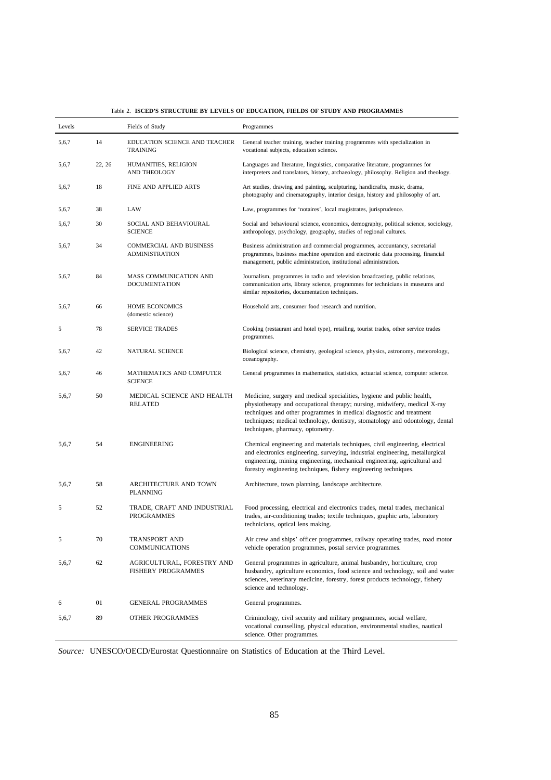|  |  | Table 2.ISCED'S STRUCTURE BY LEVELS OF EDUCATION. FIELDS OF STUDY AND PROGRAMMES |  |  |
|--|--|----------------------------------------------------------------------------------|--|--|
|  |  |                                                                                  |  |  |

| Levels |        | Fields of Study                                         | Programmes                                                                                                                                                                                                                                                                                                                                      |
|--------|--------|---------------------------------------------------------|-------------------------------------------------------------------------------------------------------------------------------------------------------------------------------------------------------------------------------------------------------------------------------------------------------------------------------------------------|
| 5,6,7  | 14     | EDUCATION SCIENCE AND TEACHER<br><b>TRAINING</b>        | General teacher training, teacher training programmes with specialization in<br>vocational subjects, education science.                                                                                                                                                                                                                         |
| 5,6,7  | 22, 26 | HUMANITIES, RELIGION<br>AND THEOLOGY                    | Languages and literature, linguistics, comparative literature, programmes for<br>interpreters and translators, history, archaeology, philosophy. Religion and theology.                                                                                                                                                                         |
| 5,6,7  | 18     | FINE AND APPLIED ARTS                                   | Art studies, drawing and painting, sculpturing, handicrafts, music, drama,<br>photography and cinematography, interior design, history and philosophy of art.                                                                                                                                                                                   |
| 5,6,7  | 38     | LAW                                                     | Law, programmes for 'notaires', local magistrates, jurisprudence.                                                                                                                                                                                                                                                                               |
| 5,6,7  | 30     | SOCIAL AND BEHAVIOURAL<br><b>SCIENCE</b>                | Social and behavioural science, economics, demography, political science, sociology,<br>anthropology, psychology, geography, studies of regional cultures.                                                                                                                                                                                      |
| 5,6,7  | 34     | <b>COMMERCIAL AND BUSINESS</b><br><b>ADMINISTRATION</b> | Business administration and commercial programmes, accountancy, secretarial<br>programmes, business machine operation and electronic data processing, financial<br>management, public administration, institutional administration.                                                                                                             |
| 5,6,7  | 84     | MASS COMMUNICATION AND<br><b>DOCUMENTATION</b>          | Journalism, programmes in radio and television broadcasting, public relations,<br>communication arts, library science, programmes for technicians in museums and<br>similar repositories, documentation techniques.                                                                                                                             |
| 5,6,7  | 66     | <b>HOME ECONOMICS</b><br>(domestic science)             | Household arts, consumer food research and nutrition.                                                                                                                                                                                                                                                                                           |
| 5      | 78     | <b>SERVICE TRADES</b>                                   | Cooking (restaurant and hotel type), retailing, tourist trades, other service trades<br>programmes.                                                                                                                                                                                                                                             |
| 5,6,7  | 42     | NATURAL SCIENCE                                         | Biological science, chemistry, geological science, physics, astronomy, meteorology,<br>oceanography.                                                                                                                                                                                                                                            |
| 5,6,7  | 46     | MATHEMATICS AND COMPUTER<br><b>SCIENCE</b>              | General programmes in mathematics, statistics, actuarial science, computer science.                                                                                                                                                                                                                                                             |
| 5,6,7  | 50     | MEDICAL SCIENCE AND HEALTH<br><b>RELATED</b>            | Medicine, surgery and medical specialities, hygiene and public health,<br>physiotherapy and occupational therapy; nursing, midwifery, medical X-ray<br>techniques and other programmes in medical diagnostic and treatment<br>techniques; medical technology, dentistry, stomatology and odontology, dental<br>techniques, pharmacy, optometry. |
| 5,6,7  | 54     | <b>ENGINEERING</b>                                      | Chemical engineering and materials techniques, civil engineering, electrical<br>and electronics engineering, surveying, industrial engineering, metallurgical<br>engineering, mining engineering, mechanical engineering, agricultural and<br>forestry engineering techniques, fishery engineering techniques.                                  |
| 5,6,7  | 58     | ARCHITECTURE AND TOWN<br><b>PLANNING</b>                | Architecture, town planning, landscape architecture.                                                                                                                                                                                                                                                                                            |
| 5      | 52     | TRADE, CRAFT AND INDUSTRIAL<br><b>PROGRAMMES</b>        | Food processing, electrical and electronics trades, metal trades, mechanical<br>trades, air-conditioning trades; textile techniques, graphic arts, laboratory<br>technicians, optical lens making.                                                                                                                                              |
| 5      | 70     | <b>TRANSPORT AND</b><br><b>COMMUNICATIONS</b>           | Air crew and ships' officer programmes, railway operating trades, road motor<br>vehicle operation programmes, postal service programmes.                                                                                                                                                                                                        |
| 5,6,7  | 62     | AGRICULTURAL, FORESTRY AND<br><b>FISHERY PROGRAMMES</b> | General programmes in agriculture, animal husbandry, horticulture, crop<br>husbandry, agriculture economics, food science and technology, soil and water<br>sciences, veterinary medicine, forestry, forest products technology, fishery<br>science and technology.                                                                             |
| 6      | 01     | <b>GENERAL PROGRAMMES</b>                               | General programmes.                                                                                                                                                                                                                                                                                                                             |
| 5,6,7  | 89     | OTHER PROGRAMMES                                        | Criminology, civil security and military programmes, social welfare,<br>vocational counselling, physical education, environmental studies, nautical<br>science. Other programmes.                                                                                                                                                               |

*Source:* UNESCO/OECD/Eurostat Questionnaire on Statistics of Education at the Third Level.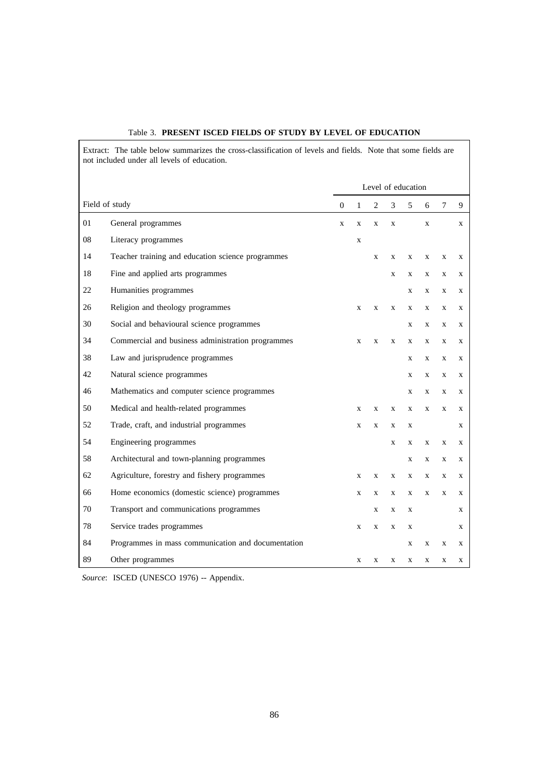|    |                                                    |   |              |              | Level of education |              |              |              |   |
|----|----------------------------------------------------|---|--------------|--------------|--------------------|--------------|--------------|--------------|---|
|    | Field of study                                     |   | $\mathbf{1}$ | 2            | 3                  | 5            | 6            | 7            | 9 |
| 01 | General programmes                                 | X | X            | $\mathbf{x}$ | X                  |              | X            |              | X |
| 08 | Literacy programmes                                |   | X            |              |                    |              |              |              |   |
| 14 | Teacher training and education science programmes  |   |              | $\mathbf x$  | $\mathbf X$        | $\mathbf{X}$ | $\mathbf X$  | X            | X |
| 18 | Fine and applied arts programmes                   |   |              |              | $\mathbf{X}$       | $\mathbf{X}$ | $\mathbf{X}$ | $\mathbf{X}$ | X |
| 22 | Humanities programmes                              |   |              |              |                    | $\mathbf X$  | $\mathbf{X}$ | $\mathbf{X}$ | X |
| 26 | Religion and theology programmes                   |   | X            | X            | X                  | X            | X            | X            | X |
| 30 | Social and behavioural science programmes          |   |              |              |                    | X            | X            | X            | X |
| 34 | Commercial and business administration programmes  |   | X            | X            | $\mathbf X$        | $\mathbf{X}$ | X            | X            | X |
| 38 | Law and jurisprudence programmes                   |   |              |              |                    | $\mathbf{X}$ | $\mathbf{X}$ | $\mathbf{X}$ | X |
| 42 | Natural science programmes                         |   |              |              |                    | $\mathbf{X}$ | X            | $\mathbf{X}$ | X |
| 46 | Mathematics and computer science programmes        |   |              |              |                    | $\mathbf{x}$ | $\mathbf{x}$ | $\mathbf{x}$ | X |
| 50 | Medical and health-related programmes              |   | X            | X            | $\mathbf X$        | $\mathbf{X}$ | $\mathbf X$  | X            | X |
| 52 | Trade, craft, and industrial programmes            |   | $\mathbf{X}$ | X            | X                  | X            |              |              | X |
| 54 | Engineering programmes                             |   |              |              | $\mathbf{X}$       | $\mathbf{x}$ | X            | X            | X |
| 58 | Architectural and town-planning programmes         |   |              |              |                    | X            | X            | X            | X |
| 62 | Agriculture, forestry and fishery programmes       |   | $\mathbf X$  | X            | $\mathbf X$        | $\mathbf{X}$ | $\mathbf X$  | $\mathbf{X}$ | X |
| 66 | Home economics (domestic science) programmes       |   | $\mathbf{X}$ | X            | X                  | $\mathbf{X}$ | X            | X            | X |
| 70 | Transport and communications programmes            |   |              | X            | X                  | $\mathbf X$  |              |              | X |
| 78 | Service trades programmes                          |   | $\mathbf{X}$ | $\mathbf{X}$ | X                  | X            |              |              | X |
| 84 | Programmes in mass communication and documentation |   |              |              |                    | X            | X            | X            | X |
| 89 | Other programmes                                   |   | X            | X            | X                  | $\mathbf X$  | X            | X            | X |

### Table 3. **PRESENT ISCED FIELDS OF STUDY BY LEVEL OF EDUCATION**

Extract: The table below summarizes the cross-classification of levels and fields. Note that some fields are

*Source*: ISCED (UNESCO 1976) -- Appendix.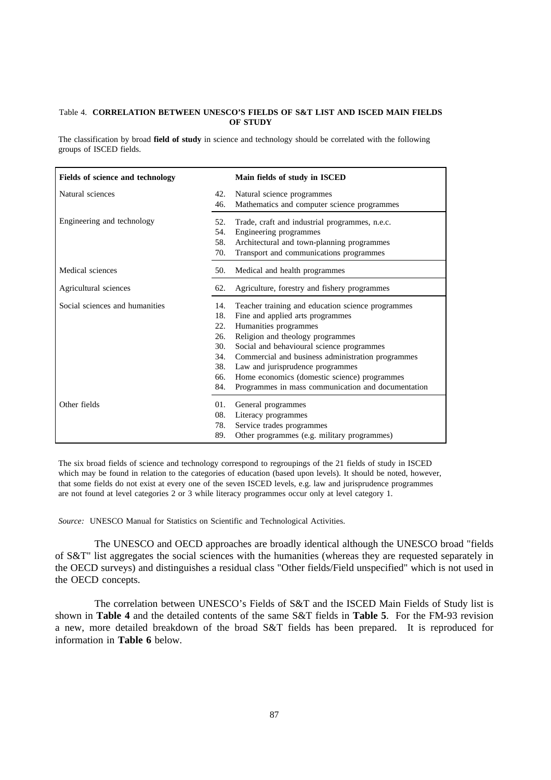#### Table 4. **CORRELATION BETWEEN UNESCO'S FIELDS OF S&T LIST AND ISCED MAIN FIELDS OF STUDY**

The classification by broad **field of study** in science and technology should be correlated with the following groups of ISCED fields.

| Fields of science and technology |     | Main fields of study in ISCED                      |
|----------------------------------|-----|----------------------------------------------------|
| Natural sciences                 | 42. | Natural science programmes                         |
|                                  | 46. | Mathematics and computer science programmes        |
| Engineering and technology       | 52. | Trade, craft and industrial programmes, n.e.c.     |
|                                  | 54. | Engineering programmes                             |
|                                  | 58. | Architectural and town-planning programmes         |
|                                  | 70. | Transport and communications programmes            |
| Medical sciences                 | 50. | Medical and health programmes                      |
| Agricultural sciences            | 62. | Agriculture, forestry and fishery programmes       |
| Social sciences and humanities   | 14. | Teacher training and education science programmes  |
|                                  | 18. | Fine and applied arts programmes                   |
|                                  | 22. | Humanities programmes                              |
|                                  | 26. | Religion and theology programmes                   |
|                                  | 30. | Social and behavioural science programmes          |
|                                  | 34. | Commercial and business administration programmes  |
|                                  | 38. | Law and jurisprudence programmes                   |
|                                  | 66. | Home economics (domestic science) programmes       |
|                                  | 84. | Programmes in mass communication and documentation |
| Other fields                     | 01. | General programmes                                 |
|                                  | 08. | Literacy programmes                                |
|                                  | 78. | Service trades programmes                          |
|                                  | 89. | Other programmes (e.g. military programmes)        |

The six broad fields of science and technology correspond to regroupings of the 21 fields of study in ISCED which may be found in relation to the categories of education (based upon levels). It should be noted, however, that some fields do not exist at every one of the seven ISCED levels, e.g. law and jurisprudence programmes are not found at level categories 2 or 3 while literacy programmes occur only at level category 1.

*Source:* UNESCO Manual for Statistics on Scientific and Technological Activities.

The UNESCO and OECD approaches are broadly identical although the UNESCO broad "fields of S&T" list aggregates the social sciences with the humanities (whereas they are requested separately in the OECD surveys) and distinguishes a residual class "Other fields/Field unspecified" which is not used in the OECD concepts.

The correlation between UNESCO's Fields of S&T and the ISCED Main Fields of Study list is shown in **Table 4** and the detailed contents of the same S&T fields in **Table 5**. For the FM-93 revision a new, more detailed breakdown of the broad S&T fields has been prepared. It is reproduced for information in **Table 6** below.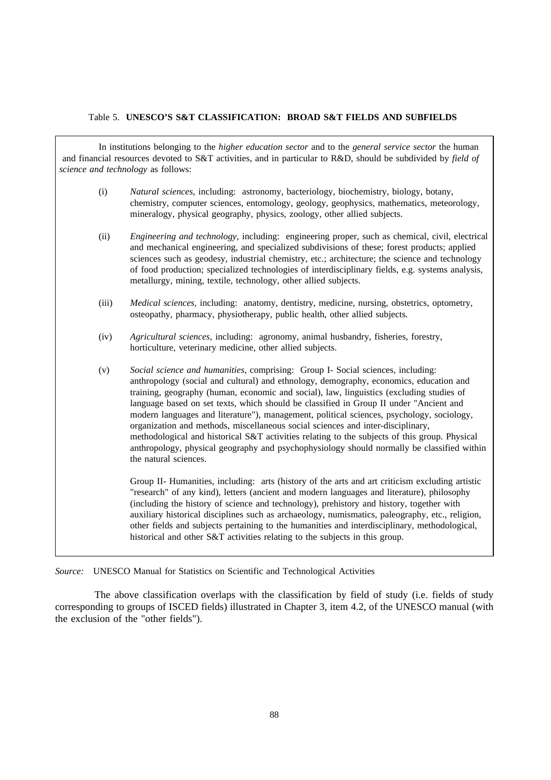#### Table 5. **UNESCO'S S&T CLASSIFICATION: BROAD S&T FIELDS AND SUBFIELDS**

In institutions belonging to the *higher education sector* and to the *general service sector* the human and financial resources devoted to S&T activities, and in particular to R&D, should be subdivided by *field of science and technology* as follows:

- (i) *Natural sciences,* including: astronomy, bacteriology, biochemistry, biology, botany, chemistry, computer sciences, entomology, geology, geophysics, mathematics, meteorology, mineralogy, physical geography, physics, zoology, other allied subjects.
- (ii) *Engineering and technology,* including: engineering proper, such as chemical, civil, electrical and mechanical engineering, and specialized subdivisions of these; forest products; applied sciences such as geodesy, industrial chemistry, etc.; architecture; the science and technology of food production; specialized technologies of interdisciplinary fields, e.g. systems analysis, metallurgy, mining, textile, technology, other allied subjects.
- (iii) *Medical sciences,* including: anatomy, dentistry, medicine, nursing, obstetrics, optometry, osteopathy, pharmacy, physiotherapy, public health, other allied subjects.
- (iv) *Agricultural sciences*, including: agronomy, animal husbandry, fisheries, forestry, horticulture, veterinary medicine, other allied subjects.
- (v) *Social science and humanities*, comprising: Group I- Social sciences, including: anthropology (social and cultural) and ethnology, demography, economics, education and training, geography (human, economic and social), law, linguistics (excluding studies of language based on set texts, which should be classified in Group II under "Ancient and modern languages and literature"), management, political sciences, psychology, sociology, organization and methods, miscellaneous social sciences and inter-disciplinary, methodological and historical S&T activities relating to the subjects of this group. Physical anthropology, physical geography and psychophysiology should normally be classified within the natural sciences.

Group II- Humanities, including: arts (history of the arts and art criticism excluding artistic "research" of any kind), letters (ancient and modern languages and literature), philosophy (including the history of science and technology), prehistory and history, together with auxiliary historical disciplines such as archaeology, numismatics, paleography, etc., religion, other fields and subjects pertaining to the humanities and interdisciplinary, methodological, historical and other S&T activities relating to the subjects in this group.

*Source:* UNESCO Manual for Statistics on Scientific and Technological Activities

The above classification overlaps with the classification by field of study (i.e. fields of study corresponding to groups of ISCED fields) illustrated in Chapter 3, item 4.2, of the UNESCO manual (with the exclusion of the "other fields").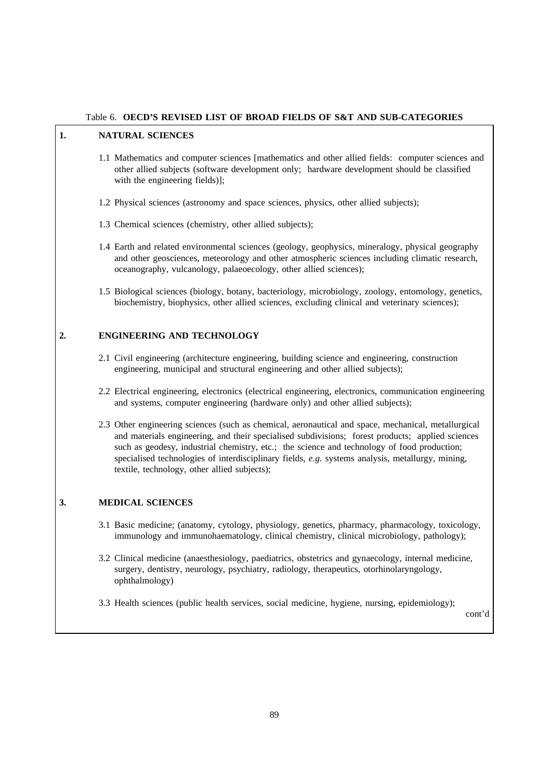#### Table 6. **OECD'S REVISED LIST OF BROAD FIELDS OF S&T AND SUB-CATEGORIES**

#### **1. NATURAL SCIENCES**

- 1.1 Mathematics and computer sciences [mathematics and other allied fields: computer sciences and other allied subjects (software development only; hardware development should be classified with the engineering fields)];
- 1.2 Physical sciences (astronomy and space sciences, physics, other allied subjects);
- 1.3 Chemical sciences (chemistry, other allied subjects);
- 1.4 Earth and related environmental sciences (geology, geophysics, mineralogy, physical geography and other geosciences, meteorology and other atmospheric sciences including climatic research, oceanography, vulcanology, palaeoecology, other allied sciences);
- 1.5 Biological sciences (biology, botany, bacteriology, microbiology, zoology, entomology, genetics, biochemistry, biophysics, other allied sciences, excluding clinical and veterinary sciences);

### **2. ENGINEERING AND TECHNOLOGY**

- 2.1 Civil engineering (architecture engineering, building science and engineering, construction engineering, municipal and structural engineering and other allied subjects);
- 2.2 Electrical engineering, electronics (electrical engineering, electronics, communication engineering and systems, computer engineering (hardware only) and other allied subjects);
- 2.3 Other engineering sciences (such as chemical, aeronautical and space, mechanical, metallurgical and materials engineering, and their specialised subdivisions; forest products; applied sciences such as geodesy, industrial chemistry, etc.; the science and technology of food production; specialised technologies of interdisciplinary fields, *e.g.* systems analysis, metallurgy, mining, textile, technology, other allied subjects);

### **3. MEDICAL SCIENCES**

- 3.1 Basic medicine; (anatomy, cytology, physiology, genetics, pharmacy, pharmacology, toxicology, immunology and immunohaematology, clinical chemistry, clinical microbiology, pathology);
- 3.2 Clinical medicine (anaesthesiology, paediatrics, obstetrics and gynaecology, internal medicine, surgery, dentistry, neurology, psychiatry, radiology, therapeutics, otorhinolaryngology, ophthalmology)
- 3.3 Health sciences (public health services, social medicine, hygiene, nursing, epidemiology);

cont'd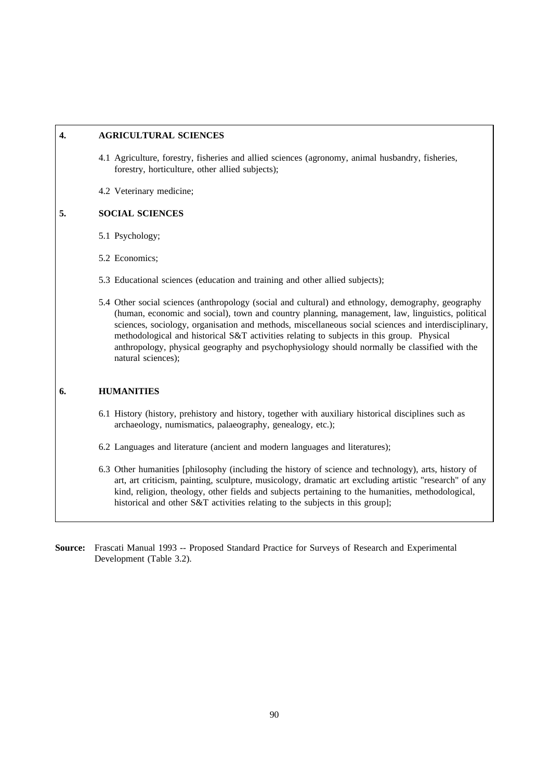### **4. AGRICULTURAL SCIENCES**

- 4.1 Agriculture, forestry, fisheries and allied sciences (agronomy, animal husbandry, fisheries, forestry, horticulture, other allied subjects);
- 4.2 Veterinary medicine;

### **5. SOCIAL SCIENCES**

- 5.1 Psychology;
- 5.2 Economics;
- 5.3 Educational sciences (education and training and other allied subjects);
- 5.4 Other social sciences (anthropology (social and cultural) and ethnology, demography, geography (human, economic and social), town and country planning, management, law, linguistics, political sciences, sociology, organisation and methods, miscellaneous social sciences and interdisciplinary, methodological and historical S&T activities relating to subjects in this group. Physical anthropology, physical geography and psychophysiology should normally be classified with the natural sciences);

### **6. HUMANITIES**

- 6.1 History (history, prehistory and history, together with auxiliary historical disciplines such as archaeology, numismatics, palaeography, genealogy, etc.);
- 6.2 Languages and literature (ancient and modern languages and literatures);
- 6.3 Other humanities [philosophy (including the history of science and technology), arts, history of art, art criticism, painting, sculpture, musicology, dramatic art excluding artistic "research" of any kind, religion, theology, other fields and subjects pertaining to the humanities, methodological, historical and other S&T activities relating to the subjects in this group];
- **Source:** Frascati Manual 1993 -- Proposed Standard Practice for Surveys of Research and Experimental Development (Table 3.2).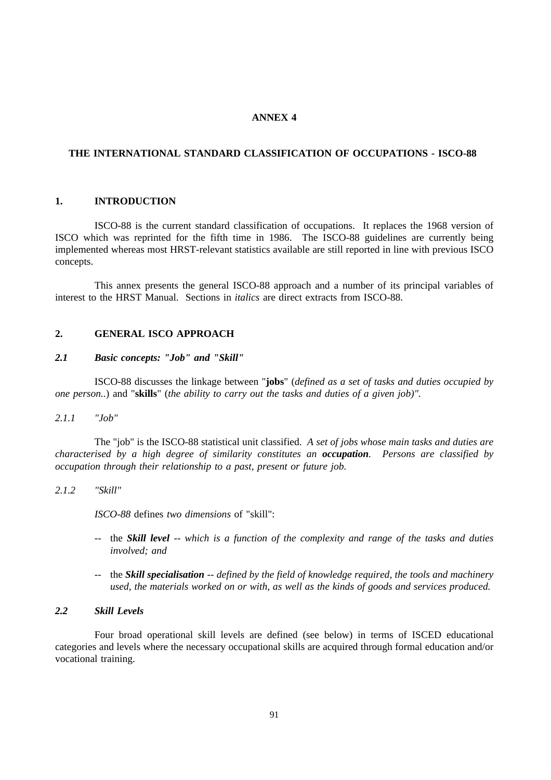#### **THE INTERNATIONAL STANDARD CLASSIFICATION OF OCCUPATIONS - ISCO-88**

### **1. INTRODUCTION**

ISCO-88 is the current standard classification of occupations. It replaces the 1968 version of ISCO which was reprinted for the fifth time in 1986. The ISCO-88 guidelines are currently being implemented whereas most HRST-relevant statistics available are still reported in line with previous ISCO concepts.

This annex presents the general ISCO-88 approach and a number of its principal variables of interest to the HRST Manual. Sections in *italics* are direct extracts from ISCO-88.

### **2. GENERAL ISCO APPROACH**

### *2.1 Basic concepts: "Job" and "Skill"*

ISCO-88 discusses the linkage between "**jobs**" (*defined as a set of tasks and duties occupied by one person..*) and "**skills**" (*the ability to carry out the tasks and duties of a given job)".*

#### *2.1.1 "Job"*

The "job" is the ISCO-88 statistical unit classified. *A set of jobs whose main tasks and duties are characterised by a high degree of similarity constitutes an occupation. Persons are classified by occupation through their relationship to a past, present or future job.*

#### *2.1.2 "Skill"*

*ISCO-88* defines *two dimensions* of "skill":

- -- the *Skill level -- which is a function of the complexity and range of the tasks and duties involved; and*
- -- the *Skill specialisation -- defined by the field of knowledge required, the tools and machinery used, the materials worked on or with, as well as the kinds of goods and services produced.*

### *2.2 Skill Levels*

Four broad operational skill levels are defined (see below) in terms of ISCED educational categories and levels where the necessary occupational skills are acquired through formal education and/or vocational training.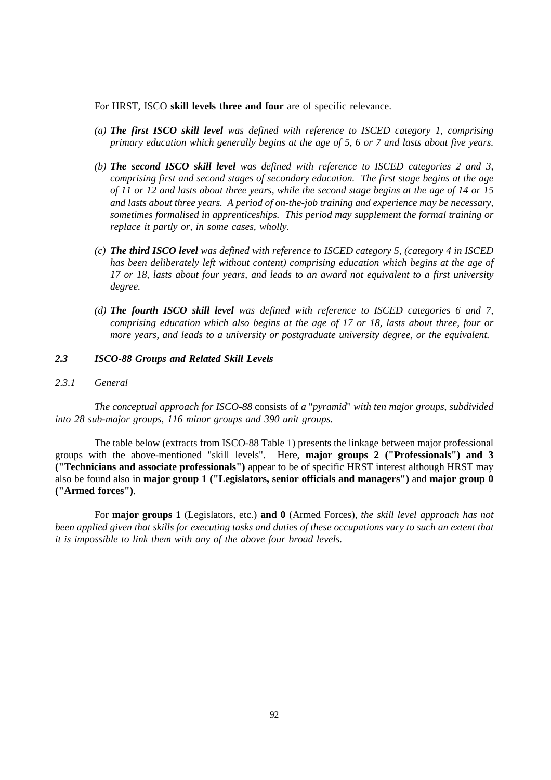For HRST, ISCO **skill levels three and four** are of specific relevance.

- *(a) The first ISCO skill level was defined with reference to ISCED category 1, comprising primary education which generally begins at the age of 5, 6 or 7 and lasts about five years.*
- *(b) The second ISCO skill level was defined with reference to ISCED categories 2 and 3, comprising first and second stages of secondary education. The first stage begins at the age of 11 or 12 and lasts about three years, while the second stage begins at the age of 14 or 15 and lasts about three years. A period of on-the-job training and experience may be necessary, sometimes formalised in apprenticeships. This period may supplement the formal training or replace it partly or, in some cases, wholly.*
- *(c) The third ISCO level was defined with reference to ISCED category 5, (category 4 in ISCED has been deliberately left without content) comprising education which begins at the age of 17 or 18, lasts about four years, and leads to an award not equivalent to a first university degree.*
- *(d) The fourth ISCO skill level was defined with reference to ISCED categories 6 and 7, comprising education which also begins at the age of 17 or 18, lasts about three, four or more years, and leads to a university or postgraduate university degree, or the equivalent.*

#### *2.3 ISCO-88 Groups and Related Skill Levels*

### *2.3.1 General*

*The conceptual approach for ISCO-88* consists of *a* "*pyramid*" *with ten major groups*, *subdivided into 28 sub-major groups, 116 minor groups and 390 unit groups.*

The table below (extracts from ISCO-88 Table 1) presents the linkage between major professional groups with the above-mentioned "skill levels". Here, **major groups 2 ("Professionals") and 3 ("Technicians and associate professionals")** appear to be of specific HRST interest although HRST may also be found also in **major group 1 ("Legislators, senior officials and managers")** and **major group 0 ("Armed forces")**.

For **major groups 1** (Legislators, etc.) **and 0** (Armed Forces), *the skill level approach has not been applied given that skills for executing tasks and duties of these occupations vary to such an extent that it is impossible to link them with any of the above four broad levels.*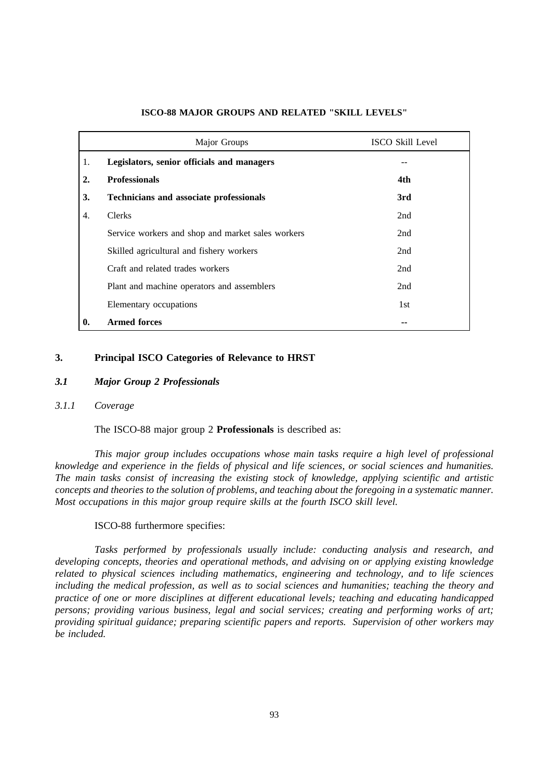|    | Major Groups                                      | <b>ISCO Skill Level</b> |
|----|---------------------------------------------------|-------------------------|
| 1. | Legislators, senior officials and managers        |                         |
| 2. | <b>Professionals</b>                              | 4th                     |
| 3. | <b>Technicians and associate professionals</b>    | 3rd                     |
| 4. | <b>Clerks</b>                                     | 2nd                     |
|    | Service workers and shop and market sales workers | 2nd                     |
|    | Skilled agricultural and fishery workers          | 2nd                     |
|    | Craft and related trades workers                  | 2nd                     |
|    | Plant and machine operators and assemblers        | 2nd                     |
|    | Elementary occupations                            | 1st                     |
| 0. | <b>Armed forces</b>                               | --                      |

#### **ISCO-88 MAJOR GROUPS AND RELATED "SKILL LEVELS"**

## **3. Principal ISCO Categories of Relevance to HRST**

### *3.1 Major Group 2 Professionals*

#### *3.1.1 Coverage*

The ISCO-88 major group 2 **Professionals** is described as:

*This major group includes occupations whose main tasks require a high level of professional knowledge and experience in the fields of physical and life sciences, or social sciences and humanities. The main tasks consist of increasing the existing stock of knowledge, applying scientific and artistic concepts and theories to the solution of problems, and teaching about the foregoing in a systematic manner. Most occupations in this major group require skills at the fourth ISCO skill level.*

#### ISCO-88 furthermore specifies:

*Tasks performed by professionals usually include: conducting analysis and research, and developing concepts, theories and operational methods, and advising on or applying existing knowledge related to physical sciences including mathematics, engineering and technology, and to life sciences including the medical profession, as well as to social sciences and humanities; teaching the theory and practice of one or more disciplines at different educational levels; teaching and educating handicapped persons; providing various business, legal and social services; creating and performing works of art; providing spiritual guidance; preparing scientific papers and reports. Supervision of other workers may be included.*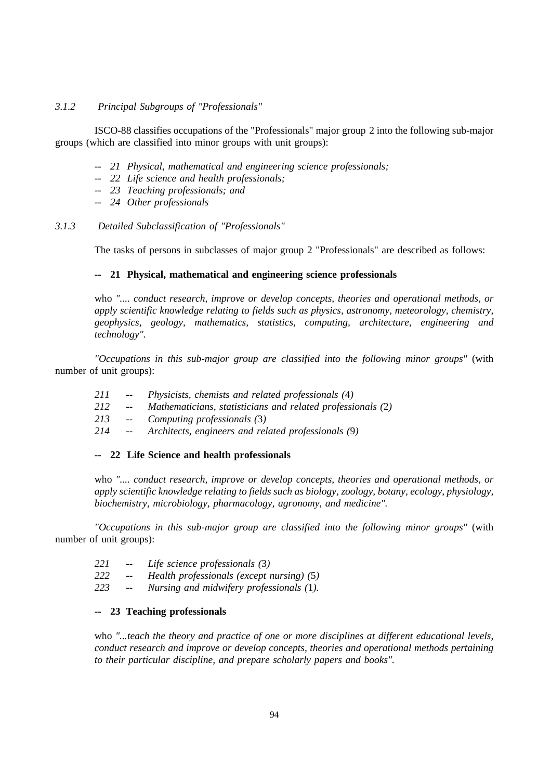### *3.1.2 Principal Subgroups of "Professionals"*

ISCO-88 classifies occupations of the "Professionals" major group 2 into the following sub-major groups (which are classified into minor groups with unit groups):

- *-- 21 Physical, mathematical and engineering science professionals;*
- *-- 22 Life science and health professionals;*
- *-- 23 Teaching professionals; and*
- *-- 24 Other professionals*

### *3.1.3 Detailed Subclassification of "Professionals"*

The tasks of persons in subclasses of major group 2 "Professionals" are described as follows:

### **-- 21 Physical, mathematical and engineering science professionals**

who *".... conduct research, improve or develop concepts, theories and operational methods, or apply scientific knowledge relating to fields such as physics, astronomy, meteorology, chemistry, geophysics, geology, mathematics, statistics, computing, architecture, engineering and technology".*

*"Occupations in this sub-major group are classified into the following minor groups"* (with number of unit groups):

- *211 -- Physicists, chemists and related professionals (*4*)*
- *212 -- Mathematicians, statisticians and related professionals (*2*)*
- *213 -- Computing professionals (*3*)*
- *214 -- Architects, engineers and related professionals (*9*)*

### **-- 22 Life Science and health professionals**

who *".... conduct research, improve or develop concepts, theories and operational methods, or apply scientific knowledge relating to fields such as biology, zoology, botany, ecology, physiology, biochemistry, microbiology, pharmacology, agronomy, and medicine".*

*"Occupations in this sub-major group are classified into the following minor groups"* (with number of unit groups):

- *221 -- Life science professionals (*3*)*
- *222 -- Health professionals (except nursing) (*5*)*
- *223 -- Nursing and midwifery professionals (*1*).*

### **-- 23 Teaching professionals**

who *"...teach the theory and practice of one or more disciplines at different educational levels, conduct research and improve or develop concepts, theories and operational methods pertaining to their particular discipline, and prepare scholarly papers and books".*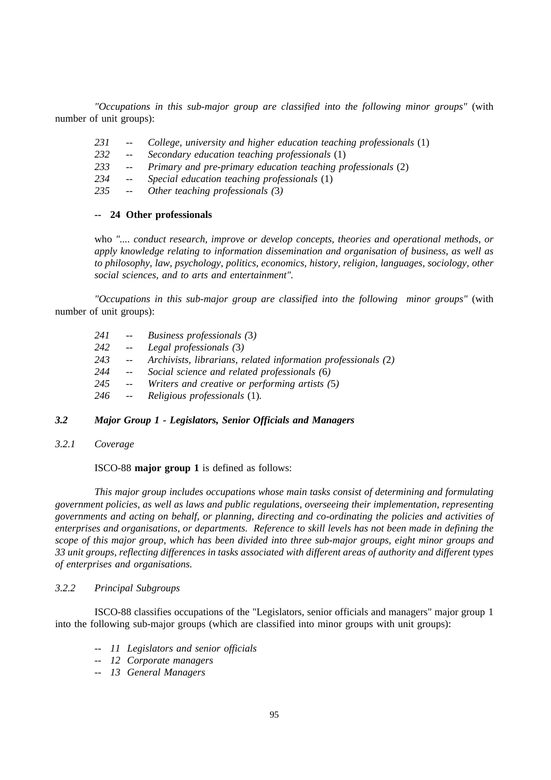*"Occupations in this sub-major group are classified into the following minor groups"* (with number of unit groups):

- *231 -- College, university and higher education teaching professionals* (1)
- *232 -- Secondary education teaching professionals* (1)
- *233 -- Primary and pre-primary education teaching professionals* (2)
- *234 -- Special education teaching professionals* (1)
- *235 -- Other teaching professionals (*3*)*

### **-- 24 Other professionals**

who *".... conduct research, improve or develop concepts, theories and operational methods, or apply knowledge relating to information dissemination and organisation of business, as well as to philosophy, law, psychology, politics, economics, history, religion, languages, sociology, other social sciences, and to arts and entertainment".*

*"Occupations in this sub-major group are classified into the following minor groups"* (with number of unit groups):

| 241 | $\sim$ $-$    | Business professionals (3)                                    |
|-----|---------------|---------------------------------------------------------------|
| 242 | $  \,$        | Legal professionals (3)                                       |
| 243 | $  \,$        | Archivists, librarians, related information professionals (2) |
| 244 | $\sim$ $\sim$ | Social science and related professionals (6)                  |
| 245 | $\sim$ $\sim$ | Writers and creative or performing artists (5)                |
| 246 | $\sim$ $\sim$ | <i>Religious professionals</i> (1).                           |
|     |               |                                                               |

## *3.2 Major Group 1 - Legislators, Senior Officials and Managers*

*3.2.1 Coverage*

ISCO-88 **major group 1** is defined as follows:

*This major group includes occupations whose main tasks consist of determining and formulating government policies, as well as laws and public regulations, overseeing their implementation, representing governments and acting on behalf, or planning, directing and co-ordinating the policies and activities of enterprises and organisations, or departments. Reference to skill levels has not been made in defining the scope of this major group, which has been divided into three sub-major groups, eight minor groups and 33 unit groups, reflecting differences in tasks associated with different areas of authority and different types of enterprises and organisations.*

### *3.2.2 Principal Subgroups*

ISCO-88 classifies occupations of the "Legislators, senior officials and managers" major group 1 into the following sub-major groups (which are classified into minor groups with unit groups):

- *-- 11 Legislators and senior officials*
- *-- 12 Corporate managers*
- *-- 13 General Managers*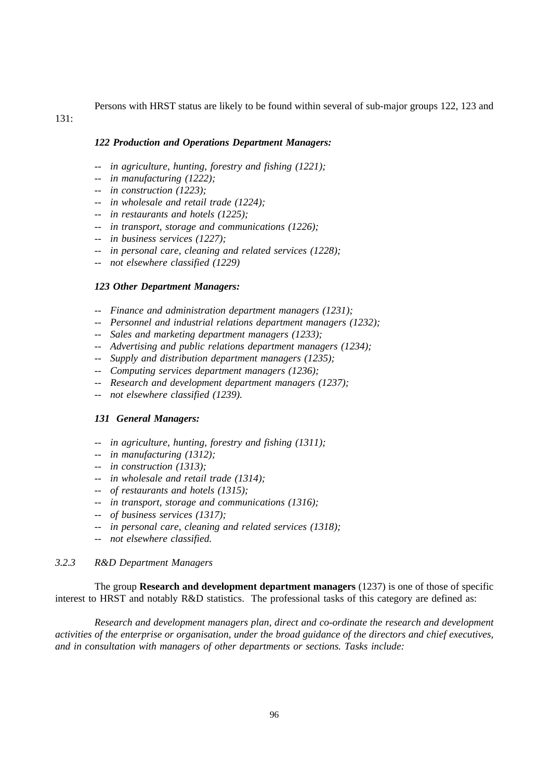Persons with HRST status are likely to be found within several of sub-major groups 122, 123 and

131:

### *122 Production and Operations Department Managers:*

- *-- in agriculture, hunting, forestry and fishing (1221);*
- *-- in manufacturing (1222);*
- *-- in construction (1223);*
- *-- in wholesale and retail trade (1224);*
- *-- in restaurants and hotels (1225);*
- *-- in transport, storage and communications (1226);*
- *-- in business services (1227);*
- *-- in personal care, cleaning and related services (1228);*
- *-- not elsewhere classified (1229)*

### *123 Other Department Managers:*

- *-- Finance and administration department managers (1231);*
- *-- Personnel and industrial relations department managers (1232);*
- *-- Sales and marketing department managers (1233);*
- *-- Advertising and public relations department managers (1234);*
- *-- Supply and distribution department managers (1235);*
- *-- Computing services department managers (1236);*
- *-- Research and development department managers (1237);*
- *-- not elsewhere classified (1239).*

### *131 General Managers:*

- *-- in agriculture, hunting, forestry and fishing (1311);*
- *-- in manufacturing (1312);*
- *-- in construction (1313);*
- *-- in wholesale and retail trade (1314);*
- *-- of restaurants and hotels (1315);*
- *-- in transport, storage and communications (1316);*
- *-- of business services (1317);*
- *-- in personal care, cleaning and related services (1318);*
- *-- not elsewhere classified.*

### *3.2.3 R&D Department Managers*

The group **Research and development department managers** (1237) is one of those of specific interest to HRST and notably R&D statistics. The professional tasks of this category are defined as:

*Research and development managers plan, direct and co-ordinate the research and development activities of the enterprise or organisation, under the broad guidance of the directors and chief executives, and in consultation with managers of other departments or sections. Tasks include:*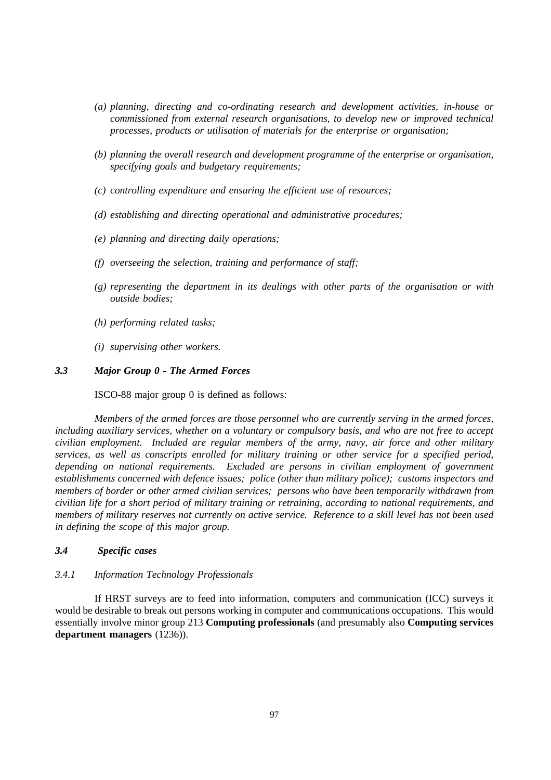- *(a) planning, directing and co-ordinating research and development activities, in-house or commissioned from external research organisations, to develop new or improved technical processes, products or utilisation of materials for the enterprise or organisation;*
- *(b) planning the overall research and development programme of the enterprise or organisation, specifying goals and budgetary requirements;*
- *(c) controlling expenditure and ensuring the efficient use of resources;*
- *(d) establishing and directing operational and administrative procedures;*
- *(e) planning and directing daily operations;*
- *(f) overseeing the selection, training and performance of staff;*
- *(g) representing the department in its dealings with other parts of the organisation or with outside bodies;*
- *(h) performing related tasks;*
- *(i) supervising other workers.*

### *3.3 Major Group 0 - The Armed Forces*

ISCO-88 major group 0 is defined as follows:

*Members of the armed forces are those personnel who are currently serving in the armed forces, including auxiliary services, whether on a voluntary or compulsory basis, and who are not free to accept civilian employment. Included are regular members of the army, navy, air force and other military services, as well as conscripts enrolled for military training or other service for a specified period, depending on national requirements. Excluded are persons in civilian employment of government establishments concerned with defence issues; police (other than military police); customs inspectors and members of border or other armed civilian services; persons who have been temporarily withdrawn from civilian life for a short period of military training or retraining, according to national requirements, and members of military reserves not currently on active service. Reference to a skill level has not been used in defining the scope of this major group.*

### *3.4 Specific cases*

#### *3.4.1 Information Technology Professionals*

If HRST surveys are to feed into information, computers and communication (ICC) surveys it would be desirable to break out persons working in computer and communications occupations. This would essentially involve minor group 213 **Computing professionals** (and presumably also **Computing services department managers** (1236)).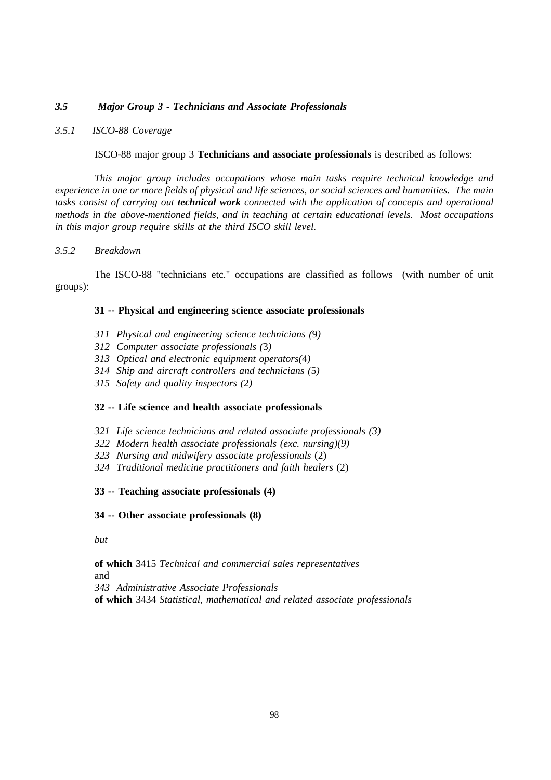## *3.5 Major Group 3 - Technicians and Associate Professionals*

### *3.5.1 ISCO-88 Coverage*

ISCO-88 major group 3 **Technicians and associate professionals** is described as follows:

*This major group includes occupations whose main tasks require technical knowledge and experience in one or more fields of physical and life sciences, or social sciences and humanities. The main tasks consist of carrying out technical work connected with the application of concepts and operational methods in the above-mentioned fields, and in teaching at certain educational levels. Most occupations in this major group require skills at the third ISCO skill level.*

### *3.5.2 Breakdown*

The ISCO-88 "technicians etc." occupations are classified as follows (with number of unit groups):

### **31 -- Physical and engineering science associate professionals**

- *311 Physical and engineering science technicians (*9*)*
- *312 Computer associate professionals (*3*)*
- *313 Optical and electronic equipment operators(*4*)*
- *314 Ship and aircraft controllers and technicians (*5*)*
- *315 Safety and quality inspectors (*2*)*

### **32 -- Life science and health associate professionals**

- *321 Life science technicians and related associate professionals (3)*
- *322 Modern health associate professionals (exc. nursing)(9)*
- *323 Nursing and midwifery associate professionals* (2)
- *324 Traditional medicine practitioners and faith healers* (2)

## **33 -- Teaching associate professionals (4)**

### **34 -- Other associate professionals (8)**

*but*

**of which** 3415 *Technical and commercial sales representatives*

and

*343 Administrative Associate Professionals*

**of which** 3434 *Statistical, mathematical and related associate professionals*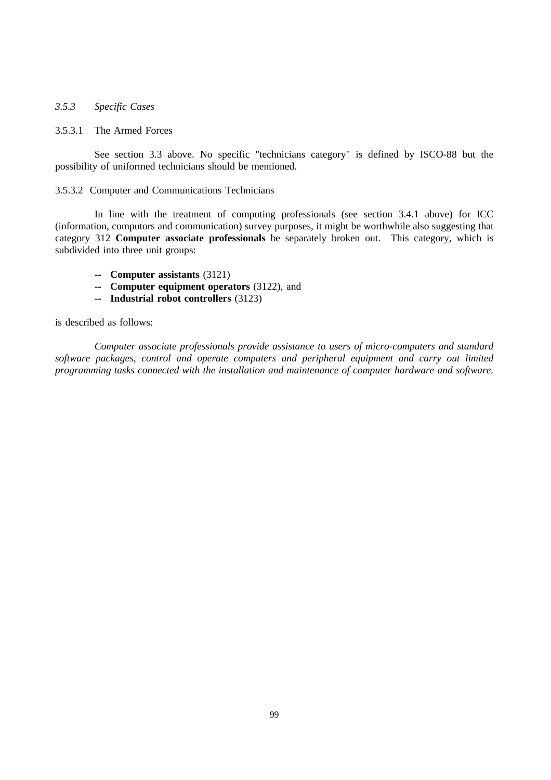### *3.5.3 Specific Cases*

#### 3.5.3.1 The Armed Forces

See section 3.3 above. No specific "technicians category" is defined by ISCO-88 but the possibility of uniformed technicians should be mentioned.

### 3.5.3.2 Computer and Communications Technicians

In line with the treatment of computing professionals (see section 3.4.1 above) for ICC (information, computors and communication) survey purposes, it might be worthwhile also suggesting that category 312 **Computer associate professionals** be separately broken out. This category, which is subdivided into three unit groups:

- **-- Computer assistants** (3121)
- **-- Computer equipment operators** (3122), and
- **-- Industrial robot controllers** (3123)

is described as follows:

*Computer associate professionals provide assistance to users of micro-computers and standard software packages, control and operate computers and peripheral equipment and carry out limited programming tasks connected with the installation and maintenance of computer hardware and software.*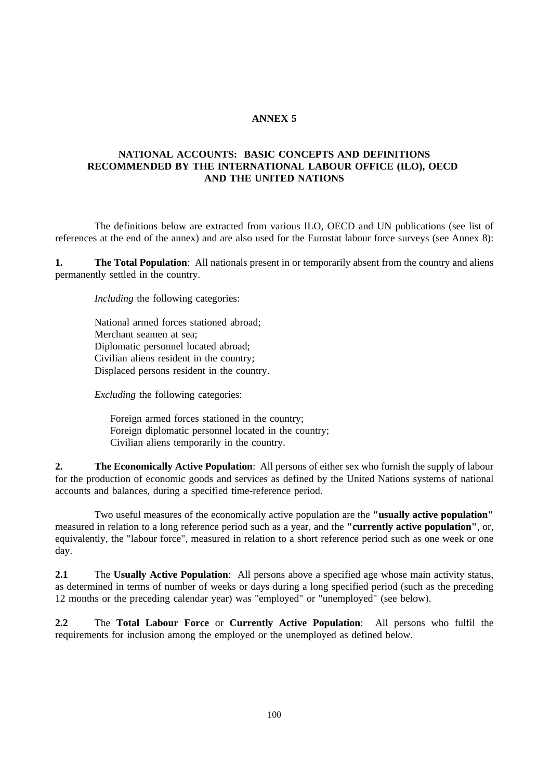## **NATIONAL ACCOUNTS: BASIC CONCEPTS AND DEFINITIONS RECOMMENDED BY THE INTERNATIONAL LABOUR OFFICE (ILO), OECD AND THE UNITED NATIONS**

The definitions below are extracted from various ILO, OECD and UN publications (see list of references at the end of the annex) and are also used for the Eurostat labour force surveys (see Annex 8):

**1.** The Total Population: All nationals present in or temporarily absent from the country and aliens permanently settled in the country.

*Including* the following categories:

National armed forces stationed abroad; Merchant seamen at sea; Diplomatic personnel located abroad; Civilian aliens resident in the country; Displaced persons resident in the country.

*Excluding* the following categories:

Foreign armed forces stationed in the country; Foreign diplomatic personnel located in the country; Civilian aliens temporarily in the country.

**2. The Economically Active Population**: All persons of either sex who furnish the supply of labour for the production of economic goods and services as defined by the United Nations systems of national accounts and balances, during a specified time-reference period.

Two useful measures of the economically active population are the **"usually active population"** measured in relation to a long reference period such as a year, and the **"currently active population"**, or, equivalently, the "labour force", measured in relation to a short reference period such as one week or one day.

**2.1** The **Usually Active Population**: All persons above a specified age whose main activity status, as determined in terms of number of weeks or days during a long specified period (such as the preceding 12 months or the preceding calendar year) was "employed" or "unemployed" (see below).

**2.2** The **Total Labour Force** or **Currently Active Population**: All persons who fulfil the requirements for inclusion among the employed or the unemployed as defined below.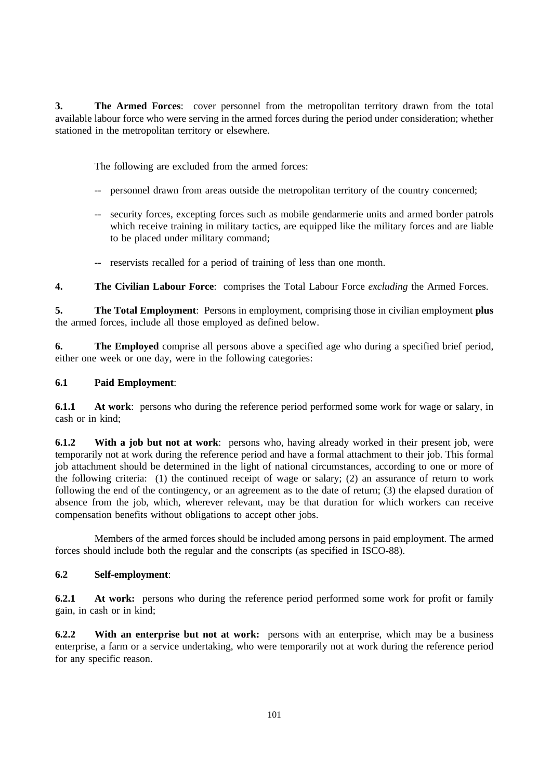**3. The Armed Forces**: cover personnel from the metropolitan territory drawn from the total available labour force who were serving in the armed forces during the period under consideration; whether stationed in the metropolitan territory or elsewhere.

The following are excluded from the armed forces:

- -- personnel drawn from areas outside the metropolitan territory of the country concerned;
- -- security forces, excepting forces such as mobile gendarmerie units and armed border patrols which receive training in military tactics, are equipped like the military forces and are liable to be placed under military command;
- -- reservists recalled for a period of training of less than one month.

**4. The Civilian Labour Force**: comprises the Total Labour Force *excluding* the Armed Forces.

**5. The Total Employment**: Persons in employment, comprising those in civilian employment **plus** the armed forces, include all those employed as defined below.

**6.** The Employed comprise all persons above a specified age who during a specified brief period, either one week or one day, were in the following categories:

## **6.1 Paid Employment**:

**6.1.1 At work**: persons who during the reference period performed some work for wage or salary, in cash or in kind;

**6.1.2 With a job but not at work**: persons who, having already worked in their present job, were temporarily not at work during the reference period and have a formal attachment to their job. This formal job attachment should be determined in the light of national circumstances, according to one or more of the following criteria: (1) the continued receipt of wage or salary; (2) an assurance of return to work following the end of the contingency, or an agreement as to the date of return; (3) the elapsed duration of absence from the job, which, wherever relevant, may be that duration for which workers can receive compensation benefits without obligations to accept other jobs.

Members of the armed forces should be included among persons in paid employment. The armed forces should include both the regular and the conscripts (as specified in ISCO-88).

## **6.2 Self-employment**:

**6.2.1 At work:** persons who during the reference period performed some work for profit or family gain, in cash or in kind;

**6.2.2 With an enterprise but not at work:** persons with an enterprise, which may be a business enterprise, a farm or a service undertaking, who were temporarily not at work during the reference period for any specific reason.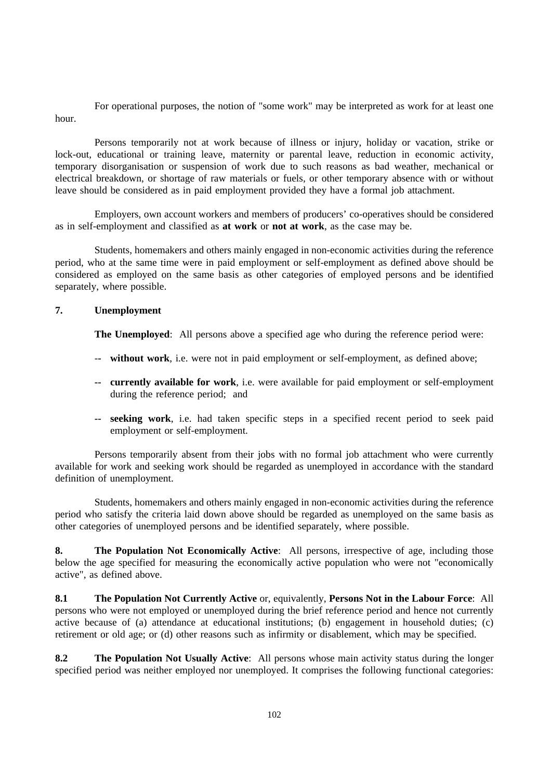For operational purposes, the notion of "some work" may be interpreted as work for at least one hour.

Persons temporarily not at work because of illness or injury, holiday or vacation, strike or lock-out, educational or training leave, maternity or parental leave, reduction in economic activity, temporary disorganisation or suspension of work due to such reasons as bad weather, mechanical or electrical breakdown, or shortage of raw materials or fuels, or other temporary absence with or without leave should be considered as in paid employment provided they have a formal job attachment.

Employers, own account workers and members of producers' co-operatives should be considered as in self-employment and classified as **at work** or **not at work**, as the case may be.

Students, homemakers and others mainly engaged in non-economic activities during the reference period, who at the same time were in paid employment or self-employment as defined above should be considered as employed on the same basis as other categories of employed persons and be identified separately, where possible.

### **7. Unemployment**

**The Unemployed**: All persons above a specified age who during the reference period were:

- - **without work**, i.e. were not in paid employment or self-employment, as defined above;
- **-- currently available for work**, i.e. were available for paid employment or self-employment during the reference period; and
- **-- seeking work**, i.e. had taken specific steps in a specified recent period to seek paid employment or self-employment.

Persons temporarily absent from their jobs with no formal job attachment who were currently available for work and seeking work should be regarded as unemployed in accordance with the standard definition of unemployment.

Students, homemakers and others mainly engaged in non-economic activities during the reference period who satisfy the criteria laid down above should be regarded as unemployed on the same basis as other categories of unemployed persons and be identified separately, where possible.

**8. The Population Not Economically Active**: All persons, irrespective of age, including those below the age specified for measuring the economically active population who were not "economically active", as defined above.

**8.1 The Population Not Currently Active** or, equivalently, **Persons Not in the Labour Force**: All persons who were not employed or unemployed during the brief reference period and hence not currently active because of (a) attendance at educational institutions; (b) engagement in household duties; (c) retirement or old age; or (d) other reasons such as infirmity or disablement, which may be specified.

**8.2** The Population Not Usually Active: All persons whose main activity status during the longer specified period was neither employed nor unemployed. It comprises the following functional categories: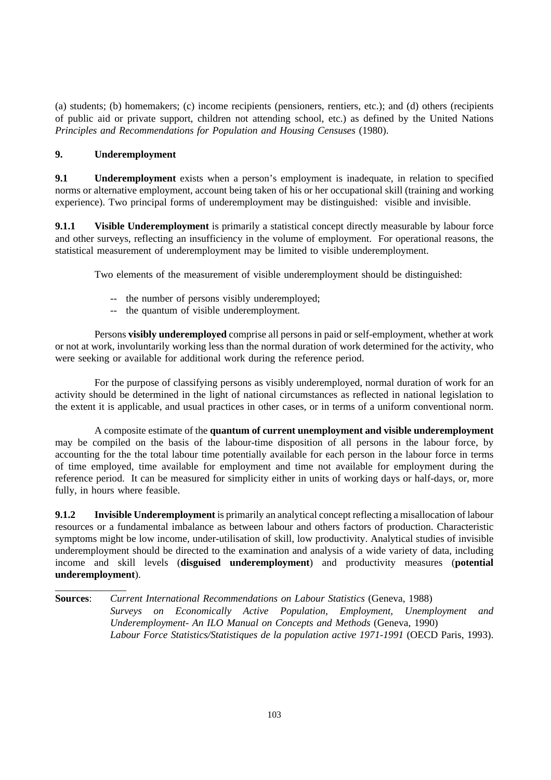(a) students; (b) homemakers; (c) income recipients (pensioners, rentiers, etc.); and (d) others (recipients of public aid or private support, children not attending school, etc.) as defined by the United Nations *Principles and Recommendations for Population and Housing Censuses* (1980).

## **9. Underemployment**

\_\_\_\_\_\_\_\_\_\_\_\_\_\_

**9.1 Underemployment** exists when a person's employment is inadequate, in relation to specified norms or alternative employment, account being taken of his or her occupational skill (training and working experience). Two principal forms of underemployment may be distinguished: visible and invisible.

**9.1.1** Visible Underemployment is primarily a statistical concept directly measurable by labour force and other surveys, reflecting an insufficiency in the volume of employment. For operational reasons, the statistical measurement of underemployment may be limited to visible underemployment.

Two elements of the measurement of visible underemployment should be distinguished:

- -- the number of persons visibly underemployed;
- -- the quantum of visible underemployment.

Persons **visibly underemployed** comprise all persons in paid or self-employment, whether at work or not at work, involuntarily working less than the normal duration of work determined for the activity, who were seeking or available for additional work during the reference period.

For the purpose of classifying persons as visibly underemployed, normal duration of work for an activity should be determined in the light of national circumstances as reflected in national legislation to the extent it is applicable, and usual practices in other cases, or in terms of a uniform conventional norm.

A composite estimate of the **quantum of current unemployment and visible underemployment** may be compiled on the basis of the labour-time disposition of all persons in the labour force, by accounting for the the total labour time potentially available for each person in the labour force in terms of time employed, time available for employment and time not available for employment during the reference period. It can be measured for simplicity either in units of working days or half-days, or, more fully, in hours where feasible.

**9.1.2 Invisible Underemployment** is primarily an analytical concept reflecting a misallocation of labour resources or a fundamental imbalance as between labour and others factors of production. Characteristic symptoms might be low income, under-utilisation of skill, low productivity. Analytical studies of invisible underemployment should be directed to the examination and analysis of a wide variety of data, including income and skill levels (**disguised underemployment**) and productivity measures (**potential underemployment**).

**Sources**: *Current International Recommendations on Labour Statistics* (Geneva, 1988) *Surveys on Economically Active Population, Employment, Unemployment and Underemployment- An ILO Manual on Concepts and Methods* (Geneva, 1990) *Labour Force Statistics/Statistiques de la population active 1971-1991* (OECD Paris, 1993).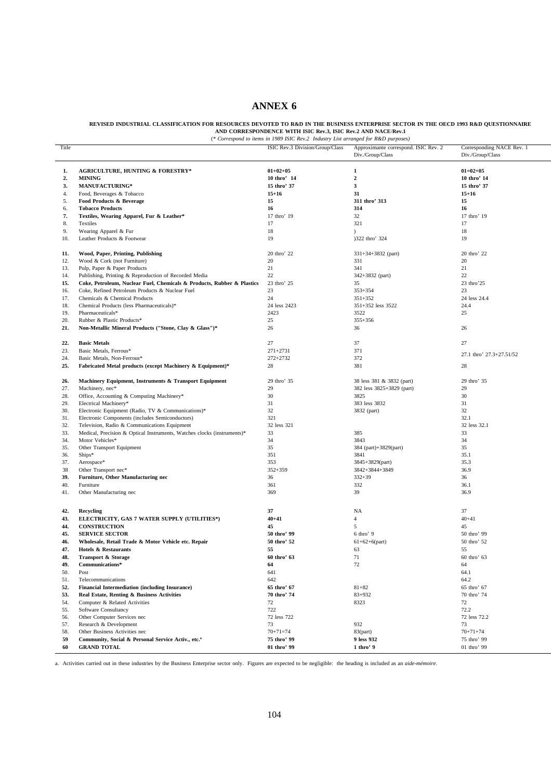# REVISED INDUSTRIAL CLASSIFICATION FOR RESOURCES DEVOTED TO R&D IN THE BUSINESS ENTERPRISE SECTOR IN THE OECD 1993 R&D QUESTIONNAIRE<br>AND CORRESPONDENCE WITH ISIC Rev.3, ISIC Rev.2 AND NACE/Rev.1

(*\* Correspond to items in 1989 ISIC Rev.2 Industry List arranged for R&D purposes)*

| Title |                                                                         | ISIC Rev.3 Division/Group/Class | Approximante correspond. ISIC Rev. 2 | Corresponding NACE Rev. 1 |
|-------|-------------------------------------------------------------------------|---------------------------------|--------------------------------------|---------------------------|
|       |                                                                         |                                 | Div./Group/Class                     | Div./Group/Class          |
|       |                                                                         |                                 |                                      |                           |
| 1.    | <b>AGRICULTURE, HUNTING &amp; FORESTRY*</b>                             | $01+02+05$                      | 1                                    | $01 = 02 + 05$            |
| 2.    | <b>MINING</b>                                                           | 10 thro' 14                     | $\mathbf 2$                          | 10 thro' 14               |
| 3.    | <b>MANUFACTURING*</b>                                                   | 15 thro' 37                     | 3                                    | 15 thro' 37               |
|       |                                                                         |                                 |                                      |                           |
| 4.    | Food, Beverages & Tobacco                                               | $15 + 16$                       | 31                                   | $15 + 16$                 |
| 5.    | Food Products & Beverage                                                | 15                              | 311 thro' 313                        | 15                        |
| 6.    | <b>Tobacco Products</b>                                                 | 16                              | 314                                  | 16                        |
| 7.    | Textiles, Wearing Apparel, Fur & Leather*                               | 17 thro' 19                     | 32                                   | 17 thro' 19               |
| 8.    | Textiles                                                                | 17                              | 321                                  | 17                        |
| 9.    | Wearing Apparel & Fur                                                   | 18                              | $\lambda$                            | 18                        |
| 10.   | Leather Products & Footwear                                             | 19                              | )322 thro' 324                       | 19                        |
|       |                                                                         |                                 |                                      |                           |
|       |                                                                         |                                 |                                      |                           |
| 11.   | Wood, Paper, Printing, Publishing                                       | 20 thro' 22                     | $331+34+3832$ (part)                 | 20 thro' 22               |
| 12.   | Wood & Cork (not Furniture)                                             | 20                              | 331                                  | 20                        |
| 13.   | Pulp, Paper & Paper Products                                            | 21                              | 341                                  | 21                        |
| 14.   | Publishing, Printing & Reproduction of Recorded Media                   | 22                              | 342+3832 (part)                      | 22                        |
| 15.   | Coke, Petroleum, Nuclear Fuel, Chemicals & Products, Rubber & Plastics  | 23 thro' 25                     | 35                                   | 23 thro'25                |
| 16.   | Coke, Refined Petroleum Products & Nuclear Fuel                         | 23                              | $353 + 354$                          | 23                        |
| 17.   | Chemicals & Chemical Products                                           | 24                              | $351 + 352$                          | 24 less 24.4              |
|       |                                                                         |                                 |                                      |                           |
| 18.   | Chemical Products (less Pharmaceuticals)*                               | 24 less 2423                    | 351+352 less 3522                    | 24.4                      |
| 19.   | Pharmaceuticals*                                                        | 2423                            | 3522                                 | 25                        |
| 20.   | Rubber & Plastic Products*                                              | 25                              | $355 + 356$                          |                           |
| 21.   | Non-Metallic Mineral Products ("Stone, Clay & Glass")*                  | 26                              | 36                                   | 26                        |
|       |                                                                         |                                 |                                      |                           |
| 22.   | <b>Basic Metals</b>                                                     | 27                              | 37                                   | 27                        |
|       |                                                                         |                                 |                                      |                           |
| 23.   | Basic Metals, Ferrous*                                                  | 271+2731                        | 371                                  | 27.1 thro' 27.3+27.51/52  |
| 24.   | Basic Metals, Non-Ferrous*                                              | 272+2732                        | 372                                  |                           |
| 25.   | Fabricated Metal products (except Machinery & Equipment)*               | 28                              | 381                                  | 28                        |
|       |                                                                         |                                 |                                      |                           |
| 26.   | Machinery Equipment, Instruments & Transport Equipment                  | 29 thro' 35                     | 38 less 381 & 3832 (part)            | 29 thro' 35               |
| 27.   | Machinery, nec*                                                         | 29                              | 382 less 3825+3829 (part)            | 29                        |
|       |                                                                         |                                 |                                      |                           |
| 28.   | Office, Accounting & Computing Machinery*                               | 30                              | 3825                                 | 30                        |
| 29.   | Electrical Machinery*                                                   | 31                              | 383 less 3832                        | 31                        |
| 30.   | Electronic Equipment (Radio, TV & Communications)*                      | 32                              | 3832 (part)                          | 32                        |
| 31.   | Electronic Components (includes Semiconductors)                         | 321                             |                                      | 32.1                      |
| 32.   | Television, Radio & Communications Equipment                            | 32 less 321                     |                                      | 32 less 32.1              |
| 33.   | Medical, Precision & Optical Instruments, Watches clocks (instruments)* | 33                              | 385                                  | 33                        |
| 34.   | Motor Vehicles*                                                         | 34                              | 3843                                 | 34                        |
| 35.   |                                                                         | 35                              |                                      | 35                        |
|       | Other Transport Equipment                                               |                                 | 384 (part)+3829(part)                |                           |
| 36.   | Ships*                                                                  | 351                             | 3841                                 | 35.1                      |
| 37.   | Aerospace*                                                              | 353                             | 3845+3829(part)                      | 35.3                      |
| 38    | Other Transport nec*                                                    | $352 + 359$                     | 3842+3844+3849                       | 36.9                      |
| 39.   | Furniture, Other Manufacturing nec                                      | 36                              | $332 + 39$                           | 36                        |
| 40.   | Furniture                                                               | 361                             | 332                                  | 36.1                      |
| 41.   | Other Manufacturing nec                                                 | 369                             | 39                                   | 36.9                      |
|       |                                                                         |                                 |                                      |                           |
|       |                                                                         |                                 |                                      |                           |
| 42.   | Recycling                                                               | 37                              | <b>NA</b>                            | 37                        |
| 43.   |                                                                         | $40 + 41$                       | $\overline{4}$                       | $40 + 41$                 |
|       | ELECTRICITY, GAS 7 WATER SUPPLY (UTILITIES*)                            |                                 |                                      |                           |
| 44.   | <b>CONSTRUCTION</b>                                                     | 45                              | 5                                    | 45                        |
| 45.   | <b>SERVICE SECTOR</b>                                                   | 50 thro' 99                     | 6 thro' 9                            | 50 thro' 99               |
| 46.   | Wholesale, Retail Trade & Motor Vehicle etc. Repair                     | 50 thro' 52                     | $61+62+6$ (part)                     | 50 thro' 52               |
| 47.   | <b>Hotels &amp; Restaurants</b>                                         | 55                              | 63                                   | 55                        |
| 48.   | <b>Transport &amp; Storage</b>                                          | 60 thro' 63                     | 71                                   | 60 thro' 63               |
|       | Communications*                                                         |                                 |                                      |                           |
| 49.   |                                                                         | 64                              | 72                                   | 64                        |
| 50.   | Post                                                                    | 641                             |                                      | 64.1                      |
| 51.   | Telecommunications                                                      | 642                             |                                      | 64.2                      |
| 52.   | Financial Intermediation (including Insurance)                          | 65 thro' 67                     | $81 + 82$                            | 65 thro' 67               |
| 53.   | Real Estate, Renting & Business Activities                              | 70 thro' 74                     | $83 + 932$                           | 70 thro' 74               |
| 54.   | Computer & Related Activities                                           | 72                              | 8323                                 | 72                        |
|       | Software Consultancy                                                    | 722                             |                                      |                           |
| 55.   |                                                                         |                                 |                                      | 72.2                      |
| 56.   | Other Computer Services nec                                             | 72 less 722                     |                                      | 72 less 72.2              |
| 57.   | Research & Development                                                  | 73                              | 932                                  | 73                        |
| 58.   | Other Business Activities nec                                           | $70+71=74$                      | $83$ (part)                          | $70 + 71 + 74$            |
| 59    | Community, Social & Personal Service Activ., etc. <sup>a</sup>          | 75 thro' 99                     | 9 less 932                           | 75 thro' 99               |
| 60    | <b>GRAND TOTAL</b>                                                      | 01 thro' 99                     | 1 thro' 9                            | 01 thro' 99               |
|       |                                                                         |                                 |                                      |                           |

a. Activities carried out in these industries by the Business Enterprise sector only. Figures are expected to be negligible: the heading is included as an *aide-mémoire*.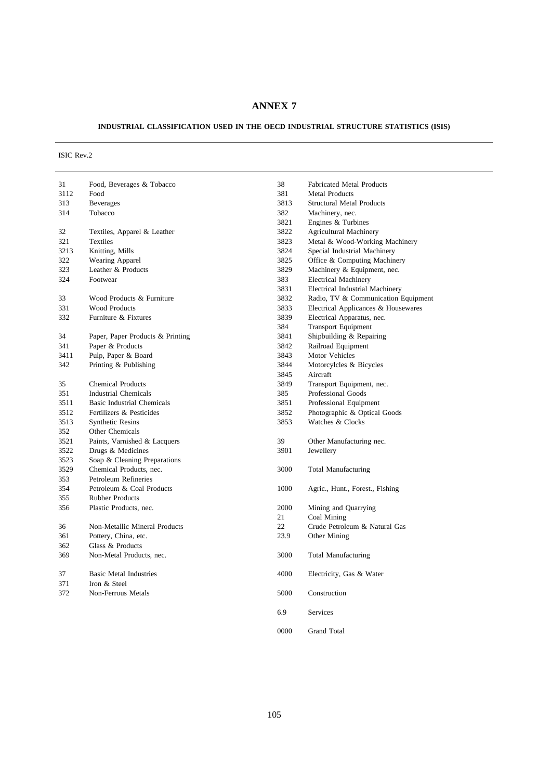### **INDUSTRIAL CLASSIFICATION USED IN THE OECD INDUSTRIAL STRUCTURE STATISTICS (ISIS)**

#### ISIC Rev.2

| 31   | Food, Beverages & Tobacco         | 38   | <b>Fabricated Metal Products</b>       |
|------|-----------------------------------|------|----------------------------------------|
| 3112 | Food                              | 381  | <b>Metal Products</b>                  |
| 313  | Beverages                         | 3813 | <b>Structural Metal Products</b>       |
| 314  | Tobacco                           | 382  | Machinery, nec.                        |
|      |                                   | 3821 | Engines & Turbines                     |
| 32   | Textiles, Apparel & Leather       | 3822 | <b>Agricultural Machinery</b>          |
| 321  | Textiles                          | 3823 | Metal & Wood-Working Machinery         |
| 3213 | Knitting, Mills                   | 3824 | Special Industrial Machinery           |
| 322  | <b>Wearing Apparel</b>            | 3825 | Office & Computing Machinery           |
| 323  | Leather & Products                | 3829 | Machinery & Equipment, nec.            |
| 324  | Footwear                          | 383  | <b>Electrical Machinery</b>            |
|      |                                   | 3831 | <b>Electrical Industrial Machinery</b> |
| 33   | Wood Products & Furniture         | 3832 | Radio, TV & Communication Equipment    |
| 331  | <b>Wood Products</b>              | 3833 | Electrical Applicances & Housewares    |
| 332  | Furniture & Fixtures              | 3839 | Electrical Apparatus, nec.             |
|      |                                   | 384  | <b>Transport Equipment</b>             |
| 34   | Paper, Paper Products & Printing  | 3841 | Shipbuilding & Repairing               |
| 341  | Paper & Products                  | 3842 | Railroad Equipment                     |
| 3411 | Pulp, Paper & Board               | 3843 | Motor Vehicles                         |
| 342  | Printing & Publishing             | 3844 | Motorcylcles & Bicycles                |
|      |                                   | 3845 | Aircraft                               |
| 35   | <b>Chemical Products</b>          | 3849 | Transport Equipment, nec.              |
| 351  | <b>Industrial Chemicals</b>       | 385  | Professional Goods                     |
| 3511 | <b>Basic Industrial Chemicals</b> | 3851 | Professional Equipment                 |
| 3512 | Fertilizers & Pesticides          | 3852 | Photographic & Optical Goods           |
| 3513 | <b>Synthetic Resins</b>           | 3853 | Watches & Clocks                       |
| 352  | Other Chemicals                   |      |                                        |
| 3521 | Paints, Varnished & Lacquers      | 39   | Other Manufacturing nec.               |
| 3522 | Drugs & Medicines                 | 3901 | Jewellery                              |
| 3523 | Soap & Cleaning Preparations      |      |                                        |
| 3529 | Chemical Products, nec.           | 3000 | <b>Total Manufacturing</b>             |
| 353  | Petroleum Refineries              |      |                                        |
| 354  | Petroleum & Coal Products         | 1000 | Agric., Hunt., Forest., Fishing        |
| 355  | <b>Rubber Products</b>            |      |                                        |
| 356  | Plastic Products, nec.            | 2000 | Mining and Quarrying                   |
|      |                                   | 21   | Coal Mining                            |
| 36   | Non-Metallic Mineral Products     | 22   | Crude Petroleum & Natural Gas          |
| 361  | Pottery, China, etc.              | 23.9 | Other Mining                           |
| 362  | Glass & Products                  |      |                                        |
| 369  | Non-Metal Products, nec.          | 3000 | Total Manufacturing                    |
| 37   | <b>Basic Metal Industries</b>     | 4000 | Electricity, Gas & Water               |
| 371  | Iron & Steel                      |      |                                        |
| 372  | Non-Ferrous Metals                | 5000 | Construction                           |
|      |                                   | 6.9  | Services                               |
|      |                                   | 0000 | Grand Total                            |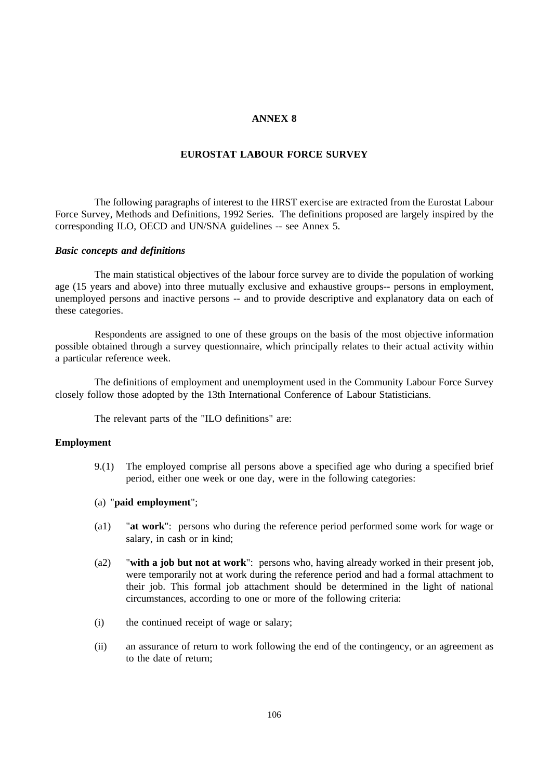### **EUROSTAT LABOUR FORCE SURVEY**

The following paragraphs of interest to the HRST exercise are extracted from the Eurostat Labour Force Survey, Methods and Definitions, 1992 Series. The definitions proposed are largely inspired by the corresponding ILO, OECD and UN/SNA guidelines -- see Annex 5.

#### *Basic concepts and definitions*

The main statistical objectives of the labour force survey are to divide the population of working age (15 years and above) into three mutually exclusive and exhaustive groups-- persons in employment, unemployed persons and inactive persons -- and to provide descriptive and explanatory data on each of these categories.

Respondents are assigned to one of these groups on the basis of the most objective information possible obtained through a survey questionnaire, which principally relates to their actual activity within a particular reference week.

The definitions of employment and unemployment used in the Community Labour Force Survey closely follow those adopted by the 13th International Conference of Labour Statisticians.

The relevant parts of the "ILO definitions" are:

### **Employment**

9.(1) The employed comprise all persons above a specified age who during a specified brief period, either one week or one day, were in the following categories:

### (a) "**paid employment**";

- (a1) "**at work**": persons who during the reference period performed some work for wage or salary, in cash or in kind;
- (a2) "**with a job but not at work**": persons who, having already worked in their present job, were temporarily not at work during the reference period and had a formal attachment to their job. This formal job attachment should be determined in the light of national circumstances, according to one or more of the following criteria:
- (i) the continued receipt of wage or salary;
- (ii) an assurance of return to work following the end of the contingency, or an agreement as to the date of return;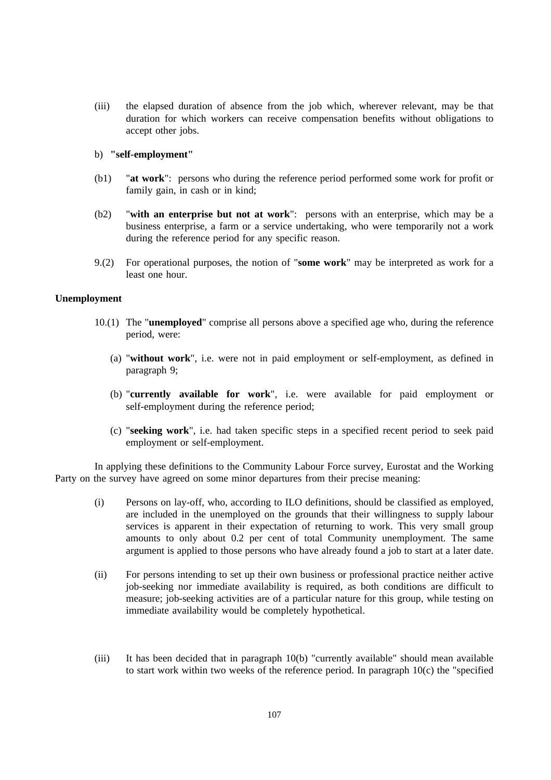(iii) the elapsed duration of absence from the job which, wherever relevant, may be that duration for which workers can receive compensation benefits without obligations to accept other jobs.

### b) **"self-employment"**

- (b1) "**at work**": persons who during the reference period performed some work for profit or family gain, in cash or in kind;
- (b2) "**with an enterprise but not at work**": persons with an enterprise, which may be a business enterprise, a farm or a service undertaking, who were temporarily not a work during the reference period for any specific reason.
- 9.(2) For operational purposes, the notion of "**some work**" may be interpreted as work for a least one hour.

### **Unemployment**

- 10.(1) The "**unemployed**" comprise all persons above a specified age who, during the reference period, were:
	- (a) "**without work**", i.e. were not in paid employment or self-employment, as defined in paragraph 9;
	- (b) "**currently available for work**", i.e. were available for paid employment or self-employment during the reference period;
	- (c) "**seeking work**", i.e. had taken specific steps in a specified recent period to seek paid employment or self-employment.

In applying these definitions to the Community Labour Force survey, Eurostat and the Working Party on the survey have agreed on some minor departures from their precise meaning:

- (i) Persons on lay-off, who, according to ILO definitions, should be classified as employed, are included in the unemployed on the grounds that their willingness to supply labour services is apparent in their expectation of returning to work. This very small group amounts to only about 0.2 per cent of total Community unemployment. The same argument is applied to those persons who have already found a job to start at a later date.
- (ii) For persons intending to set up their own business or professional practice neither active job-seeking nor immediate availability is required, as both conditions are difficult to measure; job-seeking activities are of a particular nature for this group, while testing on immediate availability would be completely hypothetical.
- (iii) It has been decided that in paragraph 10(b) "currently available" should mean available to start work within two weeks of the reference period. In paragraph 10(c) the "specified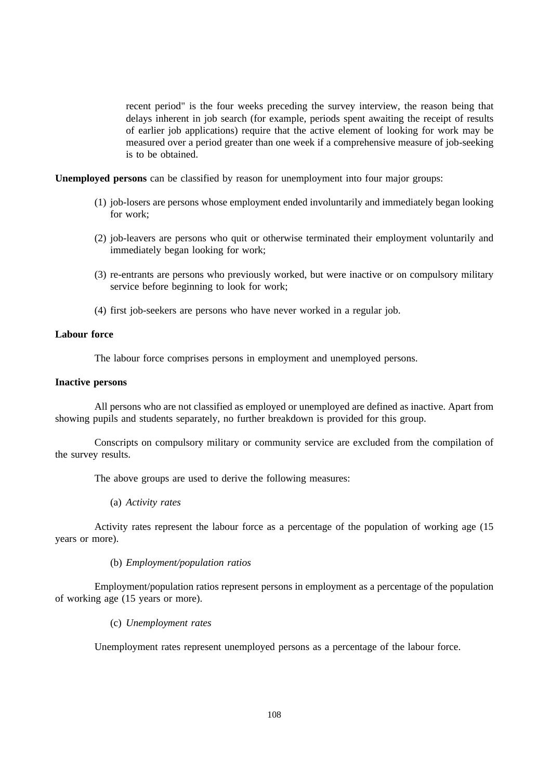recent period" is the four weeks preceding the survey interview, the reason being that delays inherent in job search (for example, periods spent awaiting the receipt of results of earlier job applications) require that the active element of looking for work may be measured over a period greater than one week if a comprehensive measure of job-seeking is to be obtained.

**Unemployed persons** can be classified by reason for unemployment into four major groups:

- (1) job-losers are persons whose employment ended involuntarily and immediately began looking for work;
- (2) job-leavers are persons who quit or otherwise terminated their employment voluntarily and immediately began looking for work;
- (3) re-entrants are persons who previously worked, but were inactive or on compulsory military service before beginning to look for work;
- (4) first job-seekers are persons who have never worked in a regular job.

### **Labour force**

The labour force comprises persons in employment and unemployed persons.

#### **Inactive persons**

All persons who are not classified as employed or unemployed are defined as inactive. Apart from showing pupils and students separately, no further breakdown is provided for this group.

Conscripts on compulsory military or community service are excluded from the compilation of the survey results.

The above groups are used to derive the following measures:

(a) *Activity rates*

Activity rates represent the labour force as a percentage of the population of working age (15 years or more).

### (b) *Employment/population ratios*

Employment/population ratios represent persons in employment as a percentage of the population of working age (15 years or more).

### (c) *Unemployment rates*

Unemployment rates represent unemployed persons as a percentage of the labour force.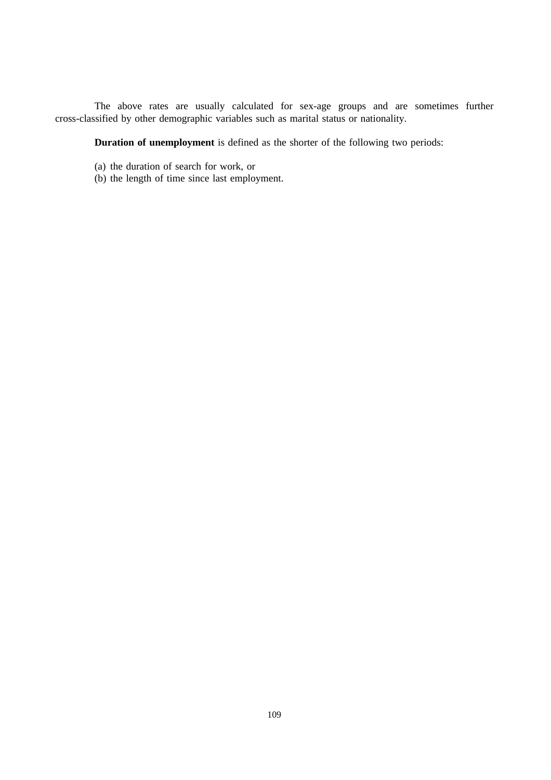The above rates are usually calculated for sex-age groups and are sometimes further cross-classified by other demographic variables such as marital status or nationality.

**Duration of unemployment** is defined as the shorter of the following two periods:

- (a) the duration of search for work, or
- (b) the length of time since last employment.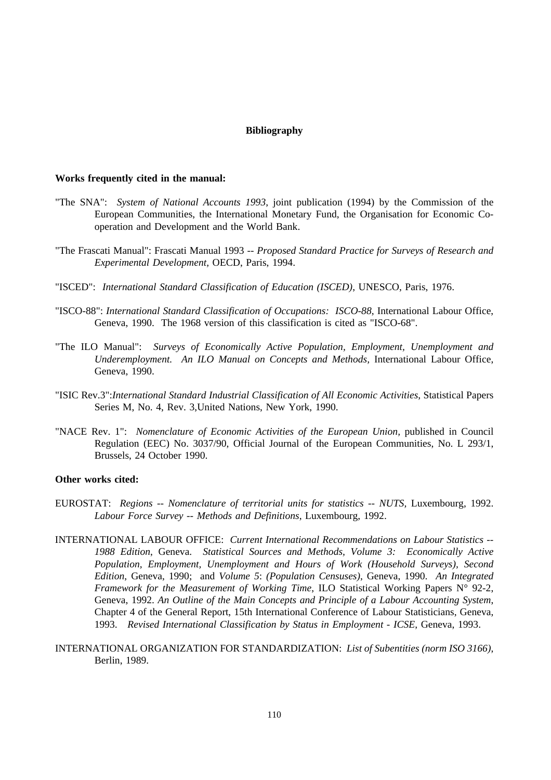## **Bibliography**

## **Works frequently cited in the manual:**

- "The SNA": *System of National Accounts 1993*, joint publication (1994) by the Commission of the European Communities, the International Monetary Fund, the Organisation for Economic Cooperation and Development and the World Bank.
- "The Frascati Manual": Frascati Manual 1993 -- *Proposed Standard Practice for Surveys of Research and Experimental Development,* OECD, Paris, 1994.
- "ISCED": *International Standard Classification of Education (ISCED)*, UNESCO, Paris, 1976.
- "ISCO-88": *International Standard Classification of Occupations: ISCO-88*, International Labour Office, Geneva, 1990. The 1968 version of this classification is cited as "ISCO-68".
- "The ILO Manual": *Surveys of Economically Active Population, Employment, Unemployment and Underemployment. An ILO Manual on Concepts and Methods,* International Labour Office, Geneva, 1990.
- "ISIC Rev.3":*International Standard Industrial Classification of All Economic Activities*, Statistical Papers Series M, No. 4, Rev. 3,United Nations, New York, 1990.
- "NACE Rev. 1": *Nomenclature of Economic Activities of the European Union,* published in Council Regulation (EEC) No. 3037/90, Official Journal of the European Communities, No. L 293/1, Brussels, 24 October 1990.

## **Other works cited:**

- EUROSTAT: *Regions -- Nomenclature of territorial units for statistics -- NUTS,* Luxembourg, 1992. *Labour Force Survey -- Methods and Definitions*, Luxembourg, 1992.
- INTERNATIONAL LABOUR OFFICE: *Current International Recommendations on Labour Statistics -- 1988 Edition*, Geneva. *Statistical Sources and Methods, Volume 3: Economically Active Population, Employment, Unemployment and Hours of Work (Household Surveys), Second Edition*, Geneva, 1990; and *Volume 5*: *(Population Censuses)*, Geneva, 1990. *An Integrated Framework for the Measurement of Working Time*, ILO Statistical Working Papers N° 92-2, Geneva, 1992. *An Outline of the Main Concepts and Principle of a Labour Accounting System*, Chapter 4 of the General Report, 15th International Conference of Labour Statisticians, Geneva, 1993. *Revised International Classification by Status in Employment - ICSE*, Geneva, 1993.
- INTERNATIONAL ORGANIZATION FOR STANDARDIZATION: *List of Subentities (norm ISO 3166)*, Berlin, 1989.